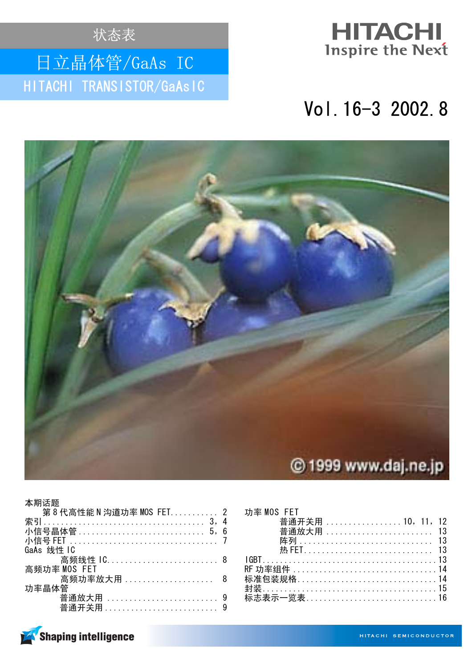状态表

# 日立晶体管/GaAs IC HITACHI TRANSISTOR/GaAsIC



# Vol. 16-3 2002. 8



| 本期话题<br>第8代高性能 N 沟道功率 MOS FET 2 |  |
|---------------------------------|--|
|                                 |  |
|                                 |  |
| GaAs 线性 IC                      |  |
| 高频线性 1C 8<br>高频功率 MOS FET       |  |
| 高频功率放大用  8                      |  |
| 功率晶体管                           |  |
|                                 |  |

| 功率 MOS FFT                         |  |
|------------------------------------|--|
| 普通开关用  10, 11, 12                  |  |
|                                    |  |
|                                    |  |
|                                    |  |
|                                    |  |
|                                    |  |
| 标准包装规格……………………………………14             |  |
|                                    |  |
| <del>标志表示一览表…………………………………1</del> 6 |  |
|                                    |  |

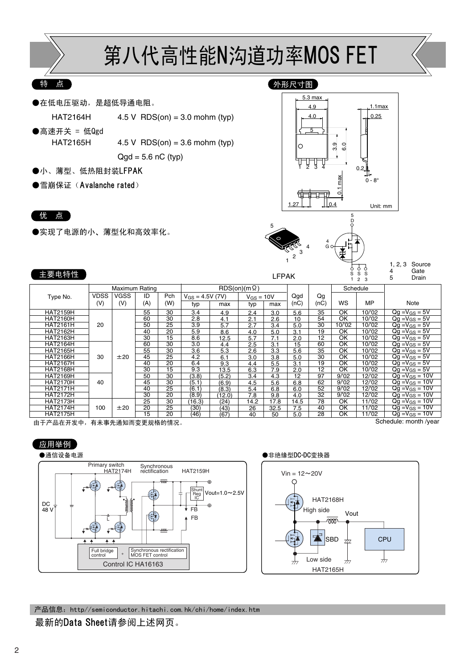

#### 特 点

●在低电压驱动,是超低导通电阻。

 $HAT2164H$  4.5 V RDS(on) = 3.0 mohm (typ)

●高速开关 = 低Qgd

 $HAT2165H$  4.5 V RDS(on) = 3.6 mohm (typ)  $Qgd = 5.6$  nC (typ)

- ●小、薄型、低热阻封装LFPAK
- ●雪崩保证 (Avalanche rated)

#### 优 点

主要电特性

●实现了电源的小、薄型化和高效率化。





LFPAK

1, 2, 3 Source 4 Gate **Drain** 

 $\breve{\mathbf{s}}$ 

| -----           |             |                |                 |                 |                      |        |                     |      | LII AIV |      |                          |           | G | Drain                         |
|-----------------|-------------|----------------|-----------------|-----------------|----------------------|--------|---------------------|------|---------|------|--------------------------|-----------|---|-------------------------------|
|                 |             | Maximum Rating |                 |                 |                      |        | $RDS(on)(m \Omega)$ |      |         |      |                          | Schedule  |   |                               |
| Type No.        | <b>VDSS</b> | <b>VGSS</b>    | ID              | Pch             | $V_{GS} = 4.5V (7V)$ |        | $V_{GS} = 10V$      |      | Qgd     | Qg   |                          |           |   |                               |
|                 | (V)         | (V)            | (A)             | (W)             | typ                  | max    | typ                 | max  | (nc)    | (nc) | WS                       | <b>MP</b> |   | Note                          |
| <b>HAT2159H</b> |             |                | 55              | 30              | 3.4                  | 4.9    | 2.4                 | 3.0  | 5.6     | 35   | ОK                       | 10/'02    |   | $Qg = V_{GS} = 5V$            |
| <b>HAT2160H</b> |             |                | 60              | 30              | 2.8                  | 4.1    | 2.1                 | 2.6  | 10      | 54   | OK                       | 10/'02    |   | $Qg = V_{GS} = 5V$            |
| <b>HAT2161H</b> | 20          |                | 50              | 25              | 3.9                  | 5.7    | 2.7                 | 3.4  | 5.0     | 30   | 10/'02                   | 10/'02    |   | $Qg = V_{GS} = 5V$            |
| <b>HAT2162H</b> |             |                | 40              | 20              | 5.9                  | 8.6    | 4.0                 | 5.0  | 3.1     | 19   | OK                       | 10/'02    |   | $\overline{Qg} = V_{GS} = 5V$ |
| <b>HAT2163H</b> |             |                | 30              | 15              | 8.6                  | 12.5   | 5.7                 | 7.1  | 2.0     | 12   | OK                       | 10/02     |   | $Qg = V_{GS} = 5V$            |
| <b>HAT2164H</b> |             |                | 60              | 30              | 3.0                  | 4.4    | 2.5                 | 3.1  | 15      | 60   | OK                       | 10/'02    |   | $Qg = V_{GS} = 5V$            |
| <b>HAT2165H</b> |             |                | 55              | 30              | 3.6                  | 5.3    | 2.6                 | 3.3  | 5.6     | 35   | OK                       | 10/'02    |   | $\overline{Qg} = V_{GS} = 5V$ |
| <b>HAT2166H</b> | 30          | ±20            | 45              | 25              | 4.2                  | 6.1    | 3.0                 | 3.8  | 5.0     | 30   | OK                       | 10/'02    |   | $Qq = V_{GS} = 5V$            |
| <b>HAT2167H</b> |             |                | 40              | 20              | 6.4                  | 9.3    | 4.4                 | 5.5  | 3.1     | 19   | OK                       | 10/'02    |   | $\overline{Qq} = V_{GS} = 5V$ |
| <b>HAT2168H</b> |             |                | 30              | 15              | 9.3                  | 13.5   | 6.3                 | 7.9  | 2.0     | 12   | OK                       | 10/02     |   | $Qg = V_{GS} = 5V$            |
| <b>HAT2169H</b> |             |                | 50              | $\overline{30}$ | (3.8)                | (5.2)  | 3.4                 | 4.3  | 12      | 97   | 9/02                     | 12/'02    |   | $Qg = V_{GS} = 10V$           |
| <b>HAT2170H</b> | 40          |                | 45              | 30              | (5.1)                | (6.9)  | 4.5                 | 5.6  | 6.8     | 62   | 9/02                     | 12/'02    |   | $Qg = V_{GS} = 10V$           |
| <b>HAT2171H</b> |             |                | 40              | 25              | (6.1)                | (8.3)  | 5.4                 | 6.8  | 6.0     | 52   | 9/02                     | 12/'02    |   | $Qg = V_{GS} = 10V$           |
| <b>HAT2172H</b> |             |                | 30              | 20              | (8.9)                | (12.0) | 7.8                 | 9.8  | 4.0     | 32   | 9/02                     | 12/'02    |   | $Qg = V_{GS} = 10V$           |
| <b>HAT2173H</b> |             |                | 25              | 30              | (16.3)               | (24)   | 14.2                | 17.8 | 14.5    | 78   | OK                       | 11/'02    |   | $Qg = V_{GS} = 10V$           |
| <b>HAT2174H</b> | 100         | ±20            | $\overline{20}$ | 25              | (30)                 | (43)   | 26                  | 32.5 | 7.5     | 40   | $\overline{\textsf{OK}}$ | 11/02     |   | $Qg = V_{GS} = 10V$           |
| <b>HAT2175H</b> |             |                | 15              | 20              | (46)                 | (67)   | 40                  | 50   | 5.0     | 28   | ОΚ                       | 11/02     |   | $Qq = V_{GS} = 10V$           |

————————————————————<br>由于产品在开发中,有未事先通知而变更规格的情况。

Schedule: month /year





产品信息: http//semiconductor.hitachi.com.hk/chi/home/index.htm

### 最新的Data Sheet请参阅上述网页。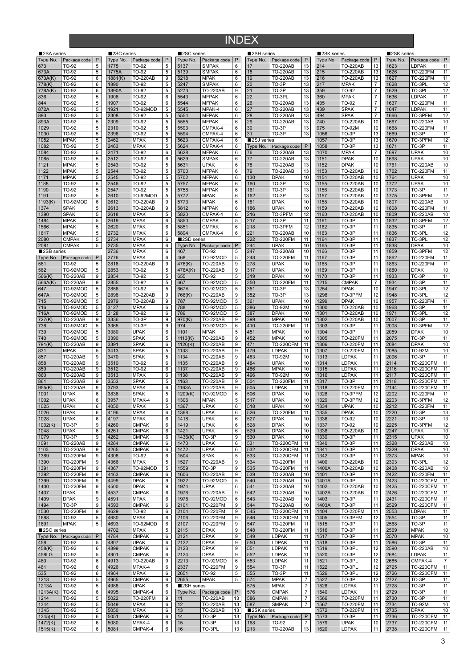## INDEX

| 2SA series  |                 |                | ■2SC series |                 |                 | ■2SC series |                 |                  | 2SH series  |                           |                  | 2SK series |                 |                  | 2SK series |                  |                |
|-------------|-----------------|----------------|-------------|-----------------|-----------------|-------------|-----------------|------------------|-------------|---------------------------|------------------|------------|-----------------|------------------|------------|------------------|----------------|
| Type No.    | Package code    | P              | Type No.    | Package code    | $\mathsf{P}$    | Type No.    | Package code    | $\mathsf{P}$     | Type No.    | Package code              | P                | Type No.   | Package code    | P                | Type No.   | Package code     | P              |
| 673         | TO-92           | 5              | 1775        | TO-92           | 5               | 5137        | <b>SMPAK</b>    | 6                | 17          | <b>TO-220AB</b>           | 13               | 214        | <b>TO-220AB</b> | 13               | 1623       | <b>LDPAK</b>     | 11             |
| 673A        | TO-92           | 5              | 1775A       | TO-92           | $\,$ 5 $\,$     | 5139        | <b>SMPAK</b>    | 6                | 18          | <b>TO-220AB</b>           | 13               | 215        | <b>TO-220AB</b> | 13               | 1626       | <b>TO-220FM</b>  | 11             |
| 673A(K)     | TO-92           | 6              | 1881(K)     | <b>TO-220AB</b> | 9               | 5218        | <b>MPAK</b>     | 6                | 19          | <b>TO-220AB</b>           | 13               | 216        | <b>TO-220AB</b> | 13               | 1627       | <b>TO-220FM</b>  | 11             |
|             |                 |                |             |                 |                 |             |                 |                  |             |                           |                  |            |                 |                  |            |                  |                |
| 778(K)      | TO-92           | 6              | 1890        | TO-92           | $\overline{5}$  | 5247        | <b>SMPAK</b>    | 6                | 20          | TO-3P                     | 13               | 217        | <b>MPAK</b>     | $\boldsymbol{7}$ | 1628       | TO-3PL           | 12             |
| 778A(K)     | TO-92           | 6              | 1890A       | TO-92           | 5               | 5273        | <b>TO-220AB</b> | 9                | 21          | TO-3P                     | 13               | 359        | TO-92           | $\overline{7}$   | 629        | TO-3PL           | 12             |
| 836         | TO-92           | 5              | 1906        | TO-92           | 6               | 5543        | <b>MFPAK</b>    | 6                | 22          | TO-3PI                    | 13               | 360        | <b>MPAK</b>     | $\overline{7}$   | 636        | LDPAK            | 11             |
| 844         | TO-92           | 5              | 1907        | TO-92           | $\,6\,$         | 5544        | <b>MFPAK</b>    | $\,6\,$          | 26          | TO-220AB                  | 13               | 435        | TO-92           | $\boldsymbol{7}$ | 1637       | <b>TO-220FM</b>  | 11             |
| 872A        | TO-92           | 5              | 1921        | TO-92MOD        | $\overline{5}$  | 5545        | MPAK-4          | 6                | 27          | <b>TO-220AB</b>           | 13               | 439        | <b>SPAK</b>     | $\overline{7}$   | 1647       | <b>LDPAK</b>     | 11             |
| 893         | TO-92           | 5              | 2308        | TO-92           | 5               | 5554        | <b>MFPAK</b>    | 6                | 28          | <b>TO-220AB</b>           | 13               | 494        | <b>SPAK</b>     | $\overline{7}$   | 1666       | TO-3PFM          | 12             |
| 893A        | TO-92           | 5              | 2309        | TO-92           | 5               | 5555        | <b>MFPAK</b>    | 6                | 29          | <b>TO-220AB</b>           | 13               | 740        | <b>TO-220AB</b> | 10               | 667        | <b>TO-220AB</b>  | 10             |
| 1029        | TO-92           | 5              | 2310        | TO-92           | 5               | 5593        | CMPAK-4         | 6                | 30          | TO-3P                     | 13               | 975        | <b>TO-92M</b>   | 10               | 1668       | <b>TO-220FM</b>  | 11             |
| 1030        | TO-92           | 5              | 2396        | TO-92           | $\,$ 5 $\,$     | 5594        | CMPAK-4         | 6                | 31          | TO-3P                     | 13               | 1056       | TO-3P           | 13               | 1669       | TO-3P            | 11             |
|             | <b>MPAK</b>     | 5              | 2462        | <b>MPAK</b>     | $\overline{5}$  |             | CMPAK-4         | 6                | ■2SJ series |                           |                  | 1057       | TO-3P           | 13               |            | TO-3PFM          | 12             |
| 1052        |                 |                |             |                 |                 | 5623        |                 |                  |             |                           |                  |            |                 |                  | 1670       |                  |                |
| 1082        | TO-92           | 5              | 2463        | <b>MPAK</b>     | $\overline{5}$  | 5624        | CMPAK-4         | 6                | Type No.    | Package code              | $\mathsf{P}$     | 1058       | TO-3P           | 13               | 1671       | TO-3P            | 11             |
| 1084        | TO-92           | 5              | 2471        | TO-92           | 6               | 5628        | <b>MFPAK</b>    | 6                | 76          | <b>TO-220AB</b>           | 13               | 1070       | <b>MPAK</b>     | $\overline{7}$   | 1697       | <b>UPAK</b>      | 10             |
| 1085        | TO-92           | 5              | 2512        | TO-92           | 6               | 5629        | <b>SMPAK</b>    | 6                | 77          | <b>TO-220AB</b>           | 13               | 1151       | <b>DPAK</b>     | 10               | 1698       | <b>UPAK</b>      | 10             |
| 1121        | <b>MPAK</b>     | 5              | 2543        | TO-92           | $\,$ 5 $\,$     | 5631        | <b>UPAK</b>     | $\,6\,$          | 78          | TO-220AB                  | 13               | 1152       | <b>DPAK</b>     | 10               | 1761       | <b>TO-220AB</b>  | $10$           |
| 1122        | <b>MPAK</b>     | 5              | 2544        | TO-92           | $\overline{5}$  | 5700        | <b>MFPAK</b>    | 6                | 79          | <b>TO-220AB</b>           | 13               | 1153       | <b>TO-220AB</b> | 10               | 1762       | <b>TO-220FM</b>  | 11             |
| 1171        | <b>MPAK</b>     | 5              | 2545        | TO-92           | 5               | 5702        | <b>MFPAK</b>    | 6                | 130         | <b>DPAK</b>               | 10               | 1154       | TO-220AB        | 10               | 1764       | <b>UPAK</b>      | $10$           |
| 1188        | TO-92           | 5              | 2546        | TO-92           | 5               | 5757        | <b>MFPAK</b>    | 6                | 160         | TO-3P                     | 13               | 1155       | <b>TO-220AB</b> | 10               | 1772       | <b>UPAK</b>      | 10             |
| 1190        | TO-92           | 5              | 2547        | TO-92           | 5               | 5758        | <b>MFPAK</b>    | 6                | 161         | TO-3P                     | 13               | 1156       | <b>TO-220AB</b> | 10               | 1773       | TO-3P            | 11             |
| 1191        | TO-92           | 5              | 2610        | TO-92MOD        | $\,$ 5 $\,$     | 5772        | <b>MPAK</b>     | 6                | 162         | TO-3P                     | 13               | 1157       | TO-220AB        | 10               | 1775       | TO-3PFM          | 12             |
| 1193(K)     | TO-92MOD        | 6              | 2612        | <b>TO-220AB</b> | 9               | 5773        | <b>MPAK</b>     | 6                | 181         | <b>DPAK</b>               | 10               | 1158       | TO-220AB        | 10               | 1807       | <b>TO-220AB</b>  | 10             |
|             |                 |                |             |                 |                 |             |                 |                  |             |                           |                  |            |                 |                  |            |                  |                |
| 1374        | <b>SPAK</b>     | 5              | 2613        | <b>TO-220AB</b> | 9               | 5812        | <b>MFPAK</b>    | 6                | 186         | <b>UPAK</b>               | 10               | 1159       | TO-220AB        | 10               | 1808       | <b>TO-220FM</b>  | 11             |
| 1390        | <b>SPAK</b>     | 5              | 2618        | <b>MPAK</b>     | 5               | 5820        | CMPAK-4         | 6                | 216         | TO-3PFM                   | 12               | 1160       | TO-220AB        | 10               | 1809       | <b>TO-220AB</b>  | 10             |
| 1484        | <b>MPAK</b>     | 5              | 2619        | <b>MPAK</b>     | 6               | 5850        | <b>CMPAK</b>    | 5                | 217         | $\overline{\text{TO-3P}}$ | 11               | 1161       | TO-3P           | 11               | 1832       | TO-3PFM          | 12             |
| 1566        | <b>MPAK</b>     | $\,$ 5 $\,$    | 2620        | <b>MPAK</b>     | $\,6\,$         | 5851        | <b>CMPAK</b>    | $\,6\,$          | 218         | TO-3PFM                   | 12               | 1162       | TO-3P           | 11               | 1835       | TO-3P            | 11             |
| 1617        | <b>MPAK</b>     | 5              | 2732        | <b>MPAK</b>     | 6               | 5894        | CMPAK-4         | 6                | 221         | <b>TO-220AB</b>           | 10               | 1163       | TO-3P           | 11               | 1836       | TO-3PL           | 12             |
| 2080        | <b>CMPAK</b>    | 5              | 2734        | <b>MPAK</b>     | 6               | 2SD series  |                 |                  | 222         | <b>TO-220FM</b>           | 11               | 1164       | TO-3P           | 11               | 1837       | TO-3PL           | 12             |
| 2081        | <b>CMPAK</b>    | 5              | 2735        | <b>MPAK</b>     | $\,6\,$         | Type No.    | Package code    | $\mathsf{P}$     | 244         | <b>UPAK</b>               | 10               | 1165       | TO-3P           | 11               | 1838       | <b>DPAK</b>      | 10             |
| 2SB series  |                 |                | 2736        | <b>MPAK</b>     | 6               | 467         | TO-92           | 5                | 247         | <b>TO-220AB</b>           | 10               | 1166       | TO-3P           | 11               | 1859       | TO-3PFM          | 12             |
| Type No.    | Package code    | $\mathsf{P}$   | 2776        | <b>MPAK</b>     | $\,6\,$         | 468         | TO-92MOD        | 5                | 248         | <b>TO-220FM</b>           | 11               | 1167       | TO-3P           | 11               | 862        | <b>TO-220FM</b>  | 11             |
|             |                 |                |             |                 |                 |             |                 |                  |             |                           |                  |            |                 |                  |            |                  |                |
| 561         | TO-92           | 5              | 2816        | <b>TO-220AB</b> | 9               | 476(K)      | <b>TO-220AB</b> | 9                | 278         | <b>UPAK</b>               | 10               | 1168       | TO-3P           | 11               | 1863       | <b>TO-220FM</b>  | 11             |
| 562         | TO-92MOD        | 5              | 2853        | TO-92           | $\overline{5}$  | 476A(K)     | <b>TO-220AB</b> | 9                | 317         | <b>UPAK</b>               | $10$             | 1169       | TO-3P           | 11               | 1880       | <b>DPAK</b>      | $10$           |
| 566(K)      | <b>TO-220AB</b> | 9              | 2854        | TO-92           | 5               | 655         | TO-92           | 5                | 319         | <b>DPAK</b>               | 10               | 1170       | TO-3P           | 11               | 1933       | TO-3P            | 11             |
| 566A(K)     | <b>TO-220AB</b> | 9              | 2855        | TO-92           | 5               | 667         | TO-92MOD        | 5                | 350         | <b>TO-220FM</b>           | 11               | 1215       | <b>CMPAK</b>    | $\overline{7}$   | 1934       | TO-3P            | 11             |
| 647         | TO-92MOD        | 5              | 2856        | TO-92           | $\,$ 5 $\,$     | 667A        | TO-92MOD        | $\,$ 5 $\,$      | 351         | TO-3P                     | 13               | 1254       | <b>DPAK</b>     | 10               | 1947       | TO-3PL           | 12             |
| 647A        | TO-92MOD        | 5              | 2898        | <b>TO-220AB</b> | 9               | 768(K)      | <b>TO-220AB</b> | 9                | 352         | TO-3P                     | 13               | 1298       | TO-3PFM         | 12               | 1948       | TO-3PL           | 12             |
| 715         | TO-92MOD        | 5              | 2979        | <b>TO-220AB</b> | 9               | 787         | TO-92MOD        | 5                | 361         | <b>UPAK</b>               | 10               | 1299       | <b>DPAK</b>     | 10               | 1957       | <b>TO-220FM</b>  | 11             |
| 716         | TO-92MOD        | 5              | 3127        | <b>MPAK</b>     | 6               | 788         | TO-92MOD        | 5                | 386         | TO-92M                    | 10               | 1300       | <b>TO-220AB</b> | 10               | 1968       | TO-3P            | 11             |
| 716A        | TO-92MOD        | 5              | 3128        | TO-92           | 6               | 789         | TO-92MOD        | 5                | 387         | <b>DPAK</b>               | 10               | 1301       | <b>TO-220AB</b> | 10               | 1971       | TO-3PL           | 12             |
|             |                 | 9              |             |                 | 9               |             |                 |                  |             |                           | 10               |            |                 | 10               |            | TO-3P            | 11             |
| 727(K)      | <b>TO-220AB</b> |                | 3336        | TO-3P           |                 | 970(K)      | <b>TO-220AB</b> | 9                | 399         | <b>MPAK</b>               |                  | 1302       | <b>TO-220AB</b> |                  | 2007       |                  |                |
| 738         | TO-92MOD        | 5              | 3365        | TO-3P           | 9               | 974         | TO-92MOD        | 6                | 410         | <b>TO-220FM</b>           | 11               | 1303       | TO-3P           | 11               | 2008       | TO-3PFM          | 12             |
| 739         | TO-92MOD        | 5              | 3380        | <b>UPAK</b>     | $6\overline{6}$ | 1101        | <b>MPAK</b>     | 5                | 451         | <b>MPAK</b>               | $10$             | 1304       | TO-3P           | 11               | 2059       | <b>DPAK</b>      | $10$           |
| 740         | TO-92MOD        | 5              | 3390        | <b>SPAK</b>     | 5               | 1113(K)     | <b>TO-220AB</b> | 9                | 452         | MPAK                      | 10               | 1305       | <b>TO-220FM</b> | 11               | 2075       | TO-3P            | 11             |
| 791(K)      | <b>TO-220AB</b> | 9              | 3391        | <b>SPAK</b>     | 6               | 1126(K)     | <b>TO-220AB</b> | 9                | 471         | <b>TO-220CFM</b>          | 11               | 1306       | <b>TO-220FM</b> | 11               | 2084       | <b>DPAK</b>      | 10             |
| 831         | <b>MPAK</b>     | 5              | 3413        | <b>SPAK</b>     | $\overline{5}$  | 1133        | <b>TO-220AB</b> | 9                | 479         | LDPAK                     | 11               | 1307       | <b>TO-220FM</b> | 11               | 2085       | <b>TO-92M</b>    | $10$           |
| 857         | <b>TO-220AB</b> | 9              | 3470        | <b>SPAK</b>     | $\,$ 5 $\,$     | 1134        | <b>TO-220AB</b> | 9                | 483         | TO-92M                    | 10               | 1313       | LDPAK           | 11               | 2096       | TO-3P            | 11             |
| 858         | <b>TO-220AB</b> | 9              | 3510        | TO-92           | 6               | 1135        | <b>TO-220AB</b> | 9                | 484         | <b>UPAK</b>               | 10               | 1314       | LDPAK           | 11               | 2114       | <b>TO-220CFM</b> | 11             |
| 859         | <b>TO-220AB</b> | 9              | 3512        | TO-92           | 6               | 1137        | <b>TO-220AB</b> | 9                | 486         | MPAK                      | 10               | 1315       | LDPAK           | 11               | 2116       | <b>TO-220CFM</b> | 11             |
| 860         | <b>TO-220AB</b> | 9              | 3513        | <b>MPAK</b>     | 6               | 1138        | <b>TO-220AB</b> |                  | 496         | TO-92M                    | 10               | 1316       | LDPAK           | 11               | 2117       | <b>TO-220CFM</b> |                |
|             |                 |                |             |                 |                 |             |                 | 9                |             |                           |                  |            |                 |                  |            |                  | 11             |
| 861         | <b>TO-220AB</b> | 9              | 3553        | <b>SPAK</b>     | $\overline{5}$  | 1163        | <b>TO-220AB</b> | 9                | 504         | <b>TO-220FM</b>           | 11               | 1317       | TO-3P           | 11               | 2118       | <b>TO-220CFM</b> | 11             |
| 955(K)      | <b>TO-220AB</b> | 9              | 3793        | <b>MPAK</b>     | $\,6\,$         | 1163A       | <b>TO-220AB</b> | $\boldsymbol{9}$ | 505         | LDPAK                     | 11               | 1318       | <b>TO-220FM</b> | 11               | 2144       | <b>TO-220CFM</b> | 11             |
| 1001        | <b>UPAK</b>     | 6              | 3836        | <b>SPAK</b>     | 5               | 1209(K)     | TO-92MOD        | $\,6\,$          | 506         | <b>DPAK</b>               | 10               | 1328       | TO-3PFM         | 12               | 2202       | <b>TO-220FM</b>  | 11             |
| 1002        | <b>UPAK</b>     | 6              | 3957        | MPAK-4          | 6               | 1306        | <b>MPAK</b>     | 5                | 517         | <b>UPAK</b>               | 10               | 1329       | TO-3PFM         | 12               | 2203       | TO-3PFM          | 12             |
| 1025        | <b>UPAK</b>     | 6              | 4050        | <b>MPAK</b>     | 5               | 1367        | UPAK            | 6                | 518         | <b>UPAK</b>               | $10$             | 1334       | <b>UPAK</b>     | ιυ               | 2212       | <b>TO-220FM</b>  | 11             |
| 1026        | <b>UPAK</b>     | 6              | 4196        | <b>MPAK</b>     | $6\,$           | 1368        | <b>UPAK</b>     | 6                | 526         | <b>TO-220FM</b>           | 11               | 1335       | <b>DPAK</b>     | 10               | 2220       | TO-3P            | 13             |
| 1028        | <b>UPAK</b>     | 6              | 4197        | <b>MPAK</b>     | 6               | 1418        | <b>UPAK</b>     | 6                | 527         | <b>DPAK</b>               | 10               | 1336       | TO-92           | 10               | 2221       | TO-3P            | 13             |
| 1032(K)     | TO-3P           | 9              | 4260        | <b>CMPAK</b>    | 6               | 1419        | <b>UPAK</b>     | 6                | 528         | <b>DPAK</b>               | $10$             | 1337       | TO-92           | $10$             | 2225       | TO-3PFM          | 12             |
| 1048        | <b>UPAK</b>     | 6              | 4261        | <b>CMPAK</b>    | 6               | 1421        | <b>UPAK</b>     | 6                | 529         | <b>DPAK</b>               | 10               | 1338       | TO-220AB        | 10               | 2247       | <b>UPAK</b>      | 10             |
| 1079        | TO-3P           | 9              | 4262        | <b>CMPAK</b>    | 6               | 1436(K)     | TO-3P           | 9                | 530         | <b>DPAK</b>               | 10               | 1339       | TO-3P           | 11               | 2315       | <b>UPAK</b>      | $10$           |
| 1091        | <b>TO-220AB</b> | 9              | 4264        | <b>CMPAK</b>    | 6               | 1470        | <b>UPAK</b>     | 6                | 531         | <b>TO-220CFM</b>          | 11               | 1340       | TO-3P           | 11               | 2328       | <b>TO-220AB</b>  | 10             |
|             |                 | 9              |             |                 | 6               | 1472        |                 |                  |             | <b>TO-220CFM</b>          | 11               | 1341       |                 | 11               |            | <b>DPAK</b>      |                |
| 1103        | <b>TO-220AB</b> |                | 4265        | <b>CMPAK</b>    |                 |             | <b>UPAK</b>     | 6                | 532         |                           |                  |            | TO-3P           |                  | 2329       |                  | 10             |
| 1389        | <b>TO-220FM</b> | 9              | 4308        | TO-92           | 6               | 1504        | <b>SPAK</b>     | $\sqrt{5}$       | 533         | <b>TO-220CFM</b>          | 11               | 1342       | TO-3P           | 11               | 2373       | <b>MPAK</b>      | 10             |
| 1390        | <b>TO-220FM</b> | 9              | 4366        | <b>MPAK</b>     | 5               | 1527        | <b>TO-220AB</b> | 9                | 534         | <b>TO-220FM</b>           | 11               | 1400       | TO-220AB        | 10               | 2393       | TO-3PL           | 12             |
| 1391        | <b>TO-220FM</b> | 9              | 4367        | TO-92MOD        | 5               | 1559        | TO-3P           | 9                | 535         | <b>TO-220FM</b>           | 11               | 1400A      | <b>TO-220AB</b> | 10               | 2408       | <b>TO-220AB</b>  | 10             |
| 1392        | <b>TO-220FM</b> | 9              | 4463        | <b>CMPAK</b>    | 6               | 1606        | <b>TO-220AB</b> | 9                | 539         | <b>TO-220AB</b>           | 10               | 1401       | TO-3P           | 11               | 2422       | <b>TO-220FM</b>  | 11             |
| 1399        | <b>TO-220FM</b> | 9              | 4499        | <b>DPAK</b>     | 9               | 1922        | TO-92MOD        | 5                | 540         | <b>TO-220AB</b>           | 10               | 1401A      | TO-3P           | 11               | 2423       | <b>TO-220CFM</b> | 11             |
| 1400        | <b>TO-220FM</b> | 9              | 4500        | <b>DPAK</b>     | 9               | 1974        | <b>UPAK</b>     | 6                | 541         | TO-220AB                  | 10               | 1402       | <b>TO-220AB</b> | 10               | 2425       | <b>TO-220CFM</b> | 11             |
| 1407        | <b>DPAK</b>     | 9              | 4537        | <b>CMPAK</b>    | 6               | 1976        | <b>TO-220AB</b> | 9                | 542         | <b>TO-220AB</b>           | 10               | 1402A      | TO-220AB        | 10               | 2426       | <b>TO-220CFM</b> | 11             |
| 1409        | <b>DPAK</b>     | 9              | 4591        | <b>MPAK</b>     | 6               | 1978        | TO-92MOD        | 6                | 543         | <b>TO-220AB</b>           | 10               | 1403       | TO-3P           | 11               | 2431       | <b>TO-220CFM</b> | 11             |
| 1494        | TO-3P           | 9              | 4593        | <b>CMPAK</b>    | 6               | 2101        | <b>TO-220FM</b> | 9                | 544         | <b>TO-220AB</b>           | 10               | 1403A      | TO-3P           | 11               | 2529       | <b>TO-220CFM</b> | 11             |
| 1530        | <b>TO-220FM</b> | 9              | 4629        | TO-92           | 6               | 2104        | <b>TO-220FM</b> | 9                | 545         | <b>TO-220CFM</b>          | 11               | 1404       | <b>TO-220FM</b> | 11               | 2553       | <b>LDPAK</b>     | 11             |
| 1688        | TO-92           | 5              | 4680        | <b>MPAK</b>     | 6               | 2106        | <b>TO-220FM</b> | $\boldsymbol{9}$ | 546         | <b>TO-220CFM</b>          | 11               | 1405       | TO-3PFM         | 12               | 2554       | TO-3P            | 11             |
| 1691        | <b>MPAK</b>     | 5              | 4693        | TO-92MOD        | 6               | 2107        | <b>TO-220FM</b> | 9                | 547         | <b>TO-220FM</b>           | 11               | 1515       | TO-3P           | 11               | 2568       | TO-3P            | 11             |
|             |                 |                |             |                 |                 |             |                 |                  |             |                           |                  |            |                 |                  |            |                  |                |
| ■2SC series |                 |                | 4702        | <b>MPAK</b>     | $\sqrt{5}$      | 2115        | <b>DPAK</b>     | 9                | 548         | <b>TO-220FM</b>           | 11               | 1516       | TO-3P           | 11               | 2569       | <b>MPAK</b>      | 10             |
| Type No.    | Package code    | P              | 4784        | <b>CMPAK</b>    | 6               | 2121        | <b>DPAK</b>     | 9                | 549         | LDPAK                     | 11               | 1517       | TO-3P           | 11               | 2570       | <b>MPAK</b>      | 10             |
| 458         | TO-92           | 5              | 4807        | <b>UPAK</b>     | 6               | 2122        | <b>DPAK</b>     | 9                | 550         | LDPAK                     | 11               | 1518       | TO-3P           | 11               | 2586       | TO-3P            | 11             |
| 458(K)      | TO-92           | 6              | 4899        | <b>CMPAK</b>    | 6               | 2123        | <b>DPAK</b>     | $\boldsymbol{9}$ | 551         | LDPAK                     | 11               | 1519       | TO-3PL          | 12               | 2590       | <b>TO-220AB</b>  | 10             |
| 458LG       | TO-92           | 5              | 4901        | <b>CMPAK</b>    | 6               | 2124        | <b>DPAK</b>     | 9                | 552         | LDPAK                     | 11               | 1520       | TO-3PL          | 12               | 2684       | <b>LDPAK</b>     | 11             |
| 460         | TO-92           | 6              | 4913        | <b>TO-220AB</b> | 9               | 2213        | TO-92MOD        | 6                | 553         | LDPAK                     | 11               | 1521       | TO-3PL          | 12               | 2685       | CMPAK-4          | $\overline{7}$ |
| 461         | TO-92           | 6              | 4926        | MPAK-4          | 6               | 2337        | <b>TO-220FM</b> | 9                | 554         | TO-3P                     | 11               | 1522       | TO-3PL          | 12               | 2725       | <b>TO-220CFM</b> | 11             |
| 535         | TO-92           | 6              | 4964        | <b>MPAK</b>     | 6               | 2651        | TO-92           | 5                | 555         | TO-3P                     | 11               | 1526       | TO-3PL          | 12               | 2726       | <b>TO-220CFM</b> | 11             |
| 1213        | TO-92           | 5              | 4965        | <b>CMPAK</b>    | 6               | 2655        | <b>MPAK</b>     | $\,$ 5 $\,$      | 574         | <b>MPAK</b>               | $\overline{7}$   | 1527       | TO-3PL          | 12               | 2727       | TO-3P            | 11             |
| 1213A       | TO-92           | 5              | 4988        | <b>UPAK</b>     | 6               | 2SH series  |                 |                  | 575         | <b>MPAK</b>               | $\overline{7}$   | 1528       | <b>LDPAK</b>    | 11               | 2728       | TO-3P            | 11             |
|             | TO-92           | 6              | 4995        | CMPAK-4         | 6               | Type No.    |                 | P                |             | <b>CMPAK</b>              | $\boldsymbol{7}$ | 1540       | LDPAK           | 11               | 2729       | TO-3P            |                |
| 1213A(K)    |                 |                |             |                 |                 |             | Package code    |                  | 576         |                           |                  |            |                 |                  |            |                  | 11             |
| 1214        | TO-92           | $\overline{5}$ | 5022        | <b>TO-220FM</b> | $\overline{9}$  | 11          | <b>TO-220AB</b> | 13               | 586         | <b>CMPAK</b>              | $\overline{7}$   | 1566       | <b>TO-220FM</b> | 11               | 2730       | TO-3P            | 11             |
| 1344        | TO-92           | 5              | 5049        | <b>MPAK</b>     | 6               | 12          | <b>TO-220AB</b> | 13               | 587         | <b>SMPAK</b>              | $\overline{7}$   | 1567       | <b>TO-220FM</b> | 11               | 2734       | <b>TO-92M</b>    | 10             |
| 1345        | TO-92           | 5              | 5050        | <b>MPAK</b>     | 6               | 13          | <b>TO-220AB</b> | 13               | ■2SK series |                           |                  | 1572       | <b>TO-220FM</b> | 11               | 2735       | <b>DPAK</b>      | 10             |
| 1345(K)     | TO-92           | 6              | 5051        | <b>CMPAK</b>    | 6               | 14          | TO-3P           | 13               | Type No.    | Package code              | P                | 1573       | TO-3P           | 11               | 2736       | <b>TO-220CFM</b> | 11             |
| 1472(K)     | TO-92           | 6              | 5080        | MPAK-4          | 6               | 15          | TO-3P           | 13               | 168         | TO-92                     | $\boldsymbol{7}$ | 1579       | <b>UPAK</b>     | 10               | 2737       | <b>TO-220CFM</b> | 11             |
| 1515(K)     | TO-92           | 6              | 5081        | CMPAK-4         | 6               | 16          | TO-3PL          | 13               | 213         | <b>TO-220AB</b>           | 13               | 1620       | LDPAK           | 11               | 2738       | <b>TO-220CFM</b> | 11             |
|             |                 |                |             |                 |                 |             |                 |                  |             |                           |                  |            |                 |                  |            |                  |                |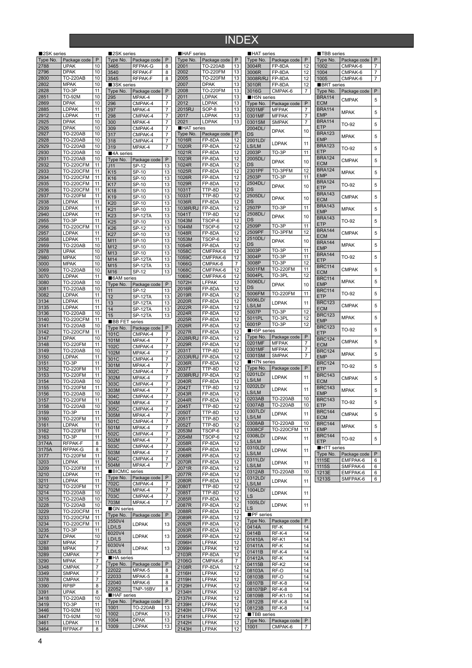## INDEX

| 2SK series   |                                      |          |
|--------------|--------------------------------------|----------|
| Type No.     | Package code                         | P        |
| 2788<br>2796 | <b>UPAK</b><br><b>DPAK</b>           | 10<br>10 |
| 2800         | <b>TO-220AB</b>                      | 10       |
| 2802         | <b>MPAK</b>                          | 10       |
| 2828         | TO-3P                                | 11       |
| 2851         | TO-92M                               | 10       |
| 2869<br>2885 | <b>DPAK</b><br>LDPAK                 | 10<br>11 |
| 2912         | LDPAK                                | 11       |
| 2925         | <b>DPAK</b>                          | 10       |
| 2926         | <b>DPAK</b>                          | 10       |
| 2927         | <b>TO-220AB</b>                      | 10       |
| 2928<br>2929 | <b>TO-220AB</b><br><b>TO-220AB</b>   | 10<br>10 |
| 2930         | <b>TO-220AB</b>                      | 10       |
| 2931         | т<br>-220AB                          | 10       |
| 2932         | <b>TO-220CFM</b>                     | 11       |
| 2933         | TO-220CFM                            | 11       |
| 2934<br>2935 | <b>TO-220CFM</b><br>TO-220CFM        | 11<br>11 |
| 2936         | $-220CFM$<br>т                       | 11       |
| 2937         | 220FM<br>TO-                         | 11       |
| 2938         | LDPAK                                | 11       |
| 2939         | LDPAK                                | 11       |
| 2940<br>2955 | LDPAK                                | 11<br>11 |
| 2956         | TO-3P<br><b>TO-220CFM</b>            | 11       |
| 2957         | LDPAK                                | 11       |
| 2958         | LDPAK                                | 11       |
| 2959         | <b>TO-220AB</b>                      | 10       |
| 2978<br>2980 | <b>UPAK</b><br><b>MPAK</b>           | 10<br>10 |
| 3000         | <b>MPAK</b>                          | 10       |
| 3069         | <b>TO-220AB</b>                      | 10       |
| 3070         | <b>LDPAK</b>                         | 11       |
| 3080         | <b>TO-220AB</b>                      | 10       |
| 3081<br>3082 | <b>TO-220AB</b><br>LDPAK             | 10<br>11 |
| 3134         | .DPAK                                | 11       |
| 3135         | LDPAK                                | 11       |
| 3136         | <b>TO-220AB</b>                      | 10       |
| 3140         | 220CFM<br>TO-                        | 11       |
| 3141<br>3142 | TO-220AB<br><b>TO-220CFM</b>         | 10<br>11 |
| 3147         | <b>DPAK</b>                          | 10       |
| 3148         | TO-220FM                             | 11       |
| 3149         | TO-220AB                             | 10       |
| 3150<br>3151 | LDPAK<br>TO-3P                       | 11<br>11 |
| 3152         | <b>TO-220FM</b>                      | 11       |
| 3153         | <b>TO-220FM</b>                      | 11       |
| 3154         | TO-<br>220AB                         | 10       |
| 3155<br>3156 | <b>TO-220FM</b><br>TO-220AB          | 11<br>10 |
| 3157         | <b>TO-220FM</b>                      | 11       |
| 3158         | ءَ-∪ ا<br>220AB                      | 10       |
| 3159         | <b>TO-3P</b>                         | 11       |
| 3160<br>3161 | TO-220FM<br><b>LDPAK</b>             | 11<br>11 |
| 3162         | TO-220FM                             | 11       |
| 3163         | TO-3P                                | 11       |
| 3174A        | RFPAK-F                              | 8        |
| 3175A        | RFPAK-G<br>TO-220FM                  | 8        |
| 3177<br>3203 | LDPAK                                | 11<br>11 |
| 3209         | <b>TO-220FM</b>                      | 11       |
| 3210         | <b>LDPAK</b>                         | 11       |
| 3211         | LDPAK                                | 11       |
| 3212<br>3214 | TO-220FM<br><b>TO-220AB</b>          | 11<br>10 |
| 3215         | TO-220AB                             | 10       |
| 3228         | TO-220AB                             | 10       |
| 3229         | <b>TO-220CFM</b>                     | 11       |
| 3233<br>3234 | <b>TO-220CFM</b><br><b>TO-220CFM</b> | 11<br>11 |
| 3235         | TO-3P                                | 11       |
| 3274         | <b>DPAK</b>                          | 10       |
| 3287         | <b>MPAK</b>                          | 7        |
| 3288<br>3289 | MPAK<br><b>CMPAK</b>                 | 7<br>7   |
| 3290         | <b>MPAK</b>                          | 7        |
| 3348         | <b>CMPAK</b>                         | 7        |
| 3349         | <b>SMPAK</b>                         | 7        |
| 3378         | <b>CMPAK</b>                         | 7        |
| 3390<br>3391 | RP8P<br><b>UPAK</b>                  | 8<br>8   |
|              | <b>TO-220AB</b>                      | 10       |
|              |                                      |          |
| 3418<br>3419 | TO-3P                                | 11       |
| 3446         | TO-92M                               | 10       |
| 3447<br>3461 | TO-92M<br>LDPAK                      | 10<br>11 |

| ■2SK series               |                             |                     | <b>HAF</b> series |                |
|---------------------------|-----------------------------|---------------------|-------------------|----------------|
| Type No.                  | Package code                | P                   | Type No.          | P.             |
| 3465                      | RFPAK-G                     | 8                   | 2001              | Т١             |
| 3540                      | <b>RFPAK-F</b>              | 8                   | 2002              | Т١             |
| 3545                      | RFPAK-F                     | 8                   | 2005              | Т١             |
| 3SK series                |                             |                     | 2007              | D<br>т         |
| Type No.<br>295           | Package code                | P<br>7              | 2008<br>2011      | Ц              |
| 296                       | MPAK-4<br>CMPAK-4           | 7                   | 2012              | Ц              |
| 297                       | MPAK-4                      | 7                   | 2015RJ            | S              |
| 298                       | CMPAK-4                     | 7                   | 2017              | Ц              |
| 300                       | MPAK-4                      | 7                   | 2021              | Ц              |
| 309                       | CMPAK-4                     | 7                   | HAT series        |                |
| 317                       | CMPAK-4                     | 7                   | Type No.          | P.             |
| 318                       | CMPAK-4                     | 7                   | 1016R             | F              |
| 319                       | MPAK-4                      | 7                   | 1020R             | F              |
| 4A series                 |                             |                     | 1021R             | F              |
| Type No.                  | Package code                | P                   | 1023R             | F              |
| J11                       | SP-12                       | 13                  | 1024R             | F              |
| K15                       | SP-10                       | 13                  | 1025R             | F              |
| K16                       | SP-10                       | 13                  | 1026R<br>1029R    | F<br>F         |
| K17                       | SP-10                       | 13                  | 1031T             | T              |
| K18                       | SP-10                       | 13                  | 1033T             | T              |
| K19<br>K20                | SP-10<br>SP-10              | 13<br>13            | 1036R             | F              |
| K21                       | SP-10                       | 13                  | 1038R/RJ          | F              |
| K <sub>23</sub>           | SP-12TA                     | 13                  | 1041T             | Т              |
| K <sub>25</sub>           | $\overline{SP-10}$          | 13                  | 1043M             | T.             |
| K26                       | SP-12                       | 13                  | 1044M             | T.             |
| K27                       | SP-10                       | $\overline{13}$     | 1048R             | F              |
| M <sub>11</sub>           | SP-10                       | 13                  | 1053M             | т              |
| M12                       | SP-10                       | 13                  | 1054R             | F              |
| M <sub>13</sub>           | SP-10                       | 13                  | 1058C             | Ċ              |
| M14                       | $\overline{\text{SP-12TA}}$ | 13                  | 1059C             | C              |
| M15                       | SP-12TA                     | 13                  | 1066G             | $\overline{c}$ |
| M16                       | SP-12                       | 13                  | 1068C             | C              |
| 6AM series                |                             |                     | 1069C<br>1072H    | С<br>ī.        |
| Type No.                  | Package code                | P                   | 2016R             | F              |
| 11                        | SP-12                       | 13                  | 2019R             | F              |
| 12                        | SP-12TA<br>SP-12TA          | 13<br>13            | 2020R             | F              |
| 13<br>14                  | SP-12TA                     | 13                  | 2022R             | F              |
| 15                        | SP-12TA                     | 13                  | 2024R             | F              |
| <b>■BBFET</b>             | series                      |                     | 2025R             | F              |
| Type No.                  | Package code                | P                   | 2026R             | F              |
| 101C                      | CMPAK-4                     | 7                   | 2027R             | F              |
| 101M                      | MPAK-4                      | 7                   | 2028R/RJ          | F              |
| 102C                      | CMPAK-4                     | 7                   | 2029R             | F              |
| 102M                      | MPAK-4                      | 7                   | 2031T             | т<br>F         |
| 301C                      | CMPAK-4                     | 7                   | 2033R/RJ<br>2036R | F              |
| 301M                      | MPAK-4                      | 7                   | 2037T             | Т              |
| 302C                      | CMPAK-4                     | 7                   | 2038R/RJ          | F              |
| 302M                      | MPAK-4                      | 7                   | 2040R             | F              |
| 303C                      | CMPAK-4<br>MPAK-4           | 7                   | 2042T             | Т              |
| 303M<br>304C              | CMPAK-4                     | 7<br>$\overline{7}$ | 2043R             | F              |
| 304M                      | MPAK-4                      | 7                   | 2044R             | ы              |
| 305C                      | CMPAK-4                     | 7                   | 2045T             | Т              |
| 305M                      | MPAK-4                      | 7                   | 2050T             | Т              |
| 501C                      | CMPAK-4                     | 7                   | 2051T             | Τ              |
| 501M                      | MPAK-4                      | 7                   | 2052T             | T              |
| 502C                      | CMPAK-4                     | 7                   | 2053M             | т<br>Ţ.        |
| 502M                      | MPAK-4                      | 7                   | 2054M<br>2058R    | F              |
| 503C                      | CMPAK-4                     | 7                   | 2064R             | F              |
| 503M                      | MPAK-4                      | 7                   | 2068R             | F              |
| 504C                      | CMPAK-4                     | 7                   | 2070R             | F              |
| 504M                      | MPAK-4                      | 7                   | 2071R             | F              |
| <b>BICMIC</b> series      |                             | Ρ                   | 2077R             | F              |
| Type No.<br>702C          | Package code<br>CMPAK-4     | 7                   | 2080R             | F              |
| 702M                      | MPAK-4                      | 7                   | 2080T             | Т              |
| 703C                      | CMPAK-4                     | 7                   | 2085T             | т              |
| 703M                      | MPAK-4                      | 7                   | 2085R             | F              |
| GN series                 |                             |                     | 2087R             | F              |
| Type No.                  | Package code                | $\mathsf{P}$        | 2088R<br>2089R    | F<br>F         |
| 2550V4                    | <b>LDPAK</b>                | 13                  | 2092R             | F              |
| LD/LS                     |                             |                     | 2093R             | F              |
| 6020V4                    | <b>LDPAK</b>                | 13                  | 2095R             | F              |
| LD/LS                     |                             |                     | 2096H             | Ц              |
| 6030V4                    | <b>LDPAK</b>                | 13                  | 2099H             | ์<br>Ll        |
| LD/LS<br><b>HA</b> series |                             |                     | 2103R             | F              |
| Type No.                  | Package code                | P                   | 2106G             | c              |
| 22022                     | MPAK-5                      | 8                   | 2108R             | F              |
| 22033                     | MPAK-5                      | 8                   | 2116H             | Ц              |
| 22040                     | MPAK-6                      | 8                   | 2119H             | $\Box$         |
| 22052                     | TNP-16BV                    | 8                   | 2129H             | Ц              |
| ■HAF series               |                             |                     | 2134H<br>2137H    | $\Box$<br>LI   |
| Type No.                  | Package code                | Ρ                   | 2139H             |                |
| 1001                      | TO-220AB                    | 13                  | 2140H             | Ц<br>Ц         |
| 1002                      | <b>LDPAK</b>                | 13                  | 2141H             | Ц              |
| 1004                      | <b>DPAK</b>                 | 13                  | 2142H             | Ц              |
| 1009                      | <b>LDPAK</b>                | 13                  | 2143H             | Ц              |
|                           |                             |                     |                   |                |

| <b>HAF</b> series       |                                |          | <b>HAT</b> series |                         |          |
|-------------------------|--------------------------------|----------|-------------------|-------------------------|----------|
| Type No.                | Package code                   | P        | Type No.          | Package code            | P        |
| 2001                    | <b>TO-220AB</b>                | 13       | 3004R             | FP-8DA                  | 12       |
| 2002                    | <b>TO-220FM</b>                | 13       | 3006R             | FP-8DA                  | 12       |
| 2005                    | <b>TO-220FM</b>                | 13       | 3008R/RJ          | FP-8DA                  | 12       |
| 2007<br>2008            | <b>DPAK</b><br><b>TO-220FM</b> | 13<br>13 | 3010R<br>3016G    | FP-8DA<br>CMPAK-6       | 12<br>7  |
| 2011                    | <b>LDPAK</b>                   | 13       | H5N series        |                         |          |
| 2012                    | <b>LDPAK</b>                   | 13       | Type No.          | Package code            | P        |
| 2015RJ                  | SOP-8                          | 13       | 0201MF            | MFPAK                   | 7        |
| 2017                    | <b>LDPAK</b>                   | 13       | 0301MF            | <b>MFPAK</b>            | 7        |
| 2021                    | <b>LDPAK</b>                   | 13       | 0301SM            | <b>SMPAK</b>            | 7        |
| <b>HAT</b> series       |                                |          | 2004DL/           | <b>DPAK</b>             | 10       |
| Type No.                | Package code                   | P        | DS                |                         |          |
| 1016R<br>1020R          | FP-8DA<br>FP-8DA               | 12<br>12 | 2001LD/           | LDPAK                   | 11       |
| 1021R                   | FP-8DA                         | 12       | LS/LM<br>2003P    | TO-3P                   | 11       |
| 1023R                   | FP-8DA                         | 12       | 2005DL/           |                         |          |
| 1024R                   | FP-8DA                         | 12       | DS                | <b>DPAK</b>             | 10       |
| 1025R                   | FP-8DA                         | 12       | 2301PF            | TO-3PFM                 | 12       |
| 1026R                   | FP-8DA                         | 12       | 2503P             | TO-3P                   | 11       |
| 1029R                   | FP-8DA                         | 12       | 2504DL/           | <b>DPAK</b>             | 10       |
| 1031T                   | TTP-8D                         | 12       | DS                |                         |          |
| 1033T                   | TTP-8D                         | 12       | 2505DL/<br>DS     | <b>DPAK</b>             | 10       |
| 1036R<br>1038R/RJ       | FP-8DA<br>FP-8DA               | 12<br>12 | 2507P             | TO-3P                   | 11       |
| 1041T                   | TTP-8D                         | 12       | 2508DL/           |                         |          |
| 1043M                   | TSOP-6                         | 12       | DS                | <b>DPAK</b>             | 10       |
| 1044M                   | TSOP-6                         | 12       | 2509P             | TO-3P                   | 11       |
| 1048R                   | FP-8DA                         | 12       | 2509PF            | TO-3PFM                 | 12       |
| 1053M                   | TSOP-6                         | 12       | 2510DL/           | <b>DPAK</b>             | 10       |
| 1054R                   | FP-8DA                         | 12       | DS                |                         |          |
| 1058C                   | CMFPAK-6                       | 12       | 3003P             | $TO-3P$                 | 11       |
| 1059C                   | CMFPAK-6                       | 12       | 3004P             | TO-3P<br>TO-3P          | 11<br>12 |
| 1066G                   | CMPAK-6                        | 7        | 3008P<br>5001FM   | TO-220FM                | 11       |
| 1068C<br>1069C          | CMFPAK-6<br>CMFPAK-6           | 12<br>12 | 5004PL            | TO-3PL                  | 12       |
| 1072H                   | <b>LFPAK</b>                   | 12       | 5006DL/           |                         |          |
| 2016R                   | FP-8DA                         | 12       | DS                | <b>DPAK</b>             | 10       |
| 2019R                   | FP-8DA                         | 12       | 5006FM            | TO-220FM                | 11       |
| 2020R                   | FP-8DA                         | 12       | 5006LD/           | <b>LDPAK</b>            | 11       |
| 2022R                   | FP-8DA                         | 12       | LS/LM             |                         |          |
| 2024R                   | FP-8DA                         | 12       | 5007P             | TO-3P                   | 12       |
| 2025R                   | FP-8DA                         | 12       | 5011PL<br>6001P   | TO-3PL<br>TO-3P         | 12<br>12 |
| 2026R                   | FP-8DA                         | 12       | H5P series        |                         |          |
| 2027R<br>2028R/RJ       | FP-8DA<br>FP-8DA               | 12<br>12 | Type No.          | Package code            | P        |
| 2029R                   | FP-8DA                         | 12       | 0201MF            | <b>MFPAK</b>            | 7        |
| 2031T                   | TTP-8D                         | 12       | 0301MF            | <b>MFPAK</b>            | 7        |
| 2033R/RJ                | FP-8DA                         | 12       | 0301SM            | <b>SMPAK</b>            | 7        |
| 2036R                   | FP-8DA                         | 12       | H7N series        |                         |          |
| 2037T                   | TTP-8D                         | 12       | Type No.          | Package code            | P        |
| 2038R/RJ                | FP-8DA                         | 12       | 0201LD/           | <b>LDPAK</b>            | 11       |
| 2040R                   | FP-8DA                         | 12       | LS/LM<br>0202LD/  |                         |          |
| 2042T                   | TTP-8D                         | 12<br>12 | LS/LM             | LDPAK                   | 11       |
| 2043R<br>2044R          | FP-8DA<br>FP-8DA               | 12       | 0203AB            | <b>TO-220AB</b>         | 10       |
| 2045T                   | TTP-8D                         | 12       | 0307AB            | <b>TO-220AB</b>         | 10       |
| 2050T                   | TTP-8D                         | 12       | 0307LD/           | <b>LDPAK</b>            | 11       |
| 2051T                   | TTP-8D                         | 12       | LS/LM             |                         |          |
| 2052T                   | TTP-8D                         | 12       | 0308AB            | <b>TO-220AB</b>         | 10       |
| 2053M                   | TSOP-6                         | 12       | 0308CF            | <b>TO-220CFM</b>        | 11       |
| 2054M                   | TSOP-6                         | 12       | 0308LD/           | <b>LDPAK</b>            | 11       |
| 2058R                   | FP-8DA                         | 12       | LS/LM<br>0310LD/  |                         |          |
| 2064R                   | FP-8DA                         | 12       | LS/LM             | <b>LDPAK</b>            | 11       |
| 2068R<br>2070R          | FP-8DA<br>FP-8DA               | 12<br>12 | 0311LD/           |                         |          |
| 2071R                   | FP-8DA                         | 12       | LS/LM             | LDPAK                   | 11       |
| 2077R                   | FP-8DA                         | 12       | 0312AB            | <b>TO-220AB</b>         | 10       |
| 2080R                   | FP-8DA                         | 12       | 0312LD/           | <b>LDPAK</b>            | 11       |
| 2080T                   | TTP-8D                         | 12       | LS/LM             |                         |          |
| 2085T                   | TTP-8D                         | 12       | 1004LD/<br>LS     | <b>LDPAK</b>            | 11       |
| 2085R                   | FP-8DA                         | 12       | 1005LD/           |                         |          |
| 2087R                   | FP-8DA                         | 12       | LS                | <b>LDPAK</b>            | 11       |
| 2088R                   | FP-8DA                         | 12       | PF series         |                         |          |
| 2089R<br>2092R          | FP-8DA<br>FP-8DA               | 12<br>12 | Type No.          | Package code            | P        |
| 2093R                   | FP-8DA                         | 12       | 0414A             | RF-K                    | 14       |
| 2095R                   | FP-8DA                         | 12       | 0414B             | RF-K-4                  | 14       |
| 2096H                   | <b>LFPAK</b>                   | 12       | 01410A            | RF-K1                   | 14       |
| 2099H                   | <b>LFPAK</b>                   | 12       | 01411A            | RF-K                    | 14       |
| 2103R                   | FP-8DA                         | 12       | 01411B            | RF-K-4                  | 14       |
| 2106G                   | CMPAK-6                        | 7        | 01412A<br>04115B  | RF-K<br>RF-K2           | 14<br>14 |
| 2108R                   | FP-8DA                         | 12       | 08103A            | RF-O                    | 14       |
| 2116H                   | LFPAK                          | 12       | 08103B            | RF-O                    | 14       |
| 2119H                   | <b>LFPAK</b>                   | 12       | 08107B            | RF-K-8                  | 14       |
| 2129H<br>2134H          | <b>LFPAK</b><br>LFPAK          | 12<br>12 | 08107BP           | <b>RF-K-8</b>           | 14       |
| 2137H                   | <b>LFPAK</b>                   | 12       | 08109B            | RF-K1-10                | 14       |
| 2139H                   | <b>LFPAK</b>                   | 12       | 08122B            | RF-K-8                  | 14       |
| 2140H                   | <b>LFPAK</b>                   | 12       | 08123B            | RF-K-8                  | 14       |
|                         |                                |          | TBB series        |                         |          |
|                         | <b>LFPAK</b>                   | 12       |                   |                         |          |
| 2141H<br>2142H<br>2143H | <b>LFPAK</b><br><b>LFPAK</b>   | 12<br>12 | Type No.<br>1001  | Package code<br>CMPAK-6 | P<br>7   |

|    |                | TBB series         |              |   |
|----|----------------|--------------------|--------------|---|
| le | $\overline{P}$ | Type No.           | Package code | P |
|    | 12             | 1002               | CMPAK-6      | 7 |
|    |                | 1004               |              | 7 |
|    | 12             |                    | CMPAK-6      |   |
|    | 12             | 1005               | CMPAK-6      | 7 |
|    | 12             | <b>BRT</b> series  |              |   |
|    | 7              | Type No.           | Package code | P |
|    |                | <b>BRA114</b>      |              |   |
| le | P              | <b>ECM</b>         | <b>CMPAK</b> | 5 |
|    | 7              | <b>BRA114</b>      |              |   |
|    | 7              | <b>EMP</b>         | <b>MPAK</b>  | 5 |
|    |                | <b>BRA114</b>      |              |   |
|    | 7              | ETP                | TO-92        | 5 |
|    | 10             |                    |              |   |
|    |                | <b>BRA123</b>      | <b>MPAK</b>  | 5 |
|    | 11             | <b>EMP</b>         |              |   |
|    |                | <b>BRA123</b>      | TO-92        | 5 |
|    | 11             | <b>ETP</b>         |              |   |
|    |                | <b>BRA124</b>      |              |   |
|    | 10             | <b>ECM</b>         | <b>CMPAK</b> | 5 |
|    | 12             | <b>BRA124</b>      |              |   |
|    | 11             | <b>EMP</b>         | <b>MPAK</b>  | 5 |
|    |                | <b>BRA124</b>      |              |   |
|    | 10             | ETP                | TO-92        | 5 |
|    |                | <b>BRA143</b>      |              |   |
|    | 10             |                    | <b>CMPAK</b> | 5 |
|    |                | <b>ECM</b>         |              |   |
|    | 11             | <b>BRA143</b>      | <b>MPAK</b>  | 5 |
|    |                | EMP                |              |   |
|    | 10             | <b>BRA143</b>      | TO-92        | 5 |
|    | 11             | ETP                |              |   |
|    |                | <b>BRA144</b>      |              |   |
|    | 12             | ECM                | <b>CMPAK</b> | 5 |
|    | 10             | <b>BRA144</b>      |              |   |
|    |                | <b>EMP</b>         | <b>MPAK</b>  | 5 |
|    | 11             |                    |              |   |
|    | 11             | <b>BRA144</b>      | TO-92        | 5 |
|    | 12             | ETP                |              |   |
|    | 11             | <b>BRC114</b>      | <b>CMPAK</b> | 5 |
|    | 12             | ECM                |              |   |
|    |                | <b>BRC114</b>      | <b>MPAK</b>  | 5 |
|    | 10             | <b>EMP</b>         |              |   |
|    |                | <b>BRC114</b>      |              |   |
|    | 11             | <b>ETP</b>         | TO-92        | 5 |
|    | 11             | <b>BRC123</b>      |              |   |
|    |                | <b>ECM</b>         | <b>CMPAK</b> | 5 |
|    | 12             | <b>BRC123</b>      |              |   |
|    | 12             | <b>EMP</b>         | <b>MPAK</b>  | 5 |
|    | 12             | <b>BRC123</b>      |              |   |
|    |                |                    | TO-92        | 5 |
| le | P              | ETP                |              |   |
|    | 7              |                    |              |   |
|    |                | <b>BRC124</b>      |              |   |
|    |                | <b>ECM</b>         | <b>CMPAK</b> | 5 |
|    | 7              | <b>BRC124</b>      |              |   |
|    | 7              | <b>EMP</b>         | <b>MPAK</b>  | 5 |
|    |                | <b>BRC124</b>      |              |   |
| le | P              | ETP                | TO-92        | 5 |
|    |                | <b>BRC143</b>      |              |   |
|    | 11             |                    | <b>CMPAK</b> | 5 |
|    |                | <b>ECM</b>         |              |   |
|    | 11             | <b>BRC143</b>      | <b>MPAK</b>  | 5 |
|    |                | EMP                |              |   |
|    | 10             | <b>BKC</b><br>:143 | TO-92        | 5 |
|    | 10             | <b>ETP</b>         |              |   |
|    |                | <b>BRC144</b>      |              |   |
|    | 11             | <b>ECM</b>         | <b>CMPAK</b> | 5 |
|    | 10             | <b>BRC144</b>      |              |   |
| 1  | 11             | <b>EMP</b>         | <b>MPAK</b>  | 5 |
|    |                | <b>BRC144</b>      |              |   |
|    | 11             | <b>ETP</b>         | TO-92        | 5 |
|    |                |                    |              |   |
|    | 11             | HTT series         |              |   |
|    |                | Type No.           | Package code | P |
|    | 11             | 1115E              | EMFPAK-6     | 6 |
|    |                | 1115S              | SMFPAK-6     | 6 |
|    | 10             | 1213E              | EMFPAK-6     | 6 |
|    |                | <b>1213S</b>       | SMFPAK-6     | 6 |
|    | 11             |                    |              |   |
|    |                |                    |              |   |
|    | 11             |                    |              |   |
|    |                |                    |              |   |
|    | 11             |                    |              |   |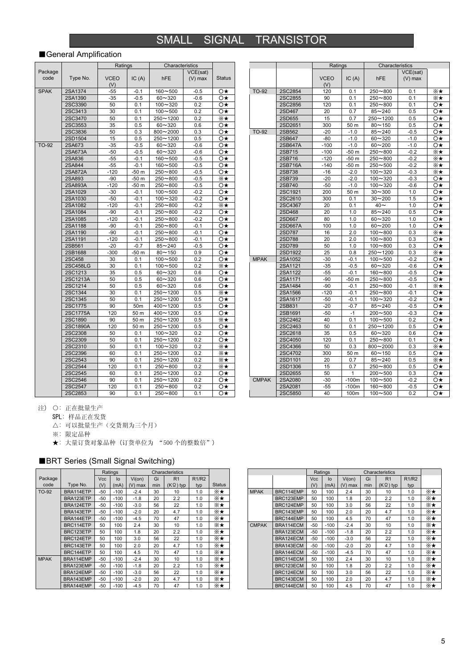### SMALL SIGNAL TRANSISTOR

#### ■General Amplification

|             |                 | Ratings     |        | Characteristics |           |               |
|-------------|-----------------|-------------|--------|-----------------|-----------|---------------|
| Package     |                 |             |        |                 | VCE(sat)  |               |
| code        | Type No.        | <b>VCEO</b> | IC(A)  | hFE             | $(V)$ max | <b>Status</b> |
|             |                 | (V)         |        |                 |           |               |
| <b>SPAK</b> | 2SA1374         | $-55$       | $-0.1$ | $160 - 500$     | $-0.5$    | O★            |
|             | 2SA1390         | $-35$       | -0.5   | $60 - 320$      | $-0.6$    | Ο★            |
|             | 2SC3390         | 50          | 0.1    | $100 - 320$     | 0.2       | Ο★            |
|             | 2SC3413         | 30          | 0.1    | $100 - 500$     | 0.2       | Ο★            |
|             | 2SC3470         | 50          | 0.1    | 250~1200        | 0.2       | ⋇∗            |
|             | 2SC3553         | 35          | 0.5    | $60 - 320$      | 0.6       | Ο★            |
|             | 2SC3836         | 50          | 0.3    | 800~2000        | 0.3       | Ο★            |
|             | 2SD1504         | 15          | 0.5    | 250~1200        | 0.5       | Ο★            |
| TO-92       | 2SA673          | $-35$       | $-0.5$ | $60 - 320$      | $-0.6$    | Ο★            |
|             | 2SA673A         | $-50$       | $-0.5$ | 60~320          | $-0.6$    | Ο★            |
|             | 2SA836          | $-55$       | $-0.1$ | $160 - 500$     | $-0.5$    | Ο★            |
|             | 2SA844          | $-55$       | $-0.1$ | $160 - 500$     | $-0.5$    | Ο★            |
|             | 2SA872A         | $-120$      | $-50m$ | $250 - 800$     | $-0.5$    | Ο★            |
|             | 2SA893          | $-90$       | $-50m$ | $250 - 800$     | $-0.5$    | ⋇⋆            |
|             | 2SA893A         | $-120$      | $-50m$ | $250 - 800$     | $-0.5$    | O★            |
|             | 2SA1029         | $-30$       | $-0.1$ | $100 - 500$     | $-0.2$    | O★            |
|             | 2SA1030         | $-50$       | $-0.1$ | $100 - 320$     | $-0.2$    | O★            |
|             | 2SA1082         | -120        | $-0.1$ | $250 - 800$     | $-0.2$    | ⋇⋆            |
|             | 2SA1084         | $-90$       | $-0.1$ | $250 - 800$     | $-0.2$    | Ο★            |
|             | 2SA1085         | $-120$      | $-0.1$ | $250 - 800$     | $-0.2$    | Ο★            |
|             | 2SA1188         | $-90$       | $-0.1$ | $250 - 800$     | $-0.1$    | Ο★            |
|             | 2SA1190         | $-90$       | $-0.1$ | $250 - 800$     | $-0.1$    | Ο★            |
|             | 2SA1191         | -120        | $-0.1$ | $250 - 800$     | $-0.1$    | Ο★            |
|             | 2SB561          | $-20$       | $-0.7$ | $85 - 240$      | $-0.5$    | Ο★            |
|             | 2SB1688         | -300        | $-50m$ | $80 - 150$      | 0.9       | Ο★            |
|             | 2SC458          | 30          | 0.1    | $100 - 500$     | 0.2       | Ο★            |
|             | <b>2SC458LG</b> | 30          | 0.1    | $100 - 500$     | 0.2       | ⋇⋆            |
|             | 2SC1213         | 35          | 0.5    | $60 - 320$      | 0.6       | Ο★            |
|             | 2SC1213A        | 50          | 0.5    | $60 - 320$      | 0.6       | Ο★            |
|             | 2SC1214         | 50          | 0.5    | 60~320          | 0.6       | Ο★            |
|             | 2SC1344         | 30          | 0.1    | $250 - 1200$    | 0.5       | ⋇⋆            |
|             | 2SC1345         | 50          | 0.1    | 250~1200        | 0.5       | Ο★            |
|             | 2SC1775         | 90          | 50m    | 400~1200        | 0.5       | Ο★            |
|             | 2SC1775A        | 120         | 50 m   | $400 - 1200$    | 0.5       | Ο★            |
|             | 2SC1890         | 90          | 50 m   | $250 - 1200$    | 0.5       | ⋇★            |
|             | 2SC1890A        | 120         | 50 m   | 250~1200        | 0.5       | Ο★            |
|             | 2SC2308         | 50          | 0.1    | $100 - 320$     | 0.2       | O★            |
|             | 2SC2309         | 50          | 0.1    | 250~1200        | 0.2       | Ο★            |
|             | 2SC2310         | 50          | 0.1    | $100 - 320$     | 0.2       | ⋇⋆            |
|             | 2SC2396         | 60          | 0.1    | 250~1200        | 0.2       | ⋇⋆            |
|             | 2SC2543         | 90          | 0.1    | 250~1200        | 0.2       | ⋇⋆            |
|             | 2SC2544         | 120         | 0.1    | 250~800         | 0.2       | ⋇⋆            |
|             | 2SC2545         | 60          | 0.1    | $250 - 1200$    | 0.2       | O★            |
|             | 2SC2546         | 90          | 0.1    | 250~1200        | 0.2       | Ο★            |
|             | 2SC2547         | 120         | 0.1    | $250 - 800$     | 0.2       | O★            |
|             | 2SC2853         | 90          | 0.1    | $250 - 800$     | 0.1       | O★            |

|              |         | Ratings     |         | Characteristics |           |              |
|--------------|---------|-------------|---------|-----------------|-----------|--------------|
|              |         |             |         |                 | VCE(sat)  |              |
|              |         | <b>VCEO</b> | IC(A)   | <b>hFE</b>      | $(V)$ max |              |
|              |         | (V)         |         |                 |           |              |
| <b>TO-92</b> | 2SC2854 | 120         | 0.1     | $250 - 800$     | 0.1       | ×∗           |
|              | 2SC2855 | 90          | 0.1     | $250 - 800$     | 0.1       | ⋇★           |
|              | 2SC2856 | 120         | 0.1     | $250 - 800$     | 0.1       | O★           |
|              | 2SD467  | 20          | 0.7     | $85 - 240$      | 0.5       | O★           |
|              | 2SD655  | 15          | 0.7     | 250~1200        | 0.5       | O★           |
|              | 2SD2651 | 300         | 50 m    | $80 - 150$      | 0.5       | O★           |
| <b>TO-92</b> | 2SB562  | $-20$       | $-1.0$  | $85 - 240$      | $-0.5$    | Ο★           |
|              | 2SB647  | $-80$       | $-1.0$  | $60 - 320$      | $-1.0$    | O★           |
|              | 2SB647A | $-100$      | $-1.0$  | $60 - 200$      | $-1.0$    | O★           |
|              | 2SB715  | $-100$      | -50 m   | $250 - 800$     | $-0.2$    | ⋇★           |
|              | 2SB716  | $-120$      | $-50m$  | $250 - 800$     | $-0.2$    | ⋇★           |
|              | 2SB716A | $-140$      | -50 m   | $250 - 500$     | $-0.2$    | ⋇★           |
|              | 2SB738  | $-16$       | $-2.0$  | $100 - 320$     | $-0.3$    | ⋇★           |
|              | 2SB739  | $-20$       | $-2.0$  | $100 - 320$     | $-0.3$    | O★           |
|              | 2SB740  | $-50$       | $-1.0$  | $100 - 320$     | $-0.6$    | Ο★           |
|              | 2SC1921 | 200         | 50 m    | $30 - 300$      | 1.0       | O★           |
|              | 2SC2610 | 300         | 0.1     | $30 - 200$      | 1.5       | O★           |
|              | 2SC4367 | 20          | 0.1     | $40 -$          | 1.0       | O★           |
|              | 2SD468  | 20          | 1.0     | $85 - 240$      | 0.5       | Ο★           |
|              | 2SD667  | 80          | 1.0     | $60 - 320$      | 1.0       | Ο★           |
|              | 2SD667A | 100         | 1.0     | $60 - 200$      | 1.0       | O★           |
|              | 2SD787  | 16          | 2.0     | $100 - 800$     | 0.3       | ⋇⋆           |
|              | 2SD788  | 20          | 2.0     | $100 - 800$     | 0.3       | O★           |
|              | 2SD789  | 50          | 1.0     | $100 - 800$     | 0.3       | Ο★           |
|              | 2SD1922 | 25          | 0.8     | $250 - 1200$    | 0.3       | ⋇⋆           |
| <b>MPAK</b>  | 2SA1052 | $-30$       | $-0.1$  | $100 - 500$     | $-0.2$    | Ο★           |
|              | 2SA1121 | $-35$       | $-0.5$  | $60 - 320$      | $-0.6$    | O★           |
|              | 2SA1122 | $-55$       | $-0.1$  | 160~800         | $-0.5$    | O★           |
|              | 2SA1171 | $-90$       | $-50m$  | $250 - 800$     | $-0.5$    | O★           |
|              | 2SA1484 | $-90$       | $-0.1$  | $250 - 800$     | $-0.1$    | ⋇⋆           |
|              | 2SA1566 | $-120$      | $-0.1$  | $250 - 800$     | $-0.1$    | O★           |
|              | 2SA1617 | $-50$       | $-0.1$  | $100 - 320$     | $-0.2$    | O★           |
|              | 2SB831  | $-20$       | $-0.7$  | $85 - 240$      | $-0.5$    | O★           |
|              | 2SB1691 | $-50$       | $-1$    | $200 - 500$     | $-0.3$    | Ο★           |
|              | 2SC2462 | 40          | 0.1     | $100 - 500$     | 0.2       | Ο★           |
|              | 2SC2463 | 50          | 0.1     | 250~1200        | 0.5       | Ο★           |
|              | 2SC2618 | 35          | 0.5     | $60 - 320$      | 0.6       | O★           |
|              | 2SC4050 | 120         | 0.1     | $250 - 800$     | 0.1       | O★           |
|              | 2SC4366 | 50          | 0.3     | 800~2000        | 0.3       | ⋇⋆           |
|              | 2SC4702 | 300         | 50 m    | $60 - 150$      | 0.5       | O★           |
|              | 2SD1101 | 20          | 0.7     | $85 - 240$      | 0.5       | ⋇★           |
|              | 2SD1306 | 15          | 0.7     | $250 - 800$     | 0.5       | O★           |
|              | 2SD2655 | 50          | 1       | $200 - 500$     | 0.3       | O★           |
| <b>CMPAK</b> | 2SA2080 | $-30$       | $-100m$ | $100 - 500$     | $-0.2$    | $\circ\star$ |
|              | 2SA2081 | $-55$       | $-100m$ | $160 - 800$     | $-0.5$    | O★           |
|              | 2SC5850 | 40          | 100m    | $100 - 500$     | 0.2       | O★           |

注) 〇: 正在批量生产

SPL: 样品正在发货

- △: 可以批量生产(交货期为三个月)
- ※: 限定品种

★: 大量订货对象品种 (订货单位为 "500 个的整数倍")

### ■BRT Series (Small Signal Switching)

|             |           | Ratings<br>Characteristics |        |              |     |                  |                                |               |
|-------------|-----------|----------------------------|--------|--------------|-----|------------------|--------------------------------|---------------|
| Package     |           | <b>Vcc</b>                 | lo     | $Vi($ on $)$ | Gi  | R <sub>1</sub>   | R <sub>1</sub> /R <sub>2</sub> |               |
| code        | Type No.  | (V)                        | (mA)   | $(V)$ max    | min | $(K \Omega)$ typ | typ                            | <b>Status</b> |
| TO-92       | BRA114ETP | $-50$                      | $-100$ | $-2.4$       | 30  | 10               | 1.0                            | ⋇∗            |
|             | BRA123ETP | -50                        | $-100$ | $-1.8$       | 20  | 2.2              | 1.0                            | ⋇⋆            |
|             | BRA124ETP | -50                        | $-100$ | $-3.0$       | 56  | 22               | 1.0                            | ⋇★            |
|             | BRA143ETP | -50                        | $-100$ | $-2.0$       | 20  | 4.7              | 1.0                            | ⋇★            |
|             | BRA144ETP | -50                        | $-100$ | $-4.5$       | 70  | 47               | 1.0                            | ⋇★            |
|             | BRC114ETP | 50                         | 100    | 2.4          | 30  | 10               | 1.0                            | ⋇⋆            |
|             | BRC123ETP | 50                         | 100    | 1.8          | 20  | 2.2              | 1.0                            | ⋇⋆            |
|             | BRC124ETP | 50                         | 100    | 3.0          | 56  | 22               | 1.0                            | ⋇⋆            |
|             | BRC143ETP | 50                         | 100    | 2.0          | 20  | 4.7              | 1.0                            | ⋇⋆            |
|             | BRC144ETP | 50                         | 100    | 4.5          | 70  | 47               | 1.0                            | ⋇⋆            |
| <b>MPAK</b> | BRA114EMP | -50                        | $-100$ | $-2.4$       | 30  | 10               | 1.0                            | ⋇★            |
|             | BRA123EMP | -50                        | $-100$ | $-1.8$       | 20  | 2.2              | 1.0                            | ⋇★            |
|             | BRA124EMP | -50                        | $-100$ | $-3.0$       | 56  | 22               | 1.0                            | ⋇★            |
|             | BRA143EMP | -50                        | $-100$ | $-2.0$       | 20  | 4.7              | 1.0                            | ⋇⋆            |
|             | BRA144EMP | -50                        | $-100$ | $-4.5$       | 70  | 47               | 1.0                            | ⋇∗            |

|              |           |            | Ratings |              |     | Characteristics  |              |    |
|--------------|-----------|------------|---------|--------------|-----|------------------|--------------|----|
|              |           | <b>Vcc</b> | lo      | $Vi($ on $)$ | Gi  | R <sub>1</sub>   | <b>R1/R2</b> |    |
|              |           | (V)        | (mA)    | (V) max      | min | $(K \Omega)$ typ | typ          |    |
| <b>MPAK</b>  | BRC114EMP | 50         | 100     | 2.4          | 30  | 10               | 1.0          | ⋇∗ |
|              | BRC123EMP | 50         | 100     | 1.8          | 20  | 2.2              | 1.0          | ⋇∗ |
|              | BRC124EMP | 50         | 100     | 3.0          | 56  | 22               | 1.0          | ⋇⋆ |
|              | BRC143EMP | 50         | 100     | 2.0          | 20  | 4.7              | 1.0          | ⋇∗ |
|              | BRC144EMP | 50         | 100     | 4.5          | 70  | 47               | 1.0          | ⋇⋆ |
| <b>CMPAK</b> | BRA114ECM | $-50$      | $-100$  | $-2.4$       | 30  | 10               | 1.0          | ⋇⋆ |
|              | BRA123ECM | $-50$      | $-100$  | $-1.8$       | 20  | 2.2              | 1.0          | ⋇⋆ |
|              | BRA124ECM | $-50$      | $-100$  | $-3.0$       | 56  | 22               | 1.0          | ⋇∗ |
|              | BRA143ECM | $-50$      | $-100$  | $-2.0$       | 20  | 4.7              | 1.0          | ⋇∗ |
|              | BRA144ECM | $-50$      | $-100$  | $-4.5$       | 70  | 47               | 1.0          | ⋇∗ |
|              | BRC114ECM | 50         | 100     | 2.4          | 30  | 10               | 1.0          | ⋇⋆ |
|              | BRC123ECM | 50         | 100     | 1.8          | 20  | 2.2              | 1.0          | ⋇⋆ |
|              | BRC124ECM | 50         | 100     | 3.0          | 56  | 22               | 1.0          | ⋇★ |
|              | BRC143ECM | 50         | 100     | 2.0          | 20  | 4.7              | 1.0          | ⋇★ |
|              | BRC144ECM | 50         | 100     | 4.5          | 70  | 47               | 1.0          | ⋇⋆ |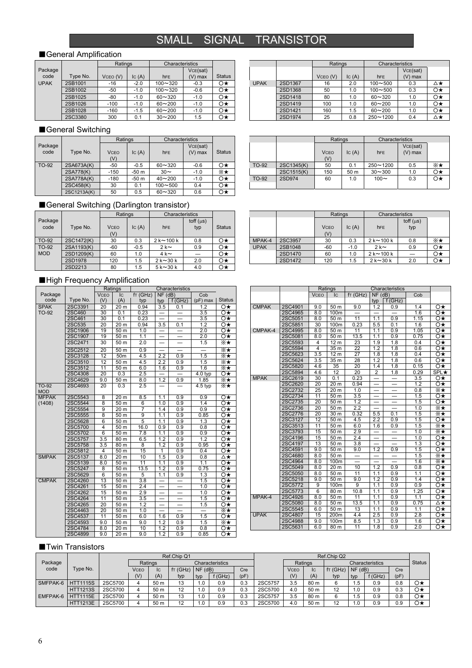### SMALL SIGNAL TRANSISTOR

#### ■General Amplification

|             |          | Ratings  |        | Characteristics |          |               |
|-------------|----------|----------|--------|-----------------|----------|---------------|
| Package     |          |          |        |                 | VCE(sat) |               |
| code        | Type No. | VCEO (V) | lc(A)  | <b>hFE</b>      | V) max   | <b>Status</b> |
| <b>UPAK</b> | 2SB1001  | $-16$    | $-2.0$ | $100 - 320$     | $-0.3$   | Ο★            |
|             | 2SB1002  | $-50$    | $-1.0$ | $100 - 320$     | $-0.6$   | Ο★            |
|             | 2SB1025  | $-80$    | $-1.0$ | $60 - 320$      | $-1.0$   | $\circ\star$  |
|             | 2SB1026  | $-100$   | $-1.0$ | $60 - 200$      | $-1.0$   | Ο★            |
|             | 2SB1028  | $-160$   | $-1.5$ | $60 - 200$      | $-1.0$   | Ο★            |
|             | 2SC3380  | 300      | 0.1    | $30 - 200$      | 1.5      |               |

#### Ratings Characteristics  $VCEO (V)$   $|C(A)|$  hFF VCE(sat)  $(V)$  max 2SD1367 16 2.0 100∼500 0.3 △★<br>2SD1368 50 1.0 100∼500 0.3 O★  $2SD1368$  50 1.0 100~500 0.3 2SD1418 80 1.0 60~320 1.0 O★  $2$ SD1419 100 1.0 60~200 1.0  $\rightarrow$ 2SD1421 | 160 | 1.5 | 60~200 | 1.0 | ○★ UPAK 2SD1974 25 0.8 250~1200 0.4  $\Delta \neq$

**VCFO**  $(V)$ 

Ratings Characteristics

VCE(sat)  $(V)$  max

Cob

 $\vert$ IC (A) hFE

#### ■General Switching

|                 |             | Ratings            |        | Characteristics |                       |               |
|-----------------|-------------|--------------------|--------|-----------------|-----------------------|---------------|
| Package<br>code | Type No.    | <b>VCEO</b><br>(V) | lc(A)  | <b>hFE</b>      | VCE(sat)<br>$(V)$ max | <b>Status</b> |
| TO-92           | 2SA673A(K)  | $-50$              | $-0.5$ | $60 - 320$      | $-0.6$                | Ο★            |
|                 | 2SA778(K)   | $-150$             | $-50m$ | $30\sim$        | $-1.0$                | ⋇⋆            |
|                 | 2SA778A(K)  | $-180$             | $-50m$ | $40 - 200$      | $-1.0$                | Ο★            |
|                 | 2SC458(K)   | 30                 | 0.1    | $100 - 500$     | 0.4                   | Ο★            |
|                 | 2SC1213A(K) | 50                 | 0.5    | $60 - 320$      | 0.6                   | Ο★            |

### ■General Switching (Darlington transistor)

■High Frequency Amplification

**VCEO**  $\frac{(V)}{20}$ 

IC (A)

 $f$ T (GHz)

code Type No.<br>SPAK 2SC3391

TO-92

 $\frac{2SC}{2SC}$ 

|                 |            | Ratings            |        | Characteristics |                       |               |
|-----------------|------------|--------------------|--------|-----------------|-----------------------|---------------|
| Package<br>code | Type No.   | <b>VCEO</b><br>(V) | lc(A)  | <b>hFE</b>      | toff $(\mu s)$<br>typ | <b>Status</b> |
| TO-92           | 2SC1472(K) | 30                 | 0.3    | $2k \sim 100k$  | 0.8                   | Ο★            |
| TO-92           | 2SA1193(K) | $-60$              | $-0.5$ | $2k$ ~          | 0.9                   | Ο★            |
| <b>MOD</b>      | 2SD1209(K) | 60                 | 1.0    | $4k \sim$       |                       | Ο★            |
|                 | 2SD1978    | 120                | 1.5    | $2k \sim 30k$   | 2.0                   | Ο★            |
|                 | 2SD2213    | 80                 | 1.5    | $5k \sim 30k$   | 4.0                   | Ο★            |

#### Ratings | Characteristics **V**CEO  $\frac{(V)}{30}$  $IC(A)$  hFE toff  $(\mu s)$ typ MPAK-4 2SC3957 30 0.3 2 k~100 k 0.8 ※★<br>UPAK 2SB1048 -60 -1.0 2 k~ 0.9 O★ 2SB1048 -60 -1.0 2 k~ 0.9 O <del>x</del><br>2SD1470 60 1.0 2 k~100 k - O <del>x</del> 2SD1470 60 1.0 2 k~100 k — O★<br>2SD1472 120 1.5 2 k~30 k 2.0 O★ UPAK  $1.5$  2 k~30 k

TO-92 2SC1345(K) 50 0.1 250~1200 0.5 ※★<br>2SC1515(K) 150 50 30~300 1.0 O★  $2$ SC1515(K) 150 50 m 30~300 1.0 O  $\star$ <br>2SD974 60 1.0 100~ 0.3 O  $\star$ TO-92 2SD974 60 1.0 100~ 0.3 O★

#### Package **Ratings** Characteristics **Characteristics** Characteristics **Properties**  $\begin{array}{c|c}\n \text{typ} & \text{typ} & \text{f (GHz)} \\
\hline\n 0.94 & 3.5 & 0.1\n \end{array}$ Cob  $(pF)$  max Status  $\begin{array}{|l|c|c|c|c|c|c|c|}\hline 2\text{SC3391} & \text{20} & \text{20 m} & \text{0.94} & \text{3.5} & \text{0.1} & \text{1.2} & \text{O} \star \\ \hline 2\text{SC460} & \text{30} & \text{0.1} & \text{0.23} & - & - & \text{3.5} & \text{O} \star \\ 2\text{SC461} & \text{30} & \text{0.1} & \text{0.23} & - & - & \text{3.5} & \text{O} \star \\ \hline \end{array}$  $2\text{SC460}$  30 0.1 0.23 – – 3.5<br>  $2\text{SC461}$  30 0.1 0.23 – – 3.5<br>  $2\text{SC535}$  20 20 m 0.94 3.5 0.1 1.2 2SC461 30 0.1 0.23 — — 3.5 O★<br>2SC535 20 20 m 0.94 3.5 0.1 1.2 O★ 2SC535 20 20 m 0.94 3.5 0.1 1.2 O★  $2$ SC1906 19 50 m 1.0  $-$  2.0  $\circ$ <br>  $2$ SC1907 19 50 m 1.1  $-$  2.0  $\circ$ <br>  $2$ SC2471 30 50 m 2.0  $-$  1.5  $\mathbb{X}$   $\star$ 2SC1907 | 19 | 50 m | 1.1 | — | — | 2.0 | ○<br>2SC2471 | 30 | 50 m | 2.0 | — | — | 1.5 | ※ Ratings Characteristic<br>VCEO C fr (GHz) NF (dB)  $NF$  (dB) typ f (GHz) 2SC4901 9.0 50 m 9.0 1.2 0.9 1.4 ○★ 2SC4901 9.0 50 m 9.0 1.2 0.9 1.4 O★<br>2SC4965 8.0 100m — — — 1.6 O★<br>2SC5051 8.0 50 m 11 1.1 0.9 1.15 O★ 2SC5051 8.0 50 m 11 1.1 0.9 1.15 O★<br>2SC5051 30 100m 0.23 5.5 0.1 1.6 O★<br>2SC4995 8.0 50 m 11 1.1 0.9 1.05 O★<br>2SC5081 8.0 50 m 13.5 1.1 0.9 0.75 O★ CMPAK 2SC5851 2SC4995 8.0 50 m 11 1.1 0.9 1.05 O★ 2SC5081 8.0 50 m 13.5 1.1 0.9 0.75 ○★ 12 m 23 1.9 1.8 0.4 O★<br>35 m 22 1.2 1.8 0.6 O★<br>12 m 27 1.8 1.8 0.4 O★ CMPAK-4 MPAK

|              | 2SC2512 | 20  | 50 m              | 0.9              |                  |                          |                  | ⋇⋆                  |  |
|--------------|---------|-----|-------------------|------------------|------------------|--------------------------|------------------|---------------------|--|
|              | 2SC3128 | 12  | 50 <sub>m</sub>   | 4.5              | 2.2              | 0.9                      | 1.5              | ⋇⋆                  |  |
|              | 2SC3510 | 12  | 50 m              | 4.5              | $\overline{2.2}$ | 0.9                      | 1.5              | ⋇★                  |  |
|              | 2SC3512 | 11  | 50 m              | 6.0              | 1.6              | 0.9                      | $\overline{1.6}$ | ⋇⋆                  |  |
|              | 2SC4308 | 20  | 0.3               | 2.5              |                  |                          | 4.0 typ          | Ο★                  |  |
|              | 2SC4629 | 9.0 | 50 m              | 8.0              | 1.2              | 0.9                      | 1.85             | ⋇∗                  |  |
| TO-92<br>MOD | 2SC4693 | 20  | 0.3               | 2.5              |                  |                          | 4.5 typ          | ⋇⋆                  |  |
| <b>MFPAK</b> | 2SC5543 | 8   | 20 m              | 8.5              | 1.1              | 0.9                      | 0.9              | O★                  |  |
| (1408)       | 2SC5544 | 8   | $\overline{50}$ m | 6                | 1.0              | 0.9                      | 1.4              | $\overline{\Omega}$ |  |
|              | 2SC5554 | 9   | 20 m              | 7                | 1.4              | 0.9                      | 0.9              | Ο★                  |  |
|              | 2SC5555 | 8   | 50 <sub>m</sub>   | 9                | 1.1              | 0.9                      | 0.85             | Ο★                  |  |
|              | 2SC5628 | 6   | 50 m              | 5                | 1.1              | 0.9                      | 1.3              | O★                  |  |
|              | 2SC5700 | 4   | 50 m              | 16.0             | 0.9              | 0.9                      | 0.8              | Ο★                  |  |
|              | 2SC5702 | 6   | 50 m              | 7.8              | 1.1              | 0.9                      | 0.9              | $\circ\star$        |  |
|              | 2SC5757 | 3.5 | 80 m              | 6.5              | 1.2              | 0.9                      | 1.2              | Ο★                  |  |
|              | 2SC5758 | 3.5 | 80 m              | 8                | 1.2              | 0.9                      | 0.95             | Ο★                  |  |
|              | 2SC5812 | 4   | 50 m              | 15               | 1                | 0.9                      | 0.4              | O★                  |  |
| <b>SMPAK</b> | 2SC5137 | 8.0 | 20 m              | 10               | 1.5              | 0.9                      | 0.8              | ∆★                  |  |
|              | 2SC5139 | 8.0 | 50 m              | 11               | 1.1              | 0.9                      | 7.1              | O★                  |  |
|              | 2SC5247 | 8   | 50 m              | 13.5             | 1.2              | 0.9                      | 0.75             | Ο★                  |  |
|              | 2SC5629 | 6   | 50 m              | 5                | 1.1              | 0.9                      | 1.3              | Ο★                  |  |
| <b>CMPAK</b> | 2SC4260 | 13  | 50 m              | $\overline{3.8}$ |                  | —                        | 1.5              | O★                  |  |
|              | 2SC4261 | 15  | 50 m              | 2.4              | —                | $\overline{\phantom{0}}$ | 1.0              | Ο★                  |  |
|              | 2SC4262 | 15  | 50 m              | 2.9              |                  |                          | 1.0              | Ο★                  |  |
|              | 2SC4264 | 11  | 50 m              | 3.5              |                  |                          | 1.5              | Ο★                  |  |
|              | 2SC4265 | 20  | 50 m              | 1.2              | —                | $\overline{\phantom{0}}$ | 1.5              | Ο★                  |  |
|              | 2SC4463 | 20  | 50 m              | 1.0              |                  |                          |                  | ⋇∗                  |  |
|              | 2SC4537 | 11  | 50 m              | 6.0              | 1.6              | 0.9                      | 1.5              | Ο★                  |  |
|              | 2SC4593 | 9.0 | 50 m              | 9.0              | 1.2              | 0.9                      | 1.5              | ⋇★                  |  |
|              | 2SC4784 | 8.0 | 20 m              | 10               | 1.2              | 0.9                      | 0.8              | O★                  |  |
|              | 2SC4899 | 9.0 | 20 m              | 9.0              | 1.2              | 0.9                      | 0.85             | O★                  |  |

|             | 2SC5594 | 4   | 35 m            | 22                       | 1.2                      | 1.8                      | 0.6  | Ο★         |
|-------------|---------|-----|-----------------|--------------------------|--------------------------|--------------------------|------|------------|
|             | 2SC5623 | 3.5 | 12 <sub>m</sub> | $\overline{27}$          | 1.8                      | 1.8                      | 0.4  | O★         |
|             | 2SC5624 | 3.5 | 35 m            | 28                       | 1.2                      | 1.8                      | 0.6  | O★         |
|             | 2SC5820 | 4.6 | 35              | 20                       | 1.4                      | 1.8                      | 0.15 | O★         |
|             | 2SC5894 | 4.6 | 12              | 20                       | $\overline{2}$           | 1.8                      | 0.29 | $SPL\star$ |
| <b>MPAK</b> | 2SC2619 | 30  | 0.1             | 0.23                     |                          | —                        | 3.5  | O★         |
|             | 2SC2620 | 20  | 20 m            | 0.94                     | $\overline{\phantom{0}}$ |                          | 1.2  | Ο★         |
|             | 2SC2732 | 25  | 20 m            | 1.0                      | —                        | $\qquad \qquad -$        | 0.8  | ⋇⋆         |
|             | 2SC2734 | 11  | 50 m            | 3.5                      |                          |                          | 1.5  | O★         |
|             | 2SC2735 | 20  | 50 m            | 1.2                      | —                        | $\overline{\phantom{0}}$ | 1.5  | Ο★         |
|             | 2SC2736 | 20  | 50 m            | 2.2                      |                          |                          | 1.0  | ⋇⋆         |
|             | 2SC2776 | 20  | 30 m            | 0.32                     | 5.5                      | 0.1                      | 1.5  | ⋇⋆         |
|             | 2SC3127 | 12  | 50 m            | 4.5                      | 2.2                      | 0.9                      | 1.5  | O★         |
|             | 2SC3513 | 11  | 50 m            | 6.0                      | 1.6                      | 0.9                      | 1.5  | ⋇⋆         |
|             | 2SC3793 | 15  | 50 m            | 2.9                      | —                        | $\qquad \qquad -$        | 1.0  | ⋇⋆         |
|             | 2SC4196 | 15  | 50 m            | 2.4                      |                          | —                        | 1.0  | O★         |
|             | 2SC4197 | 13  | 50 m            | 3.8                      |                          | —                        | 1.3  | Ο★         |
|             | 2SC4591 | 9.0 | 50 m            | 9.0                      | 1.2                      | 0.9                      | 1.5  | O★         |
|             | 2SC4680 | 8.0 | 50 m            | $\overline{\phantom{0}}$ | —                        | $\qquad \qquad -$        | 1.5  | ⋇⋆         |
|             | 2SC4964 | 8.0 | 100m            |                          |                          |                          | 1.6  | ⋇⋆         |
|             | 2SC5049 | 8.0 | 20 m            | 10                       | 1.2                      | 0.9                      | 0.8  | Ο★         |
|             | 2SC5050 | 8.0 | 50 m            | 11                       | 1.1                      | 0.9                      | 1.1  | Ο★         |
|             | 2SC5218 | 9.0 | 50 m            | 9.0                      | 1.2                      | 0.9                      | 1.4  | Ο★         |
|             | 2SC5772 | 9   | 100m            | 9                        | 1.1                      | 0.9                      | 0.9  | Ο★         |
|             | 2SC5773 | 6   | 80 m            | 10.8                     | 1.1                      | 0.9                      | 1.25 | O★         |
| MPAK-4      | 2SC4926 | 8.0 | 50 m            | 11                       | 1.1                      | 0.9                      | 1.1  | O★         |
|             | 2SC5080 | 8.0 | 50 m            | 13.5                     | 1.1                      | 0.9                      | 0.75 | ∆★         |
|             | 2SC5545 | 6.0 | 50 m            | 13                       | 1.1                      | 0.9                      | 1.1  | O★         |
| <b>UPAK</b> | 2SC4807 | 15  | 200m            | 4.4                      | 2.5                      | 0.9                      | 2.8  | O★         |
|             |         |     |                 |                          |                          |                          |      |            |

2SC5545 | 6.0 | 50 m | 13 | 1.1 | 0.9 | 1.1 | O★<br>2SC4807 15 200m | 4.4 | 2.5 0.9 2.8 O★ 2SC4988 9.0 100m 8.5 1.3 0.9 1.6 O★<br>2SC5631 6.0 80m 11 1.8 0.9 2.0 O★

#### ■Twin Transistors

|                   |                 |         |         |      | Ref.Chip Q1 |                 |        |      |         |             |      | Ref.Chip Q2 |               |                        |      |               |
|-------------------|-----------------|---------|---------|------|-------------|-----------------|--------|------|---------|-------------|------|-------------|---------------|------------------------|------|---------------|
| Package           |                 |         | Ratings |      |             | Characteristics |        |      |         | Ratings     |      |             |               | <b>Characteristics</b> |      | <b>Status</b> |
| code              | Type No.        |         | VCEO    | Iс   | fr(GHz)     | $NF$ (dB)       |        | Cre  |         | <b>VCEO</b> | Ic   | f(T(GHz))   | $NF$ (dB)     |                        | Cre  |               |
|                   |                 |         | (V)     | (A)  | typ         | typ             | f(GHz) | (pF) |         | (V)         | (A)  | typ         | typ           | f(GHz)                 | (pF) |               |
| SMFPAK-6 HTT1115S |                 | 2SC5700 |         | 50 m | 13          | 1.0             | 0.9    | 0.3  | 2SC5757 | 3.5         | 80 m |             | $1.5^{\circ}$ | 0.9                    | 0.8  | O★            |
|                   | <b>HTT1213S</b> | 2SC5700 |         | 50 m | 12          | 1.0             | 0.9    | 0.3  | 2SC5700 | 4.0         | 50 m | 12          | 1.0           | 0.9                    | 0.3  | Ο★            |
| EMFPAK-6          | <b>HTT1115E</b> | 2SC5700 |         | 50 m | 13          | 1.0             | 0.9    | 0.3  | 2SC5757 | 3.5         | 80 m |             | 1.5           | 0.9                    | 0.8  | O★            |
|                   | <b>HTT1213E</b> | 2SC5700 |         | 50 m | 12          | .0              | 0.9    | 0.3  | 2SC5700 | 4.0         | 50 m | 12          | 1.0           | 0.9                    | 0.9  | Ο★            |

2SC5631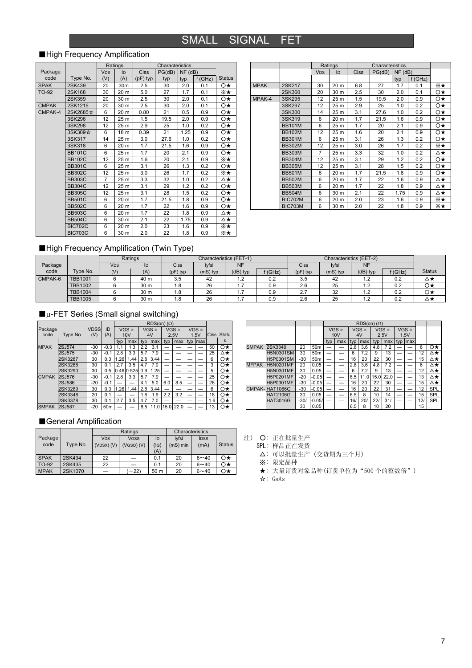### SMALL SIGNAL FET

### ■High Frequency Amplification

|              |                |                       | Ratings |             | Characteristics |               |        |               |
|--------------|----------------|-----------------------|---------|-------------|-----------------|---------------|--------|---------------|
| Package      |                | <b>V<sub>DS</sub></b> | ID      | <b>Ciss</b> | PG(dB)          | $NF$ ( $dB$ ) |        |               |
| code         | Type No.       | (V)                   | (A)     | $(pF)$ typ  | typ             | typ           | f(GHz) | <b>Status</b> |
| <b>SPAK</b>  | 2SK439         | 20                    | 30m     | 2.5         | 30              | 2.0           | 0.1    | Ο★            |
| TO-92        | 2SK168         | 30                    | 20 m    | 5.0         | 27              | 1.7           | 0.1    | ⋇★            |
|              | 2SK359         | 20                    | 30 m    | 2.5         | 30              | 2.0           | 0.1    | O★            |
| <b>CMPAK</b> | 2SK1215        | 20                    | 30 m    | 2.5         | 30              | 2.0           | 0.1    | Ο★            |
| CMPAK-4      | 2SK2685☆       | 6                     | 20 m    | 0.80        | 21              | 0.5           | 0.9    | O★            |
|              | 3SK296         | 12                    | 25 m    | 1.5         | 19.5            | 2.0           | 0.9    | O★            |
|              | 3SK298         | 12                    | 25 m    | 2.9         | 25              | 1.0           | 0.2    | Ο★            |
|              | 3SK309☆        | 6                     | 18 m    | 0.39        | 21              | 1.25          | 0.9    | Ο★            |
|              | 3SK317         | 14                    | 25 m    | 3.0         | 27.6            | 1.0           | 0.2    | O★            |
|              | 3SK318         | 6                     | 20 m    | 1.7         | 21.5            | 1.6           | 0.9    | Ο★            |
|              | <b>BB101C</b>  | 6                     | 25 m    | 1.7         | 20              | 2.1           | 0.9    | Ο★            |
|              | <b>BB102C</b>  | 12                    | 25 m    | 1.6         | 20              | 2.1           | 0.9    | ⋇★            |
|              | <b>BB301C</b>  | 6                     | 25 m    | 3.1         | 26              | 1.3           | 0.2    | O★            |
|              | <b>BB302C</b>  | 12                    | 25 m    | 3.0         | 26              | 1.7           | 0.2    | ⋇★            |
|              | <b>BB303C</b>  | 7                     | 25 m    | 3.3         | 32              | 1.0           | 0.2    | ∆★            |
|              | <b>BB304C</b>  | 12                    | 25 m    | 3.1         | 29              | 1.2           | 0.2    | O★            |
|              | <b>BB305C</b>  | 12                    | 25 m    | 3.1         | 28              | 1.5           | 0.2    | O★            |
|              | <b>BB501C</b>  | 6                     | 20 m    | 1.7         | 21.5            | 1.8           | 0.9    | Ο★            |
|              | <b>BB502C</b>  | 6                     | 20 m    | 1.7         | 22              | 1.6           | 0.9    | O★            |
|              | <b>BB503C</b>  | 6                     | 20 m    | 1.7         | 22              | 1.8           | 0.9    | ∆★            |
|              | <b>BB504C</b>  | 6                     | 30 m    | 2.1         | 22              | 1.75          | 0.9    | ∆★            |
|              | <b>BIC702C</b> | 6                     | 20 m    | 2.0         | 23              | 1.6           | 0.9    | ⋇⋆            |
|              | <b>BIC703C</b> | 6                     | 30 m    | 2.0         | 22              | 1.8           | 0.9    | ⋇∗            |

|             |                |                       | Ratings |             | Characteristics |               |        |    |
|-------------|----------------|-----------------------|---------|-------------|-----------------|---------------|--------|----|
|             |                | <b>V<sub>DS</sub></b> | ID.     | <b>Ciss</b> | PG(dB)          | $NF$ ( $dB$ ) |        |    |
|             |                |                       |         |             |                 | typ           | f(GHz) |    |
| <b>MPAK</b> | 2SK217         | 30                    | 20 m    | 6.8         | 27              | 1.7           | 0.1    | ⋇★ |
|             | 2SK360         | 20                    | 30 m    | 2.5         | 30              | 2.0           | 0.1    | O★ |
| MPAK-4      | 3SK295         | 12                    | 25 m    | 1.5         | 19.5            | 2.0           | 0.9    | O★ |
|             | 3SK297         | 12                    | 25 m    | 2.9         | 25              | 1.0           | 0.2    | O★ |
|             | 3SK300         | 14                    | 25 m    | 3.1         | 27.6            | 1.0           | 0.2    | O★ |
|             | 3SK319         | 6                     | 20 m    | 1.7         | 21.5            | 1.6           | 0.9    | Ο★ |
|             | <b>BB101M</b>  | 6                     | 25 m    | 1.7         | 20              | 2.1           | 0.9    | O★ |
|             | <b>BB102M</b>  | 12                    | 25 m    | 1.6         | 20              | 2.1           | 0.9    | Ο★ |
|             | <b>BB301M</b>  | 6                     | 25 m    | 3.1         | 26              | 1.3           | 0.2    | O★ |
|             | <b>BB302M</b>  | 12                    | 25 m    | 3.0         | 26              | 1.7           | 0.2    | ⋇★ |
|             | <b>BB303M</b>  | $\overline{7}$        | 25 m    | 3.3         | 32              | 1.0           | 0.2    | ∆★ |
|             | <b>BB304M</b>  | 12                    | 25 m    | 3.1         | 29              | 1.2           | 0.2    | O★ |
|             | <b>BB305M</b>  | 12                    | 25 m    | 3.1         | 28              | 1.5           | 0.2    | O★ |
|             | <b>BB501M</b>  | 6                     | 20 m    | 1.7         | 21.5            | 1.8           | 0.9    | Ο★ |
|             | <b>BB502M</b>  | 6                     | 20 m    | 1.7         | 22              | 1.6           | 0.9    | ∆★ |
|             | <b>BB503M</b>  | 6                     | 20 m    | 1.7         | 22              | 1.8           | 0.9    | ∆★ |
|             | <b>BB504M</b>  | 6                     | 30 m    | 2.1         | 22              | 1.75          | 0.9    | ∆★ |
|             | <b>BIC702M</b> | 6                     | 20 m    | 2.0         | 23              | 1.6           | 0.9    | ⋇★ |
|             | <b>BIC703M</b> | 6                     | 30 m    | 2.0         | 22              | 1.8           | 0.9    | ⋇★ |

### ■High Frequency Amplification (Twin Type)

|         |                | Ratings    |      |             |            | Characteristics (FET-1) |        |            |            | Characteristics (EET-2) |           |               |
|---------|----------------|------------|------|-------------|------------|-------------------------|--------|------------|------------|-------------------------|-----------|---------------|
| Package |                | <b>VDS</b> | ID   | <b>Ciss</b> | lyfsl      | <b>NF</b>               |        | Ciss       | lyfsl      | <b>NF</b>               |           |               |
| code    | Type No.       | (V)        | (A)  | $(pF)$ typ  | $(mS)$ typ | (dB) typ                | f(GHz) | $(pF)$ typ | $(mS)$ typ | (dB) typ                | $f$ (GHz) | <b>Status</b> |
| CMPAK-6 | <b>TBB1001</b> |            | 40 m | 3.5         | 42         | 1.2                     | 0.2    | 3.5        | 42         | 1.2                     | 0.2       | ▵▾            |
|         | <b>TBB1002</b> |            | 30 m | 8. ا        | 26         | .                       | 0.9    | 2.6        | 25         | 1.2                     | 0.2       | Ο★            |
|         | <b>TBB1004</b> |            | 30 m | .8          | 26         | . .                     | 0.9    | 2.7        | 32         | 1.2                     | 0.2       | Ο★            |
|         | <b>TBB1005</b> |            | 30 m | .8          | 26         | .                       | 0.9    | 2.6        | 25         | 1.2                     | 0.2       | ∆★            |

### $\blacksquare$ <sub>µ-FET</sub> Series (Small signal switching)

|              |               |             |                 | $RDS(on)$ ( $\Omega$ ) |            |     |         |      |         |     |                    |     |              |
|--------------|---------------|-------------|-----------------|------------------------|------------|-----|---------|------|---------|-----|--------------------|-----|--------------|
| Package      |               | <b>VDSS</b> | ID              |                        | $VGS =$    |     | $VGS =$ |      | $VGS =$ |     | $\overline{VGS}$ = |     |              |
| code         | Type No.      | (V)         | (A)             |                        | 10V        |     | 4V      |      | 2.5V    |     | 1.5V               |     | Ciss Statu   |
|              |               |             |                 | typ                    | max        | typ | max     | typ  | max     | typ | Imax               |     | s            |
| <b>MPAK</b>  | 2SJ574        | $-30$       | $-0.3$          | 1.1                    | 1.3        | 2.2 | 3.1     | -    |         |     |                    | 50  | Ο★           |
|              | 2SJ575        | $-30$       | $-0.1$          | 2.8                    | 3.3        | 5.7 | 7.9     | -    |         |     |                    | 25  | ∆★           |
|              | 2SK3287       | 30          | 0.3             | 1.26                   | 1.44       | 2.8 | 3.44    | -    |         |     |                    | 6   | $\circ\star$ |
|              | 2SK3288       | 30          | 0.1             | 2.7                    | 3.5        | 4.7 | 7.0     | -    |         |     |                    | 3   | $\circ\star$ |
|              | 2SK3290       | 30          | 0.5             |                        | 0.46 0.525 | 0.9 | .25     | -    |         |     |                    | 5   | $\circ\star$ |
| <b>CMPAK</b> | 2SJ576        | $-30$       | $-0.1$          | 2.8                    | 3.3        | 5.7 | 7.9     |      |         |     |                    | 25  | $\circ\star$ |
|              | 2SJ586        | $-20$       | $-0.1$          | -                      |            | 4.1 | 5.0     | 6.0  | 8.5     |     |                    | 28  | $\circ\star$ |
|              | 2SK3289       | 30          | 0.3             | .26                    | 1.44       | 2.8 | 3.44    | -    |         |     |                    | 6   | $\circ\star$ |
|              | 2SK3348       | 20          | 0.1             |                        |            | 1.6 | 1.9     | 2.2  | 3.2     |     |                    | 18  | $\circ\star$ |
|              | 2SK3378       | 30          | 0.1             | 2.7                    | 3.5        | 4.7 | 7.0     |      |         |     |                    | 1.6 | $\circ\star$ |
| <b>SMPAK</b> | <b>2SJ587</b> | $-20$       | 50 <sub>m</sub> |                        |            | 8.5 | 11.0    | 15.0 | 22.0    |     |                    | 13  | Ο★           |

|              |                  |        |                 |     | $RDS(on)$ ( $\Omega$ ) |     |         |      |         |      |         |     |     |
|--------------|------------------|--------|-----------------|-----|------------------------|-----|---------|------|---------|------|---------|-----|-----|
|              |                  |        |                 |     | $VGS =$                |     | $VGS =$ |      | $VGS =$ |      | $VGS =$ |     |     |
|              |                  |        |                 |     | 10V                    |     | 4V      | 2.5V |         | 1.5V |         |     |     |
|              |                  |        |                 | typ | max                    | typ | max     | typ  | max     | typ  | max     |     |     |
| <b>SMPAK</b> | 2SK3349          | 20     | 50 <sub>m</sub> | -   |                        | 2.8 | 3.6     | 4.8  | 7.2     |      |         | 6   | O★  |
|              | <b>H5N0301SM</b> | 30     | 50 <sub>m</sub> | -   |                        | 6   | 7.2     | 9    | 13      |      |         | 12  | ∆★  |
|              | H5P0301SM        | $-30$  | 50 <sub>m</sub> | -   |                        | 16  | 20      | 22   | 30      | -    |         | 15  | ∆★  |
| <b>MFPAK</b> | <b>H5N0201MF</b> | 20     | 0.05            | _   |                        | 2.8 | 3.6     | 4.8  | 7.2     |      |         | 6   | ∆★  |
|              | H5N0301MF        | 30     | 0.05            | -   |                        | 6   | 7.2     | 9    | 13      | _    | -       | 12  | ∆★  |
|              | H5P0201MF        | $-20$  | $-0.05$         | -   |                        | 8.5 | 11.0    | 15.0 | 22.0    |      |         | 13  | ∆★  |
|              | H5P0301MF        | $-30$  | $-0.05$         | -   |                        | 16  | 20      | 22   | 30      | -    |         | 15  | ∆★  |
|              | CMPAK-HAT1066G   | $-30$  | $-0.05$         |     |                        | 16  | 20      | 22   | 31      |      |         | 12  | SPL |
|              | <b>HAT2106G</b>  | 30     | 0.05            |     |                        | 6.5 | 8       | 10   | 14      |      |         | 15  | SPL |
|              | <b>HAT3016G</b>  | $-30/$ | $-0.05/$        |     |                        | 16/ | 20/     | 221  | 31/     |      |         | 12/ | SPL |
|              |                  | 30     | 0.05            |     |                        | 6.5 | 8       | 10   | 20      |      |         | 15  |     |

### ■General Amplification

|             |          |                       | Ratings        |      | Characteristics |             |               |
|-------------|----------|-----------------------|----------------|------|-----------------|-------------|---------------|
| Package     |          | <b>V<sub>DS</sub></b> | <b>VGSS</b>    | ID   | <b>Ivfsl</b>    | <b>IDSS</b> |               |
| code        | Type No. | (VDSX) (V)            | $(VGSO)$ $(V)$ | (IG) | (mS) min        | (mA)        | <b>Status</b> |
|             |          |                       |                | (A)  |                 |             |               |
| <b>SPAK</b> | 2SK494   | 22                    |                | 0.1  | 20              | $6 - 40$    | $\circ\star$  |
| TO-92       | 2SK435   | 22                    |                | 0.1  | 20              | $6 - 40$    | Ο★            |
| <b>MPAK</b> | 2SK1070  |                       | $-22$          | 50 m | 20              | $6 - 40$    | Ο★            |

注) 〇: 正在批量生产

SPL: 样品正在发货

△: 可以批量生产(交货期为三个月)

※: 限定品种

★: 大量订货对象品种(订货单位为"500 个的整数倍")

☆: GaAs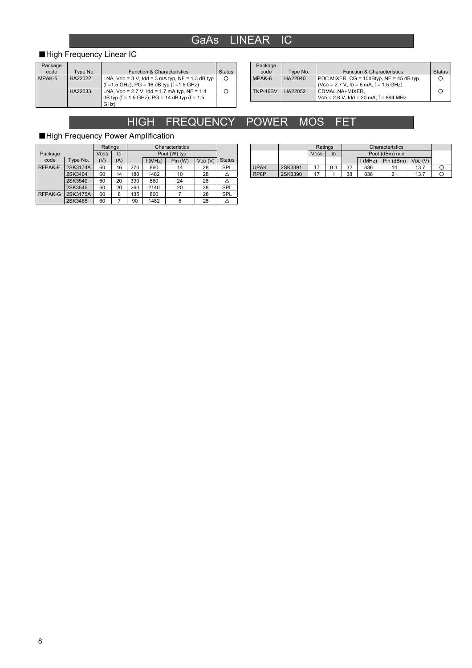### GaAs LINEAR IC

### ■High Frequency Linear IC

| Package |          |                                                       |               |
|---------|----------|-------------------------------------------------------|---------------|
| code    | Type No. | <b>Function &amp; Characteristics</b>                 | <b>Status</b> |
| MPAK-5  | HA22022  | LNA, $V_{DD} = 3 V$ , Idd = 3 mA typ, NF = 1.3 dB typ | O             |
|         |          | $(f = 1.5$ GHz), PG = 16 dB typ $(f = 1.5$ GHz)       |               |
|         | HA22033  | LNA, $V_{DD} = 2.7$ V, $Idd = 1.7$ mA typ, NF = 1.4   | Ω             |
|         |          | dB typ (f = 1.5 GHz), $PG = 14$ dB typ (f = 1.5       |               |
|         |          | GHz)                                                  |               |

| Package  |          |                                            |               |
|----------|----------|--------------------------------------------|---------------|
| code     | Type No. | <b>Function &amp; Characteristics</b>      | <b>Status</b> |
| MPAK-6   | HA22040  | PDC MIXER, $CG = 10dB$ typ, NF = 45 dB typ |               |
|          |          | $(Vcc = 2.7 V, ID = 6 mA, f = 1.5 GHz)$    |               |
| TNP-16BV | HA22052  | CDMA/LNA+MIXER.                            |               |
|          |          | $VDD = 2.8 V$ , Idd = 20 mA, $f = 894 MHz$ |               |

## HIGH FREQUENCY POWER MOS FET

### ■High Frequency Power Amplification

|         |          | Ratings     |     |     | Characteristics |        |                    |               |  |
|---------|----------|-------------|-----|-----|-----------------|--------|--------------------|---------------|--|
| Package |          | <b>VDSS</b> | In  |     | Pout (W) typ    |        |                    |               |  |
| code    | Type No. | (V)         | (A) |     | f (MHz)         | Pin(W) | V <sub>DD</sub> (V | <b>Status</b> |  |
| RFPAK-F | 2SK3174A | 60          | 16  | 270 | 860             | 14     | 28                 | <b>SPL</b>    |  |
|         | 2SK3464  | 60          | 14  | 180 | 1482            | 10     | 28                 |               |  |
|         | 2SK3540  | 60          | 20  | 390 | 860             | 24     | 28                 |               |  |
|         | 2SK3545  | 60          | 20  | 260 | 2140            | 20     | 28                 | <b>SPL</b>    |  |
| RFPAK-G | 2SK3175A | 60          | 8   | 135 | 860             |        | 28                 | <b>SPL</b>    |  |
|         | 2SK3465  | 60          |     | 90  | 1482            | 5      | 28                 |               |  |

|             |         | Ratings     |     | Characteristics |                |           |                     |  |
|-------------|---------|-------------|-----|-----------------|----------------|-----------|---------------------|--|
|             |         | <b>VDSS</b> | ID  |                 | Pout (dBm) min |           |                     |  |
|             |         |             |     |                 | f (MHz)        | Pin (dBm) | V <sub>DD</sub> (V) |  |
| <b>UPAK</b> | 2SK3391 |             | 0.3 | 32              | 836            | 14        | 13.7                |  |
| RP8P        | 2SK3390 |             |     | 38              | 836            |           | 13.7                |  |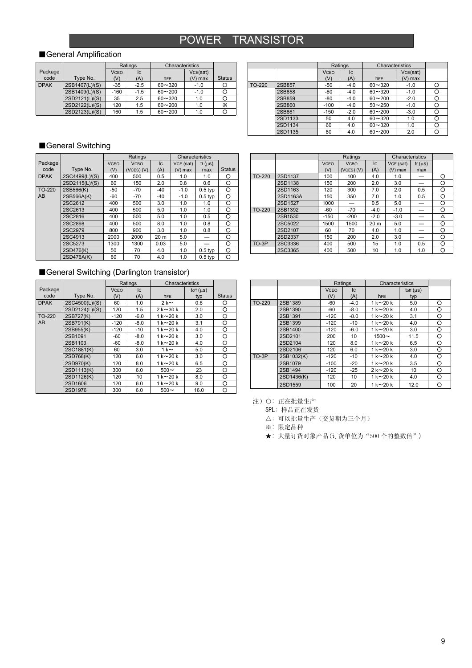### POWER TRANSISTOR

### ■General Amplification

|             |                | Ratings<br>Characteristics |        |            |           |               |
|-------------|----------------|----------------------------|--------|------------|-----------|---------------|
| Package     |                | <b>VCEO</b>                | Ic     |            | VCE(sat)  |               |
| code        | Type No.       | (V)                        | (A)    | <b>hFE</b> | $(V)$ max | <b>Status</b> |
| <b>DPAK</b> | 2SB1407(L)/(S) | $-35$                      | $-2.5$ | $60 - 320$ | $-1.0$    |               |
|             | 2SB1409(L)/(S) | $-160$                     | $-1.5$ | $60 - 200$ | $-1.0$    |               |
|             | 2SD2121(L)/(S) | 35                         | 2.5    | $60 - 320$ | 1.0       |               |
|             | 2SD2122(L)/(S) | 120                        | 1.5    | $60 - 200$ | 1.0       | Х             |
|             | 2SD2123(L)/(S) | 160                        | 1.5    | $60 - 200$ | 1.0       |               |

|               |         |                    | Ratings   | Characteristics |                     |   |
|---------------|---------|--------------------|-----------|-----------------|---------------------|---|
|               |         | <b>VCEO</b><br>(V) | Iс<br>(A) | <b>hFE</b>      | VCE(sat)<br>(V) max |   |
| <b>TO-220</b> | 2SB857  | $-50$              | $-4.0$    | $60 - 320$      | $-1.0$              | O |
|               | 2SB858  | $-60$              | $-4.0$    | $60 - 320$      | $-1.0$              | С |
|               | 2SB859  | $-80$              | $-4.0$    | $60 - 200$      | $-2.0$              | О |
|               | 2SB860  | $-100$             | $-4.0$    | $50 - 250$      | $-1.0$              | ┌ |
|               | 2SB861  | $-150$             | $-2.0$    | $60 - 200$      | $-3.0$              | Ω |
|               | 2SD1133 | 50                 | 4.0       | $60 - 320$      | 1.0                 | О |
|               | 2SD1134 | 60                 | 4.0       | $60 - 320$      | 1.0                 | ◠ |
|               | 2SD1135 | 80                 | 4.0       | $60 - 200$      | 2.0                 |   |

#### ■General Switching

|             |                |             | Ratings        |           | Characteristics |             |               |
|-------------|----------------|-------------|----------------|-----------|-----------------|-------------|---------------|
| Package     |                | <b>VCFO</b> | <b>VCBO</b>    | <b>IC</b> | VCE (sat)       | $tf(\mu s)$ |               |
| code        | Type No.       | (V)         | $(VCES)$ $(V)$ | (A)       | $(V)$ max       | max         | <b>Status</b> |
| <b>DPAK</b> | 2SC4499(L)/(S) | 400         | 500            | 0.5       | 1.0             | 1.0         | О             |
|             | 2SD2115(L)/(S) | 60          | 150            | 2.0       | 0.8             | 0.6         | O             |
| TO-220      | 2SB566(K)      | $-50$       | $-70$          | $-40$     | $-1.0$          | $0.5$ typ   | O             |
| AB          | 2SB566A(K)     | $-60$       | $-70$          | $-40$     | $-1.0$          | $0.5$ typ   | O             |
|             | 2SC2612        | 400         | 500            | 3.0       | 1.0             | 1.0         | O             |
|             | 2SC2613        | 400         | 500            | 5.0       | 1.0             | 1.0         | Ο             |
|             | 2SC2816        | 400         | 500            | 5.0       | 1.0             | 0.5         | O             |
|             | 2SC2898        | 400         | 500            | 8.0       | 1.0             | 0.8         | ∩             |
|             | 2SC2979        | 800         | 900            | 3.0       | 1.0             | 0.8         | O             |
|             | 2SC4913        | 2000        | 2000           | 20 m      | 5.0             |             | O             |
|             | 2SC5273        | 1300        | 1300           | 0.03      | 5.0             |             | O             |
|             | 2SD476(K)      | 50          | 70             | 4.0       | 1.0             | $0.5$ typ   | Ο             |
|             | 2SD476A(K)     | 60          | 70             | 4.0       | 1.0             | $0.5$ typ   | O             |

|        |          |             | Ratings     |                | Characteristics |             |   |
|--------|----------|-------------|-------------|----------------|-----------------|-------------|---|
|        |          | <b>VCEO</b> | <b>VCBO</b> | $\overline{C}$ | VCE (sat)       | $tr(\mu s)$ |   |
|        |          | (V)         | (VCES) (V)  | (A)            | $(V)$ max       | max         |   |
| TO-220 | 2SD1137  | 100         | 100         | 4.0            | 1.0             |             | O |
|        | 2SD1138  | 150         | 200         | 2.0            | 3.0             |             | O |
|        | 2SD1163  | 120         | 300         | 7.0            | 2.0             | 0.5         | Ω |
|        | 2SD1163A | 150         | 350         | 7.0            | 1.0             | 0.5         | Ω |
|        | 2SD1527  | 1000        |             | 0.5            | 5.0             |             | Ο |
| TO-220 | 2SB1392  | $-60$       | $-70$       | $-4.0$         | $-1.0$          |             | O |
|        | 2SB1530  | $-150$      | $-200$      | $-2.0$         | $-3.0$          |             | Δ |
|        | 2SC5022  | 1500        | 1500        | 20 m           | 5.0             |             | Ω |
|        | 2SD2107  | 60          | 70          | 4.0            | 1.0             |             | O |
|        | 2SD2337  | 150         | 200         | 2.0            | 3.0             |             | Ω |
| TO-3P  | 2SC3336  | 400         | 500         | 15             | 1.0             | 0.5         | Ω |
|        | 2SC3365  | 400         | 500         | 10             | 1.0             | 1.0         | Ω |

### ■General Switching (Darlington transistor)

|             |                |             | Ratings | Characteristics |                                |               |
|-------------|----------------|-------------|---------|-----------------|--------------------------------|---------------|
| Package     |                | <b>VCFO</b> | IC.     |                 | $\mathsf{toff}(\mu\mathsf{S})$ |               |
| code        | Type No.       | (V)         | (A)     | h <sub>FE</sub> | typ                            | <b>Status</b> |
| <b>DPAK</b> | 2SC4500(L)/(S) | 60          | 1.0     | $2k \sim$       | 0.6                            | O             |
|             | 2SD2124(L)/(S) | 120         | 1.5     | $2k \sim 30k$   | 2.0                            | O             |
| TO-220      | 2SB727(K)      | $-120$      | $-6.0$  | $1 k \sim 20 k$ | 3.0                            | $\circ$       |
| AB          | 2SB791(K)      | $-120$      | $-8.0$  | $1 k \sim 20 k$ | 3.1                            | O             |
|             | 2SB955(K)      | $-120$      | $-10$   | $1 k \sim 20 k$ | 4.0                            | O             |
|             | 2SB1091        | $-60$       | $-8.0$  | $1 k \sim 20 k$ | 3.0                            | O             |
|             | 2SB1103        | -60         | $-8.0$  | $1 k \sim 20 k$ | 4.0                            | O             |
|             | 2SC1881(K)     | 60          | 3.0     | 1 k $\sim$      | 5.0                            | O             |
|             | 2SD768(K)      | 120         | 6.0     | $1 k \sim 20 k$ | 3.0                            | O             |
|             | 2SD970(K)      | 120         | 8.0     | $1 k \sim 20 k$ | 6.5                            | O             |
|             | 2SD1113(K)     | 300         | 6.0     | $500 \sim$      | 23                             | O             |
|             | 2SD1126(K)     | 120         | 10      | $1 k \sim 20 k$ | 8.0                            | O             |
|             | 2SD1606        | 120         | 6.0     | $1 k \sim 20 k$ | 9.0                            | O             |
|             | 2SD1976        | 300         | 6.0     | $500 \sim$      | 16.0                           | O             |

|        |            |             | Ratings | Characteristics             |                                |   |
|--------|------------|-------------|---------|-----------------------------|--------------------------------|---|
|        |            | <b>VCFO</b> | IC.     |                             | $\mathsf{toff}(\mu\mathsf{S})$ |   |
|        |            | (V)         | (A)     | <b>hFF</b>                  | typ                            |   |
| TO-220 | 2SB1389    | $-60$       | $-4.0$  | $1 k \sim 20 k$             | 5.0                            | O |
|        | 2SB1390    | $-60$       | $-8.0$  | $1 k \sim 20 k$             | 4.0                            | O |
|        | 2SB1391    | $-120$      | $-8.0$  | $1 k \sim 20 k$             | 3.1                            | O |
|        | 2SB1399    | $-120$      | $-10$   | $1\,\mathrm{k}$ $\sim$ 20 k | 4.0                            | O |
|        | 2SB1400    | $-120$      | $-6.0$  | $1 k \sim 20 k$             | 3.0                            | O |
|        | 2SD2101    | 200         | 10      | $1500 \sim$                 | 11.5                           | O |
|        | 2SD2104    | 120         | 8.0     | $1 k \sim 20 k$             | 6.5                            | O |
|        | 2SD2106    | 120         | 6.0     | $1 k \sim 20 k$             | 3.0                            | O |
| TO-3P  | 2SB1032(K) | $-120$      | $-10$   | $1 k \sim 20 k$             | 4.0                            | O |
|        | 2SB1079    | $-100$      | $-20$   | $1 k \sim 20 k$             | 3.5                            | Ο |
|        | 2SB1494    | $-120$      | $-25$   | $2k \sim 20k$               | 10                             | O |
|        | 2SD1436(K) | 120         | 10      | $1 k \sim 20 k$             | 4.0                            | O |
|        | 2SD1559    | 100         | 20      | $1k \sim 20k$               | 12.0                           | O |

注) O: 正在批量生产

SPL: 样品正在发货

△: 可以批量生产(交货期为三个月)

※: 限定品种

★: 大量订货对象产品(订货单位为"500 个的整数倍")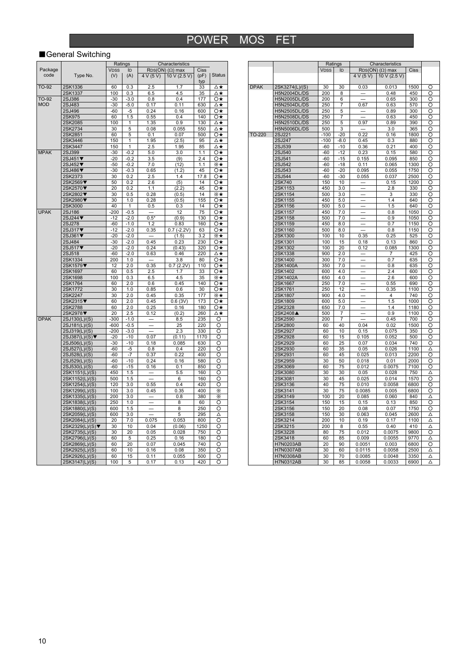### ■General Switching

|              |                 |             | Ratings |           | Characteristics            |      |               |
|--------------|-----------------|-------------|---------|-----------|----------------------------|------|---------------|
| Package      |                 | <b>VDSS</b> | ID      |           | $RDS(ON)$ ( $\Omega$ ) max | Ciss |               |
| code         | Type No.        | (V)         | (A)     | 4 V (5 V) | 10 V (2.5 V)               | (pF) | <b>Status</b> |
|              |                 |             |         |           |                            | typ  |               |
| TO-92        | 2SK1336         | 60          | 0.3     | 2.5       | 1.7                        | 33   | ∆★            |
|              | 2SK1337         | 100         | 0.3     | 6.5       | 4.5                        | 35   | ∆★            |
| <b>TO-92</b> | 2SJ386          | $-30$       | $-3.0$  | 0.8       | 0.4                        | 177  | 0 <u>★</u>    |
| <b>MOD</b>   | 2SJ483          | $-30$       | $-5.0$  | 0.17      | 0.11                       | 630  | ∆★            |
|              | 2SJ496          | $-60$       | $-5$    | 0.24      | 0.16                       | 600  | Ō★            |
|              | 2SK975          | 60          | 1.5     | 0.55      | 0.4                        | 140  | 0*            |
|              | 2SK2085         | 100         | 1       | 1.35      | 0.9                        | 130  | ∆★            |
|              | 2SK2734         | 30          | 5       | 0.08      | 0.055                      | 550  | ∆★            |
|              | 2SK2851         | 60          | 5       | 0.1       | 0.07                       | 500  | Ο★            |
|              |                 |             | 1       |           |                            | 95   |               |
|              | 2SK3446         | 150         |         | 1.95      | (2.5)                      |      | ∆★            |
|              | 2SK3447         | 150         | 1       | 2.5       | 1.95                       | 85   | ∆★            |
| <b>MPAK</b>  | 2SJ399          | $-30$       | $-0.2$  | 5.0       | 3.0                        | 1.1  | Ο★            |
|              | 2SJ451▼         | $-20$       | $-0.2$  | 3.5       | (9)                        | 2.4  | Ο★            |
|              | 2SJ452▼         | $-50$       | $-0.2$  | 7.0       | (12)                       | 1.1  | ⋇∗            |
|              | 2SJ486▼         | $-30$       | $-0.3$  | 0.65      | (1.2)                      | 45   | Ō★            |
|              | 2SK2373         | 30          | 0.2     | 2.5       | 1.4                        | 17.8 | Ο★            |
|              | 2SK2569▼        | 50          | 0.2     | 2.6       | (5)                        | 14   | Ο★            |
|              | 2SK2570▼        | 20          | 0.2     | 1.1       | (2.2)                      | 45   | Ο★            |
|              | 2SK2802▼        | 30          | 0.5     | 0.28      | (0.5)                      | 14   | ⋇★            |
|              | 2SK2980▼        | 30          | 1.0     | 0.28      | (0.5)                      | 155  | 0*            |
|              | 2SK3000         | 40          | 1       | 0.5       | 0.3                        | 14   | Ο★            |
| <b>UPAK</b>  | 2SJ186          | $-200$      | $-0.5$  |           | 12                         | 75   | Ο★            |
|              | $2SJ244$ ▼      | $-12$       | $-2.0$  | $0.5*$    | (0.9)                      | 130  | Ο★            |
|              | 2SJ278          | $-60$       | $-1.0$  | 1.2       | 0.83                       | 160  | Ο★            |
|              | 2SJ317▼         | $-12$       | $-2.0$  | 0.35      | $0.7(-2.2V)$               | 63   | 0*            |
|              | 2SJ361▼         | $-20$       | $-2.0$  |           | (1.5)                      | 3.2  | ⋇∗            |
|              | 2SJ484          | $-30$       | $-2.0$  | 0.45      | 0.23                       | 230  | Ο★            |
|              | 2SJ517▼         | $-20$       | $-2.0$  | 0.24      | (0.43)                     | 320  | Ο★            |
|              |                 | $-60$       | $-2.0$  |           | 0.46                       | 220  | ∆★            |
|              | 2SJ518          |             |         | 0.63      |                            |      |               |
|              | 2SK1334         | 200         | 1.0     |           | 3.8                        | 80   | Ο★            |
|              | 2SK1579▼        | 12          | 2.0     | 0.35      | 0.7(2.2V)                  | 110  | Ο★            |
|              | 2SK1697         | 60          | 0.5     | 2.5       | 1.7                        | 33   | Ο★            |
|              | 2SK1698         | 100         | 0.3     | 6.5       | 4.5                        | 35   | ⋇★            |
|              | 2SK1764         | 60          | 2.0     | 0.6       | 0.45                       | 140  | O★            |
|              | 2SK1772         | 30          | 1.0     | 0.85      | 0.6                        | 30   | Ο★            |
|              | 2SK2247         | 30          | 2.0     | 0.45      | 0.35                       | 177  | ⋇★            |
|              | 2SK2315▼        | 60          | 2.0     | 0.45      | 0.6(3V)                    | 173  | Ο★            |
|              | 2SK2788         | 60          | 2.0     | 0.25      | 0.16                       | 180  | Ο★            |
|              | 2SK2978▼        | 20          | 2.5     | 0.12      | (0.2)                      | 260  | ∆★            |
| <b>DPAK</b>  | 2SJ130(L)/(S)   | $-300$      | $-1.0$  |           | 8.5                        | 235  | O             |
|              | 2SJ181(L)/(S)   | $-600$      | $-0.5$  |           | 25                         | 220  | O             |
|              | 2SJ319(L)/(S)   | $-200$      | $-3.0$  | $\equiv$  | 2.3                        | 330  | O             |
|              | 2SJ387(L)/(S)▼  | $-20$       | $-10$   | 0.07      | (0.11)                     | 1170 | O             |
|              | 2SJ506(L)/(S)   | $-30$       | $-10$   | 0.18      | 0.085                      | 630  | ਠ             |
|              | 2SJ527(L)/(S)   | $-60$       | -5      | 0.8       | 0.4                        | 220  | O             |
|              | 2SJ528(L)/(S)   | $-60$       | $-7$    | 0.37      | 0.22                       | 400  | O             |
|              | 2SJ529(L)/(S)   | $-60$       | $-10$   | 0.24      | 0.16                       | 580  | O             |
|              | 2SJ530(L)/(S)   | $-60$       | $-15$   | 0.16      | 0.1                        | 850  | റ             |
|              | 2SK1151(L)/(S)  | 450         | 1.5     |           | 5.5                        | 160  | Ō             |
|              |                 | 500         | 1.5     |           | 6                          | 160  | Ο             |
|              | 2SK1152(L)/(S)  | 120         |         | 0.55      | 0.4                        | 420  | O             |
|              | 2SK1254(L)/(S)  | 100         | 3.0     | 0.45      |                            | 400  | ⋇             |
|              | 2SK1299(L)/(S)  |             | 3.0     |           | 0.35                       |      |               |
|              | 2SK1335(L)/(S)  | 200         | 3.0     |           | 0.8                        | 380  | X.            |
|              | 2SK1838(L)/(S)  | 250         | 1.0     |           | 8                          | 60   | Ō             |
|              | 2SK1880(L)/(S)  | 600         | 1.5     |           | 8                          | 250  | O             |
|              | 2SK2059(L)/(S)  | 600         | 3.0     |           | 5                          | 295  | Δ             |
|              | 2SK2084(L)/(S)  | 20          | 7.0     | 0.075     | 0.053                      | 800  | Ō             |
|              | 2SK2329(L)/(S)▼ | 30          | 10      | 0.04      | (0.06)                     | 1250 | O             |
|              | 2SK2735(L)/(S)  | 30          | 20      | 0.05      | 0.028                      | 750  | Ō             |
|              | 2SK2796(L)/(S)  | 60          | 5       | 0.25      | 0.16                       | 180  | Ō             |
|              | 2SK2869(L)/(S)  | 60          | 20      | 0.07      | 0.045                      | 740  | O             |
|              | 2SK2925(L)/(S)  | 60          | 10      | 0.16      | 0.08                       | 350  | O             |
|              | 2SK2926(L)/(S)  | 60          | 15      | 0.11      | 0.055                      | 500  | ਠ             |
|              | 2SK3147(L)/(S)  | 100         | 5       | 0.17      | 0.13                       | 420  | O             |

|             |                      | Ratings     |                 |               | Characteristics            |             |        |
|-------------|----------------------|-------------|-----------------|---------------|----------------------------|-------------|--------|
|             |                      | <b>VDSS</b> | ID              |               | $RDS(ON)$ ( $\Omega$ ) max | Ciss        |        |
|             |                      |             |                 | 4 V (5 V)     | 10 V (2.5 V)               |             |        |
| <b>DPAK</b> | 2SK3274(L)/(S)       | 30          | 30              | 0.03          | 0.013                      | 1500        | O      |
|             | <b>H5N2004DL/DS</b>  | 200         | 8               |               | 0.48                       | 450         | Ω      |
|             | H5N2005DL/DS         | 200         | 6               |               | 0.65                       | 300         | O      |
|             | H5N2504DL/DS         | 250         | 7               | 0.67          | 0.63                       | 570         | O      |
|             | H5N2505DL/DS         | 250         | 5               |               | 0.89                       | 300         | O      |
|             | <b>H5N2508DL/DS</b>  | 250         | 7               |               | 0.63                       | 450         | O      |
|             | H5N2510DL/DS         | 250         | 5               | 0.97          | 0.89                       | 390         | O      |
|             | <b>H5N5006DL/DS</b>  | 500         | 3               |               | 3.0                        | 365         | O      |
| TO-220      | 2SJ221               | $-100$      | $-20$           | 0.22          | 0.16                       | 1800        | O      |
|             | 2SJ247               | $-100$      | $-8.0$          | 0.45          | 0.3                        | 880         | О      |
|             | 2SJ539               | $-60$       | $-10$           | 0.36          | 0.21                       | 400         | O      |
|             | 2SJ540               | $-60$       | $-12$           | 0.23          | 0.15                       | 580         | O      |
|             | 2SJ541               | $-60$       | $-15$           | 0.155         | 0.095                      | 850         | O      |
|             | 2SJ542               | $-60$       | $-18$           | 0.11          | 0.065                      | 1300        | O      |
|             | 2SJ543               | $-60$       | $-20$           | 0.095         | 0.055                      | 1750        | O      |
|             | 2SJ544               | $-60$       | $-30$           | 0.055         | 0.037                      | 2500        | O      |
|             | 2SK740               | 150         | 10              |               | 0.15                       | 1200        | O      |
|             | 2SK1153              | 450         | 3.0             |               | 2.8                        | 330         | O      |
|             | 2SK1154              | 500         | 3.0             |               | 3                          | 330         | O      |
|             | 2SK1155              | 450         | 5.0             |               | 1.4                        | 640         | O      |
|             | 2SK1156<br>2SK1157   | 500<br>450  | 5.0<br>7.0      |               | 1.5<br>0.8                 | 640<br>1050 | O<br>O |
|             | 2SK1158              | 500         | 7.0             |               | 0.9                        | 1050        | O      |
|             | 2SK1159              | 450         | 8.0             |               | 0.7                        | 1150        | O      |
|             | 2SK1160              | 500         | 8.0             |               | 0.8                        | 1150        | Ο      |
|             | 2SK1300              | 100         | 10              | 0.35          | 0.25                       | 525         | O      |
|             | 2SK1301              | 100         | 15              | 0.18          | 0.13                       | 860         | O      |
|             | 2SK1302              | 100         | 20              | 0.12          | 0.085                      | 1300        | Ω      |
|             | 2SK1338              | 900         | 2.0             |               | 7                          | 425         | O      |
|             | 2SK1400              | 300         | 7.0             |               | 0.7                        | 635         | O      |
|             | 2SK1400A             | 350         | 7.0             |               | 0.8                        | 635         | O      |
|             | 2SK1402              | 600         | 4.0             |               | 2.4                        | 600         | O      |
|             | 2SK1402A             | 650         | 4.0             |               | 2.6                        | 600         | Ω      |
|             | 2SK1667              | 250         | 7.0             |               | 0.55                       | 690         | O      |
|             | 2SK1761              | 250         | 12              |               | 0.35                       | 1100        | O      |
|             | 2SK1807              | 900         | 4.0             |               | 4                          | 740         | O      |
|             | 2SK1809              | 600         | 5.0             |               | 1.5                        | 1000        | O      |
|             | 2SK2328              | 650         | 7.0             |               | 1.4                        | 1180        | O      |
|             | 2SK2408 <sup>▲</sup> | 500         | 7               |               | 0.9                        | 1100        | O      |
|             | 2SK2590              | 200         | 7               |               | 0.45                       | 700         | Ō      |
|             | 2SK2800              | 60          | 40              | 0.04          | 0.02                       | 1500        | റ      |
|             | 2SK2927              | 60          | 10              | 0.15          | 0.075                      | 350         | O      |
|             | 2SK2928              | 60          | 15              | 0.105         | 0.052                      | 500         | Ō      |
|             | 2SK2929              | 60          | 25              | 0.07          | 0.034                      | 740         | Ō      |
|             | 2SK2930              | 60          | 35              | 0.05          | 0.026                      | 1100        | Δ      |
|             | 2SK2931              | 60          | 45              | 0.025         | 0.013                      | 2200        | റ      |
|             | 2SK2959              | 30          | 50              | 0.018         | 0.01                       | 2000        | Ō      |
|             | 2SK3069              | 60          | 75              | 0.012         | 0.0075                     | 7100        | O      |
|             | 2SK3080              | 30          | 30              | 0.05          | 0.028                      | 750         | Δ      |
|             | 2SK3081              | 30          | 45              | 0.025         | 0.014                      | 1570        | Ō      |
|             | 2SK3136              | 40          | $\overline{75}$ | 0.010         | 0.0058                     | 6800        | O      |
|             | 2SK3141              | 30          | 75              | 0.0085        | 0.005                      | 6800        | O      |
|             | 2SK3149<br>2SK3154   | 100<br>150  | 20<br>15        | 0.085<br>0.15 | 0.060                      | 840<br>850  | Δ<br>ನ |
|             | 2SK3156              | 150         | 20              |               | 0.13                       | 1750        | Ō      |
|             |                      | 150         | 30              | 0.08          | 0.07                       | 2600        |        |
|             | 2SK3158<br>2SK3214   | 200         | 10              | 0.063<br>0.19 | 0.045<br>0.17              | 1100        | Δ<br>Δ |
|             | 2SK3215              | 200         | 8               | 0.55          | 0.40                       | 410         | Δ      |
|             | 2SK3228              | 80          | 75              | 0.012         | 0.0075                     | 9800        | റ      |
|             | 2SK3418              | 60          | 85              | 0.009         | 0.0055                     | 9770        | Δ      |
|             | <b>H7N0203AB</b>     | 20          | 90              | 0.0051        | 0.003                      | 6800        | O      |
|             | <b>H7N0307AB</b>     | 30          | 60              | 0.0115        | 0.0058                     | 2500        | Δ      |
|             | <b>H7N0308AB</b>     | 30          | 70              | 0.0085        | 0.0048                     | 3350        | Δ      |
|             | H7N0312AB            | 30          | 85              | 0.0058        | 0.0033                     | 6900        | Δ      |
|             |                      |             |                 |               |                            |             |        |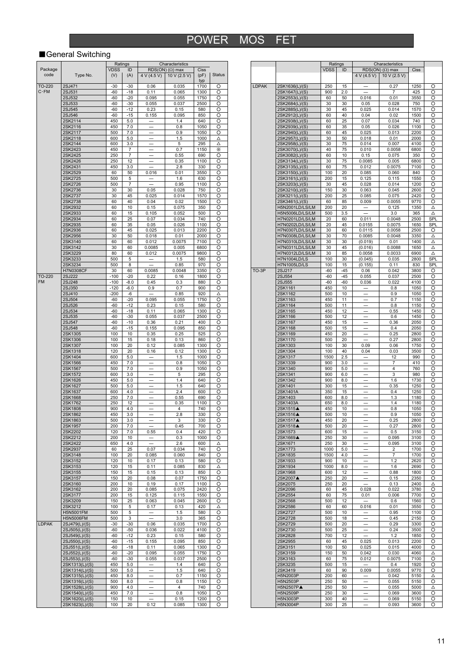### ■General Switching

|                 |                  |                    | Ratings   |             | Characteristics                            |                     |        |
|-----------------|------------------|--------------------|-----------|-------------|--------------------------------------------|---------------------|--------|
| Package<br>code | Type No.         | <b>VDSS</b><br>(V) | ID<br>(A) | 4 V (4.5 V) | $RDS(ON)$ ( $\Omega$ ) max<br>10 V (2.5 V) | Ciss<br>(pF)<br>typ | Status |
| TO-220          | 2SJ471           | -30                | -30       | 0.06        | 0.035                                      | 1700                | Ο      |
| C·FM            | 2SJ531           | $-60$              | $-18$     | 0.11        | 0.065                                      | 1300                | O      |
|                 | 2SJ532           | -60                | $-20$     | 0.095       | 0.055                                      | 1750                | O      |
|                 | 2SJ533           | $-60$              | $-30$     | 0.055       | 0.037                                      | 2500                | O      |
|                 | 2SJ545           | -60                | $-12$     | 0.23        | 0.15                                       | 580                 | O      |
|                 | 2SJ546           | -60                | $-15$     | 0.155       | 0.095                                      | 850                 | O      |
|                 | 2SK2114          | 450                | 5.0       |             | 1.4                                        | 640                 | O      |
|                 | 2SK2116          | 450                | 7.0       |             | 0.8                                        | 1050                | O      |
|                 | 2SK2117          | 500                | 7.0       |             | 0.9                                        | 1050                | O      |
|                 | 2SK2118          | 600                | 5.0       |             | 1.5                                        | 1000                | Δ      |
|                 | 2SK2144          |                    |           |             |                                            |                     |        |
|                 |                  | 600                | 3.0       |             | 5                                          | 295                 | Δ      |
|                 | 2SK2423          | 450                | 7         |             | 0.7                                        | 1150                | X      |
|                 | 2SK2425          | 250                | 7         |             | 0.55                                       | 690                 | Ο      |
|                 | 2SK2426          | 250                | 12        |             | 0.35                                       | 1100                | O      |
|                 | 2SK2431          | 450                | 3.0       |             | 2.8                                        | 330                 | O      |
|                 | 2SK2529          | 60                 | 50        | 0.016       | 0.01                                       | 3550                | O      |
|                 | 2SK2725          | 500                | 5         |             | 1.6                                        | 630                 | O      |
|                 | 2SK2726          | 500                | 7         |             | 0.95                                       | 1100                | O      |
|                 | 2SK2736          | 30                 | 30        | 0.05        | 0.028                                      | 750                 | O      |
|                 | 2SK2737          | 30                 | 45        | 0.025       | 0.014                                      | 1570                | Ο      |
|                 | 2SK2738          | 60                 | 40        | 0.04        | 0.02                                       | 1500                | O      |
|                 | 2SK2932          | 60                 | 10        | 0.15        | 0.075                                      | 350                 | O      |
|                 | 2SK2933          | 60                 | 15        | 0.105       | 0.052                                      | 500                 | O      |
|                 | 2SK2934          | 60                 | 25        | 0.07        | 0.034                                      | 740                 | O      |
|                 |                  |                    |           |             |                                            |                     |        |
|                 | 2SK2935          | 60                 | 35        | 0.05        | 0.026                                      | 1100                | O      |
|                 | 2SK2936          | 60                 | 45        | 0.025       | 0.013                                      | 2200                | Ο      |
|                 | 2SK2956          | 30                 | 50        | 0.018       | 0.01                                       | 2000                | O      |
|                 | 2SK3140          | 60                 | 60        | 0.012       | 0.0075                                     | 7100                | O      |
|                 | 2SK3142          | 30                 | 60        | 0.0085      | 0.005                                      | 6800                | O      |
|                 | 2SK3229          | 80                 | 60        | 0.012       | 0.0075                                     | 9800                | O      |
|                 | 2SK3233          | 500                | 5         |             | 1.5                                        | 580                 | O      |
|                 | 2SK3234          | 500                | 8         |             | 0.85                                       | 970                 | Ο      |
|                 | <b>H7N0308CF</b> | 30                 | 60        | 0.0085      | 0.0048                                     | 3350                | O      |
| $TO-220$        | 2SJ222           | $-100$             | $-20$     | 0.22        | 0.16                                       | 1800                | O      |
| FM              | 2SJ248           | $-100$             | $-8.0$    | 0.45        | 0.3                                        | 880                 | O      |
|                 | 2SJ350           | -120               | $-6.0$    | 0.9         | 0.7                                        | 900                 | O      |
|                 |                  |                    |           |             |                                            |                     |        |
|                 | 2SJ410           | $-200$             | -6        |             | 0.85                                       | 920                 | Δ      |
|                 | 2SJ504           | -60                | $-20$     | 0.095       | 0.055                                      | 1750                | O      |
|                 | 2SJ526           | -60                | $-12$     | 0.23        | 0.15                                       | 580                 | Ο      |
|                 | 2SJ534           | -60                | $-18$     | 0.11        | 0.065                                      | 1300                | O      |
|                 | 2SJ535           | -60                | $-30$     | 0.055       | 0.037                                      | 2500                | O      |
|                 | 2SJ547           | $-60$              | -10       | 0.36        | 0.21                                       | 400                 | O      |
|                 | 2SJ548           | -60                | $-15$     | 0.155       | 0.095                                      | 850                 | O      |
|                 | 2SK1305          | 100                | 10        | 0.35        | 0.25                                       | 525                 | O      |
|                 | 2SK1306          | 100                | 15        | 0.18        | 0.13                                       | 860                 | O      |
|                 | 2SK1307          | 100                | 20        | 0.12        | 0.085                                      | 1300                | O      |
|                 | 2SK1318          | 120                | 20        | 0.16        | 0.12                                       | 1300                | O      |
|                 | 2SK1404          | 600                | 5.0       |             | 1.5                                        | 1000                | O      |
|                 |                  |                    |           |             |                                            |                     |        |
|                 | 2SK1566          | 450                | 7.0       |             | 0.8                                        | 1050                | O      |
|                 | 2SK1567          | 500                | 7.0       |             | 0.9                                        | 1050                | O      |
|                 | 2SK1572          | 600                | 3.0       |             | 5                                          | 295                 | Ο      |
|                 | 2SK1626          | 450                | 5.0       |             | 1.4                                        | 640                 | O      |
|                 | 2SK1627          | 500                | 5.0       |             | 1.5                                        | 640                 | O      |
|                 | 2SK1637          | 600                | 4.0       |             | 2.4                                        | 600                 | O      |
|                 | 2SK1668          | 250                | 7.0       |             | 0.55                                       | 690                 | O      |
|                 | 2SK1762          | 250                | 12        |             | 0.35                                       | 1100                | O      |
|                 | 2SK1808          | 900                | 4.0       |             | 4                                          | 740                 | O      |
|                 | 2SK1862          | 450                | 3.0       |             | 2.8                                        | 330                 | Ο      |
|                 | 2SK1863          | 500                | 3.0       |             | 3                                          | 330                 | O      |
|                 | 2SK1957          | 200                | 7.0       |             | 0.45                                       | 700                 | O      |
|                 | 2SK2202          | 120                | 7.0       | 0.55        | 0.4                                        | 420                 | O      |
|                 | 2SK2212          | 200                | 10        |             | 0.3                                        | 1000                | O      |
|                 | 2SK2422          | 650                | 4.0       |             | 2.6                                        | 600                 | Δ      |
|                 | 2SK2937          | 60                 | 25        | 0.07        | 0.034                                      | 740                 | O      |
|                 |                  | 100                | 20        | 0.085       |                                            | 840                 | O      |
|                 | 2SK3148          |                    |           |             | 0.060                                      |                     |        |
|                 | 2SK3152          | 120                | 10        | 0.17        | 0.13                                       | 580                 | O      |
|                 | 2SK3153          | 120                | 15        | 0.11        | 0.085                                      | 830                 | Δ      |
|                 | 2SK3155          | 150                | 15        | 0.15        | 0.13                                       | 850                 | O      |
|                 | 2SK3157          | 150                | 20        | 0.08        | 0.07                                       | 1750                | O      |
|                 | 2SK3160          | 200                | 10        | 0.19        | 0.17                                       | 1100                | O      |
|                 | 2SK3162          | 200                | 20        | 0.085       | 0.075                                      | 2420                | O      |
|                 | 2SK3177          | 200                | 15        | 0.125       | 0.115                                      | 1550                | O      |
|                 | 2SK3209          | 150                | 25        | 0.063       | 0.045                                      | 2600                | O      |
|                 | 2SK3212          | 100                | 5         | 0.17        | 0.13                                       | 420                 | Δ      |
|                 | H5N5001FM        | 500                | 5         |             | 1.5                                        | 580                 | O      |
|                 | H5N5006FM        | 500                | 3         |             | 3.0                                        | 365                 | O      |
| <b>LDPAK</b>    | 2SJ479(L)/(S)    | $-30$              | $-30$     | 0.06        | 0.035                                      | 1700                | O      |
|                 | 2SJ505(L)/(S)    | $-60$              | $-50$     | 0.036       | 0.022                                      | 4100                | O      |
|                 |                  |                    |           |             |                                            |                     |        |
|                 | 2SJ549(L)/(S)    | -60                | -12       | 0.23        | 0.15                                       | 580                 | O      |
|                 | 2SJ550(L)/(S)    | -60                | $-15$     | 0.155       | 0.095                                      | 850                 | O      |
|                 | 2SJ551(L)/(S)    | -60                | $-18$     | 0.11        | 0.065                                      | 1300                | O      |
|                 | 2SJ552(L)/(S)    | -60                | -20       | 0.095       | 0.055                                      | 1750                | O      |
|                 | 2SJ553(L)/(S)    | -60                | $-30$     | 0.055       | 0.037                                      | 2500                | Ο      |
|                 | 2SK1313(L)/(S)   | 450                | 5.0       |             | 1.4                                        | 640                 | O      |
|                 | 2SK1314(L)/(S)   | 500                | 5.0       |             | 1.5                                        | 640                 | O      |
|                 | 2SK1315(L)/(S)   |                    |           |             |                                            |                     |        |
|                 |                  | 450                | 8.0       |             | 0.7                                        | 1150                | O      |
|                 |                  |                    |           |             |                                            |                     |        |
|                 | 2SK1316(L)/(S)   | 500                | 8.0       |             | 0.8                                        | 1150                | O      |
|                 | 2SK1528(L)/(S)   | 900                | 4.0       |             | 4                                          | 740                 | O      |
|                 | 2SK1540(L)/(S)   | 450                | 7.0       |             | 0.8                                        | 1050                | O      |
|                 | 2SK1620(L)/(S)   | 150                | 10        |             | 0.15                                       | 1200                | O      |

|              |                                    | Ratings     |           |                  | Characteristics                            |              |            |
|--------------|------------------------------------|-------------|-----------|------------------|--------------------------------------------|--------------|------------|
|              |                                    | <b>VDSS</b> | ID        | 4 V (4.5 V)      | $RDS(ON)$ ( $\Omega$ ) max<br>10 V (2.5 V) | Ciss         |            |
| <b>LDPAK</b> | 2SK1636(L)/(S)                     | 250         | 15        |                  | 0.27                                       | 1250         | O          |
|              | 2SK1647(L)/(S)                     | 900         | 2.0       |                  | 7                                          | 425          | O          |
|              | 2SK2553(L)/(S)                     | 60          | 50        | 0.016            | 0.01                                       | 3550         | O          |
|              | 2SK2684(L)/(S)                     | 30          | 30        | 0.05             | 0.028                                      | 750          | O          |
|              | 2SK2885(L)/(S)                     | 30          | 45        | 0.025            | 0.014                                      | 1570         | O          |
|              | 2SK2912(L)/(S)<br>2SK2938(L)/(S)   | 60<br>60    | 40<br>25  | 0.04<br>0.07     | 0.02<br>0.034                              | 1500<br>740  | O<br>O     |
|              | 2SK2939(L)/(S)                     | 60          | 35        | 0.05             | 0.026                                      | 1100         | O          |
|              | 2SK2940(L)/(S)                     | 60          | 45        | 0.025            | 0.013                                      | 2200         | O          |
|              | 2SK2957(L)/(S)                     | 30          | 50        | 0.018            | 0.01                                       | 2000         | O          |
|              | 2SK2958(L)/(S)                     | 30          | 75        | 0.014            | 0.007                                      | 4100         | O          |
|              | 2SK3070(L)/(S)                     | 40          | 75        | 0.010            | 0.0058                                     | 6800         | O          |
|              | 2SK3082(L)/(S)<br>2SK3134(L)/(S)   | 60<br>30    | 10<br>75  | 0.15<br>0.0085   | 0.075<br>0.005                             | 350<br>6800  | O<br>O     |
|              | 2SK3135(L)/(S)                     | 60          | 75        | 0.012            | 0.0075                                     | 7100         | O          |
|              | 2SK3150(L)/(S)                     | 100         | 20        | 0.085            | 0.060                                      | 840          | O          |
|              | 2SK3161(L)/(S)                     | 200         | 15        | 0.125            | 0.115                                      | 1550         | O          |
|              | 2SK3203(L)/(S)                     | 30          | 45        | 0.028            | 0.014                                      | 1200         | O          |
|              | 2SK3210(L)/(S)<br>2SK3211(L)/(S)   | 150<br>200  | 30<br>25  | 0.063            | 0.045                                      | 2600<br>2420 | O<br>O     |
|              | 2SK3461(L)/(S)                     | 60          | 85        | 0.085<br>0.009   | 0.075<br>0.0055                            | 9770         | O          |
|              | H5N2001LD/LS/LM                    | 200         | 20        |                  | 0.125                                      | 1350         | Δ          |
|              | H5N5006LD/LS/LM                    | 500         | 3.5       |                  | 3.0                                        | 365          | Δ          |
|              | H7N0201LD/LS/LM                    | 20          | 60        | 0.011            | 0.0048                                     | 2500         | SPL        |
|              | H7N0202LD/LS/LM<br>H7N0307LD/LS/LM | 20          | 45        | 0.0155           | 0.0075                                     | 1650         | <b>SPL</b> |
|              | H7N0308LD/LS/LM                    | 30<br>30    | 60<br>70  | 0.0115<br>0.0085 | 0.0058<br>0.0048                           | 2500<br>3350 | O<br>Δ     |
|              | H7N0310LD/LS/LM                    | 30          | 30        | (0.019)          | 0.01                                       | 1400         | Δ          |
|              | H7N0311LD/LS/LM                    | 30          | 45        | (0.016)          | 0.0088                                     | 1650         | Δ          |
|              | H7N0312LD/LS/LM                    | 30          | 85        | 0.0058           | 0.0033                                     | 6900         | Δ          |
|              | H7N1004LD/LS<br>H7N1005LD/LS       | 100<br>100  | 30<br>15  | (0.045)          | 0.035                                      | 2800         | SPL<br>SPL |
| TO-3P        | 2SJ217                             | -60         | -45       | (0.155)<br>0.06  | 0.11<br>0.042                              | 830<br>3800  | O          |
|              | 2SJ554                             | -60         | $-45$     | 0.055            | 0.037                                      | 2500         | O          |
|              | 2SJ555                             | $-60$       | -60       | 0.036            | 0.022                                      | 4100         | O          |
|              | 2SK1161                            | 450         | 10        |                  | 0.8                                        | 1050         | O          |
|              | 2SK1162<br>2SK1163                 | 500<br>450  | 10<br>11  |                  | 0.9<br>0.7                                 | 1050<br>1150 | O<br>O     |
|              | 2SK1164                            | 500         | 11        |                  | 0.8                                        | 1150         | O          |
|              | 2SK1165                            | 450         | 12        |                  | 0.55                                       | 1450         | O          |
|              | 2SK1166                            | 500         | 12        |                  | 0.6                                        | 1450         | O          |
|              | 2SK1167<br>2SK1168                 | 450<br>500  | 15<br>15  |                  | 0.36<br>0.4                                | 2050<br>2050 | O<br>O     |
|              | 2SK1169                            | 450         | 20        |                  | 0.25                                       | 2800         | O          |
|              | 2SK1170                            | 500         | 20        |                  | 0.27                                       | 2800         | O          |
|              | 2SK1303                            | 100         | 30        | 0.09             | 0.06                                       | 1750         | O          |
|              | 2SK1304<br>2SK1317                 | 100<br>1500 | 40<br>2.5 | 0.04             | 0.03<br>12                                 | 3500<br>990  | O<br>O     |
|              | 2SK1339                            | 900         | 3.0       |                  | 7                                          | 410          | O          |
|              | 2SK1340                            | 900         | 5.0       |                  | 4                                          | 760          | O          |
|              | 2SK1341                            | 900         | 6.0       |                  | 3                                          | 980          | O          |
|              | 2SK1342<br>2SK1401                 | 900<br>300  | 8.0<br>15 |                  | 1.6<br>0.35                                | 1730<br>1250 | O<br>O     |
|              | 2SK1401A                           | 350         | 15        |                  | 0.4                                        | 1250         | O          |
|              | 2SK1403                            | 600         | 8.0       |                  | 1.3                                        | 1180         | O          |
|              | 2SK1403A                           | 650         | 8.0       |                  | 1.4                                        | 1180         | O          |
|              | 2SK1515▲<br>2SK1516▲               | 450<br>500  | 10<br>10  |                  | 0.8<br>0.9                                 | 1050<br>1050 | O<br>O     |
|              | 2SK1517▲                           | 450         | 20        |                  | 0.25                                       | 2800         | O          |
|              | 2SK1518▲                           | 500         | 20        |                  | 0.27                                       | 2800         | O          |
|              | 2SK1573                            | 600         | 15        |                  | 0.5                                        | 3150         | O          |
|              | 2SK1669▲                           | 250         | 30        |                  | 0.095                                      | 3100         | O          |
|              | 2SK1671<br>2SK1773                 | 250<br>1000 | 30<br>5.0 |                  | 0.095<br>2                                 | 3100<br>1700 | O<br>O     |
|              | 2SK1835                            | 1500        | 4.0       |                  | 7                                          | 1700         | O          |
|              | 2SK1933                            | 900         | 10        |                  | 1.2                                        | 2620         | O          |
|              | 2SK1934                            | 1000        | 8.0       |                  | 1.6                                        | 2690         | Ω          |
|              | 2SK1968<br>2SK2007▲                | 600<br>250  | 12<br>20  |                  | 0.88<br>0.15                               | 1800<br>2350 | O<br>O     |
|              | 2SK2075                            | 250         | 20        |                  | 0.13                                       | 2400         | Δ          |
|              | 2SK2096                            | 60          | 45        | 0.028            | 0.022                                      | 3780         | O          |
|              | 2SK2554                            | 60          | 75        | 0.01             | 0.006                                      | 7700         | O          |
|              | 2SK2568<br>2SK2586                 | 500<br>60   | 12<br>60  | 0.016            | 0.6<br>0.01                                | 1560<br>3550 | O<br>O     |
|              | 2SK2727                            | 500         | 10        |                  | 0.95                                       | 1100         | O          |
|              | 2SK2728                            | 500         | 18        |                  | 0.45                                       | 2150         | O          |
|              | 2SK2729                            | 500         | 20        |                  | 0.29                                       | 3300         | O          |
|              | 2SK2730<br>2SK2828                 | 500<br>700  | 25<br>12  |                  | 0.24<br>1.2                                | 3500<br>1850 | O<br>O     |
|              | 2SK2955                            | 60          | 45        | 0.025            | 0.013                                      | 2200         | O          |
|              | 2SK3151                            | 100         | 50        | 0.025            | 0.015                                      | 4000         | O          |
|              | 2SK3159                            | 150         | 50        | 0.042            | 0.030                                      | 4060         | Δ          |
|              | 2SK3163<br>2SK3235                 | 60<br>500   | 75<br>15  | 0.012            | 0.0075<br>0.4                              | 7100<br>1920 | O<br>O     |
|              | 2SK3419                            | 60          | 90        | 0.009            | 0.0055                                     | 9770         | O          |
|              | H5N2003P                           | 200         | 60        |                  | 0.042                                      | 5150         | Δ          |
|              | H5N2503P                           | 250         | 50        |                  | 0.055                                      | 5150         | O          |
|              | H5N2507P▲<br>H5N2509P              | 250<br>250  | 50<br>30  |                  | 0.055<br>0.069                             | 5000<br>3600 | Δ<br>O     |
|              | H5N3003P                           | 300         | 40        |                  | 0.069                                      | 5150         | O          |
|              | H5N3004P                           | 300         | 25        |                  | 0.093                                      | 3600         | O          |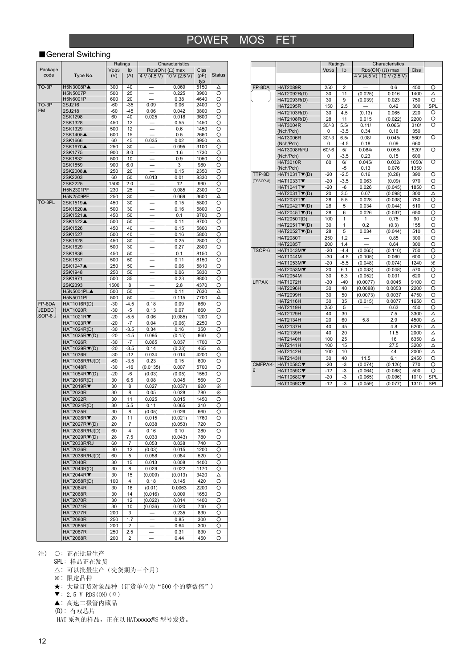#### ■General Switching

|              |                                  |             | Ratings |                          | Characteristics            |             |               |
|--------------|----------------------------------|-------------|---------|--------------------------|----------------------------|-------------|---------------|
| Package      |                                  | <b>VDSS</b> | ID      |                          | $RDS(ON)$ ( $\Omega$ ) max | Ciss        |               |
| code         | Type No.                         | (V)         | (A)     | 4 V (4.5 V)              | 10 V (2.5 V)               | (pF)        | <b>Status</b> |
| TO-3P        | H5N3008P▲                        | 300         | 40      |                          | 0.069                      | typ<br>5150 | Δ             |
|              | H5N5007P                         | 500         | 25      |                          | 0.225                      | 3900        | O             |
|              | H5N6001P                         | 600         | 20      |                          | 0.38                       | 4640        | O             |
| TO-3P        | 2SJ216                           | -60         | $-35$   | 0.09                     | 0.06                       | 2400        | O             |
| <b>FM</b>    | 2SJ218                           | -60         | $-45$   | 0.06                     | 0.042                      | 3800        | O             |
|              | 2SK1298                          | 60          | 40      | 0.025                    | 0.018                      | 3600        | O             |
|              | 2SK1328                          | 450         | 12      |                          | 0.55                       | 1450        | O             |
|              | 2SK1329                          | 500         | 12      |                          | 0.6                        | 1450        | O             |
|              | 2SK1405▲                         | 600         | 15      |                          | 0.5                        | 2660        | O             |
|              | 2SK1666                          | 60          | 45      | 0.035                    | 0.02                       | 3950        | Δ             |
|              | 2SK1670▲                         | 250         | 30      |                          | 0.095                      | 3100        | O             |
|              | 2SK1775                          | 900         | 8.0     |                          | 1.6                        | 1730        | O             |
|              | 2SK1832                          | 500         | 10      |                          | 0.9                        | 1050        | O             |
|              | 2SK1859                          | 900         | 6.0     |                          | 3                          | 980         | О             |
|              | 2SK2008▲                         | 250         | 20      |                          | 0.15                       | 2350        | O             |
|              | 2SK2203                          | 60          | 50      | 0.013                    | 0.01                       | 8330        | O             |
|              | 2SK2225                          | 1500        | 2.0     |                          | 12                         | 990         | О             |
|              | H5N2301PF                        | 230         | 25      |                          | 0.085                      | 2300        | O             |
|              | <b>H5N2509PF</b>                 | 250         | 30      |                          | 0.069                      | 3600        | Δ             |
| TO-3PL       | 2SK1519▲                         | 450         | 30      |                          | 0.15                       | 5800        | O             |
|              | 2SK1520▲                         | 500         | 30      |                          | 0.16                       | 5800        | O             |
|              | 2SK1521▲                         | 450         | 50      |                          | 0.1                        | 8700        | O             |
|              | 2SK1522▲                         | 500         | 50      |                          | 0.11                       | 8700        | O             |
|              | 2SK1526                          | 450         | 40      |                          | 0.15                       | 5800        | O             |
|              | 2SK1527                          | 500         | 40      |                          | 0.16                       | 5800        | O             |
|              | 2SK1628                          | 450         | 30      |                          | 0.25                       | 2800        | O             |
|              | 2SK1629                          | 500         | 30      |                          | 0.27                       | 2800        | O             |
|              | 2SK1836                          | 450         | 50      |                          | 0.1                        | 8150        | O             |
|              | 2SK1837                          |             |         |                          |                            |             |               |
|              |                                  | 500         | 50      |                          | 0.11                       | 8150        | O             |
|              | 2SK1947▲                         | 250         | 50      |                          | 0.06                       | 5810        | O             |
|              | 2SK1948                          | 250         | 50      |                          | 0.06                       | 5830        | O             |
|              | 2SK1971                          | 500         | 35      |                          | 0.23                       | 8800        | O             |
|              | 2SK2393                          | 1500        | 8       |                          | 2.8                        | 4370        | O             |
|              | H5N5004PL▲                       | 500         | 50      |                          | 0.11                       | 7630        | Δ             |
|              | <b>H5N5011PL</b>                 | 500         | 50      |                          | 0.115                      | 7700        | Δ             |
| FP-8DA       | <b>HAT1016R(D)</b>               | $-30$       | $-4.5$  | 0.18                     | 0.09                       | 660         | O             |
| <b>JEDEC</b> | <b>HAT1020R</b>                  | $-30$       | $-5$    | 0.13                     | 0.07                       | 860         | O             |
| SOP-8        | HAT1021R                         | -20         | $-5.5$  | 0.06                     | (0.085)                    | 1200        | O             |
|              | HAT1023R                         | $-20$       | $-7$    | 0.04                     | (0.06)                     | 2250        | O             |
|              | HAT1024R(D)                      | $-30$       | $-3.5$  | 0.34                     | 0.16                       | 350         | O             |
|              | $HAT1025R \blacktriangledown(D)$ | $-20$       | $-4.5$  | 0.095                    | (0.15)                     | 860         | O             |
|              | <b>HAT1026R</b>                  | $-30$       | $-7$    | 0.065                    | 0.037                      | 1700        | O             |
|              | HAT1029R▼(D)                     | $-20$       | $-3.5$  | 0.14                     | (0.23)                     | 465         | Δ             |
|              | <b>HAT1036R</b>                  | $-30$       | -12     | 0.034                    | 0.014                      | 4200        | O             |
|              | HAT1038R/RJ(D)                   | -60         | $-3.5$  | 0.23                     | 0.15                       | 600         | О             |
|              | <b>HAT1048R</b>                  | $-30$       | $-16$   | (0.0135)                 | 0.007                      | 5700        | O             |
|              | HAT1054R▼(D)                     | -20         | -6      | (0.03)                   | (0.05)                     | 1550        | O             |
|              | <b>HAT2016R(D)</b>               | 30          | 6.5     | 0.08                     | 0.045                      | 560         | O             |
|              | <b>HAT2019R▼</b>                 | 30          | 8       | 0.027                    | (0.037)                    | 920         | Ж             |
|              | <b>HAT2020R</b>                  | 30          | 8       | 0.05                     | 0.028                      | 780         | Ж             |
|              | <b>HAT2022R</b>                  | 30          | 11      | 0.025                    | 0.015                      | 1450        | O             |
|              | HAT2024R(D)                      | 30          | 5.5     | 0.11                     | 0.065                      | 310         | O             |
|              | <b>HAT2025R</b>                  | 30          | 8       | (0.05)                   | 0.026                      | 660         | O             |
|              | <b>HAT2026R▼</b>                 | 20          | 11      | 0.015                    | (0.021)                    | 1760        |               |
|              | HAT2027R▼(D)                     | 20          | 7       | 0.038                    | (0.053)                    | 720         | O             |
|              | HAT2028R/RJ(D)                   | 60          | 4       | 0.16                     | 0.10                       | 280         | O             |
|              | HAT2029R (D)                     | 28          | 7.5     | 0.033                    | (0.043)                    | 780         | O             |
|              |                                  |             | 7       | 0.053                    |                            | 740         |               |
|              | HAT2033R/RJ                      | 60          |         |                          | 0.038                      |             | O             |
|              | <b>HAT2036R</b>                  | 30          | 12      | (0.03)                   | 0.015                      | 1200        | O             |
|              | HAT2038R/RJ(D)                   | 60          | 5       | 0.058                    | 0.084                      | 520         | O             |
|              | <b>HAT2040R</b>                  | 30          | 15      | 0.013                    | 0.008                      | 4400        | O             |
|              | <b>HAT2043R(D)</b>               | 30          | 8       | 0.029                    | 0.022                      | 1170        | O             |
|              | HAT2044R                         | 30          | 15      | (0.009)                  | (0.013)                    | 3420        | Δ             |
|              | HAT2058R(D)                      | 100         | 4       | 0.18                     | 0.145                      | 420         | O             |
|              | <b>HAT2064R</b>                  | 30          | 16      | (0.01)                   | 0.0063                     | 2200        | O             |
|              | <b>HAT2068R</b>                  | 30          | 14      | (0.016)                  | 0.009                      | 1650        | O             |
|              | <b>HAT2070R</b>                  | 30          | 12      | (0.022)                  | 0.014                      | 1400        | O             |
|              | <b>HAT2071R</b>                  | 30          | 10      | (0.036)                  | 0.020                      | 740         | O             |
|              | <b>HAT2077R</b>                  | 200         | 3       |                          | 0.235                      | 830         | O             |
|              | <b>HAT2080R</b>                  | 250         | 1.7     |                          | 0.85                       | 300         | O             |
|              | <b>HAT2085R</b>                  | 200         | 2       | $\overline{\phantom{0}}$ | 0.64                       | 300         | O             |
|              | <b>HAT2087R</b>                  | 250         | 2.5     |                          | 0.31                       | 830         | O             |
|              | <b>HAT2088R</b>                  | 200         | 2       |                          | 0.44                       | 450         | O             |

|             |                                  | Ratings     |                | Characteristics |                                              |             |          |
|-------------|----------------------------------|-------------|----------------|-----------------|----------------------------------------------|-------------|----------|
|             |                                  | <b>VDSS</b> | ID             |                 | $\overline{\text{RDS}}(ON)$ ( $\Omega$ ) max | <b>Ciss</b> |          |
|             |                                  |             |                | 4 V (4.5 V)     | 10 V (2.5 V)                                 |             |          |
|             |                                  |             |                |                 |                                              |             |          |
| FP-8DA      | <b>HAT2089R</b>                  | 250         | $\overline{2}$ |                 | 0.6                                          | 450         | O        |
|             | HAT2092R(D)                      | 30          | 11             | (0.025)         | 0.016                                        | 1400        | Δ        |
|             | HAT2093R(D)                      | 30          | 9              | (0.039)         | 0.023                                        | 750         | Ο        |
|             | <b>HAT2095R</b>                  | 150         | 2.5            |                 | 0.42                                         | 300         | SPL      |
|             | HAT2103R(D)                      | 30          | 4.5            | (0.13)          | 0.065                                        | 220         | O        |
|             | HAT2108R(D)                      | 28          | 11             | 0.015           | (0.022)                                      | 2200        | O        |
|             | <b>HAT3004R</b>                  | $30/-3$     | 5.5/           | 0.11/           | 0.065/                                       | 310/        | O        |
|             | (Nch/Pch)                        | 0           | $-3.5$         | 0.34            | 0.16                                         | 350         |          |
|             | <b>HAT3006R</b>                  | $30/-3$     | 6.5/           | 0.08/           | 0.045/                                       | 560/        | O        |
|             | (Nch/Pch)                        | 0           | $-4.5$         | 0.18            | 0.09                                         | 660         |          |
|             | <b>HAT3008R/RJ</b>               | $60/-6$     | 5/             | 0.084/          | 0.058/                                       | 520/        | Ō        |
|             | (Nch/Pch)                        | 0           | $-3.5$         | 0.23            | 0.15                                         | 600         |          |
|             | <b>HAT3010R</b>                  | 60          | 6/             | 0.045/          | 0.032/                                       | 1050/       | $\Omega$ |
|             | (Nch/Pch)                        |             | -5             | 0.13            | 0.076                                        | 1350        |          |
| TTP-8D      | $HAT1031T$ $\nabla$ (D)          | $-20$       | $-2.5$         | 0.16            | (0.28)                                       | 390         | O        |
| $(TSSOP-8)$ | <b>HAT1033T▼</b>                 | $-20$       | $-3.5$         | 0.063           | (0.09)                                       | 970         | O        |
|             | <b>HAT1041T▼</b>                 | $-20$       | -6             | 0.026           | (0.045)                                      | 1850        | O        |
|             | $HAT2031T\nabla(D)$              | 20          | 3.5            | 0.07            | (0.098)                                      | 300         | Δ        |
|             | <b>HAT2037T▼</b>                 | 28          | 5.5            | 0.028           | (0.038)                                      | 780         | O        |
|             | $HAT2042T \blacktriangledown(D)$ | 28          | 5              | 0.034           | (0.044)                                      | 510         | O        |
|             | HAT2045TV(D)                     | 28          | 6              | 0.026           | (0.037)                                      | 650         | O        |
|             | HAT2050T(D)                      | 100         | 1              | 1               | 0.75                                         | 90          | O        |
|             | HAT2051T▼(D)                     | 30          | 1              | 0.2             | (0.3)                                        | 155         | O        |
|             | $HAT2052T$ $\nabla$ (D)          | 28          | 5              | 0.034           | (0.044)                                      | 510         | O        |
|             | <b>HAT2080T</b>                  | 250         | 1.2            |                 | 0.85                                         | 300         | Ω        |
|             | <b>HAT2085T</b>                  | 200         | 1.4            |                 | 0.64                                         | 300         | O        |
| TSOP-6      | <b>HAT1043M▼</b>                 | $-20$       | $-4.4$         | (0.065)         | (0.110)                                      | 750         | Ω        |
|             | <b>HAT1044M</b>                  | $-30$       | $-4.5$         | (0.105)         | 0.060                                        | 600         | O        |
|             | <b>HAT1053M</b> ▼                | $-20$       | $-5.5$         | (0.048)         | (0.074)                                      | 1240        | Ж        |
|             | HAT2053M▼                        | 20          | 6.1            | (0.033)         | (0.048)                                      | 570         | O        |
|             | <b>HAT2054M</b>                  | 30          | 6.3            | (0.052)         | 0.031                                        | 620         | O        |
| LFPAK       | <b>HAT1072H</b>                  | $-30$       | $-40$          | (0.0077)        | 0.0045                                       | 9100        | O        |
|             | <b>HAT2096H</b>                  | 30          | 40             | (0.0088)        | 0.0053                                       | 2200        | O        |
|             | <b>HAT2099H</b>                  | 30          | 50             | (0.0073)        | 0.0037                                       | 4750        | O        |
|             | <b>HAT2116H</b>                  | 30          | 35             | (0.015)         | 0.0077                                       | 1650        | O        |
|             | <b>HAT2119H</b>                  | 250         | 5              |                 | 0.63                                         | 450         | O        |
|             | <b>HAT2129H</b>                  | 40          | 30             |                 | 7.5                                          | 3300        | Δ        |
|             | <b>HAT2134H</b>                  | 20          | 60             | 5.8             | 2.9                                          | 4500        | Δ        |
|             | <b>HAT2137H</b>                  | 40          | 45             |                 | 4.8                                          | 6200        | Δ        |
|             | <b>HAT2139H</b>                  | 40          | 20             |                 | 11.5                                         | 2000        | Δ        |
|             | <b>HAT2140H</b>                  | 100         | 25             |                 | 16                                           | 6350        | Δ        |
|             | <b>HAT2141H</b>                  | 100         | 15             |                 | 27.5                                         | 3200        | Δ        |
|             | <b>HAT2142H</b>                  | 100         | 10             |                 | 44                                           | 2000        | Δ        |
|             | <b>HAT2143H</b>                  | 30          | 40             | 11.5            | 6.1                                          | 2450        | O        |
| CMFPAK-     | <b>HAT1058C▼</b>                 | $-20$       | $-3$           | (0.074)         | (0.126)                                      | 770         | O        |
| 6           | <b>HAT1059C▼</b>                 | $-12$       | -3             | (0.064)         | (0.088)                                      | 500         | O        |
|             | <b>HAT1068C▼</b>                 | $-20$       | $-3$           | (0.065)         | (0.096)                                      | 1010        | SPL      |
|             | <b>HAT1069C▼</b>                 | $-12$       | $-3$           | (0.059)         | (0.077)                                      | 1310        | SPL      |

- 注) 〇: 正在批量生产
- SPL: 样品正在发货
	- △: 可以批量生产(交货期为三个月)
	- ※: 限定品种
	- ★: 大量订货对象品种 (订货单位为"500 个的整数倍")
	- $\blacktriangledown$ : 2.5 V RDS(ON)( $\Omega$ )
	- ▲: 高速二极管内藏品
	- (D): 有双芯片

HAT 系列的样品, 正在以 HATxxxxxWS 型号发货。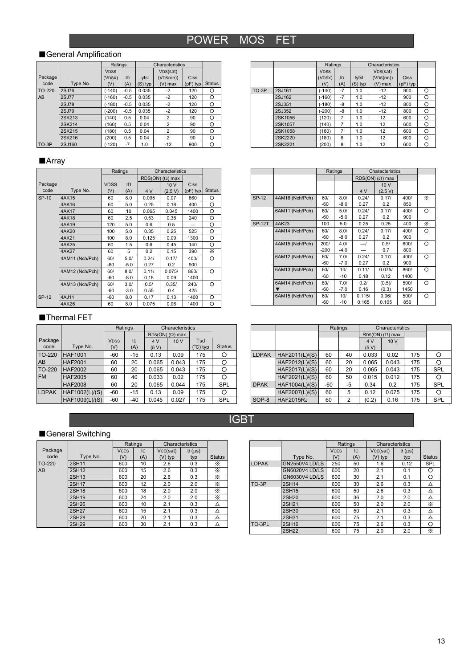IGBT

### ■General Amplification

|         |              | Ratings     |        |         | Characteristics |             |               |
|---------|--------------|-------------|--------|---------|-----------------|-------------|---------------|
|         |              | <b>VDSS</b> |        |         | VDS(sat)        |             |               |
| Package |              | (VDSX)      | ID     | lyfsl   | (VDS(0n))       | <b>Ciss</b> |               |
| code    | Type No.     | (V)         | (A)    | (S) typ | $(V)$ max       | $(pF)$ typ  | <b>Status</b> |
| TO-220  | <b>2SJ76</b> | $(-140)$    | $-0.5$ | 0.035   | $-2$            | 120         | О             |
| AB      | <b>2SJ77</b> | (-160)      | $-0.5$ | 0.035   | $-2$            | 120         | Ο             |
|         | <b>2SJ78</b> | $(-180)$    | $-0.5$ | 0.035   | $-2$            | 120         | Ο             |
|         | 2SJ79        | (-200)      | $-0.5$ | 0.035   | $-2$            | 120         | Ο             |
|         | 2SK213       | (140)       | 0.5    | 0.04    | $\overline{2}$  | 90          | Ο             |
|         | 2SK214       | (160)       | 0.5    | 0.04    | 2               | 90          | Ο             |
|         | 2SK215       | (180)       | 0.5    | 0.04    | 2               | 90          | Ο             |
|         | 2SK216       | (200)       | 0.5    | 0.04    | $\overline{2}$  | 90          | Ο             |
| TO-3P   | 2SJ160       | (-120)      | $-7$   | 1.0     | $-12$           | 900         | Ο             |

### ■Array

|         |                 |             | Ratings |       | Characteristics            |             |               |
|---------|-----------------|-------------|---------|-------|----------------------------|-------------|---------------|
|         |                 |             |         |       | $RDS(ON)$ ( $\Omega$ ) max |             |               |
| Package |                 | <b>VDSS</b> | ID      |       | 10V                        | <b>Ciss</b> |               |
| code    | Type No.        | (V)         | (A)     | 4 V   | (2.5 V)                    | $(pF)$ typ  | <b>Status</b> |
| SP-10   | <b>4AK15</b>    | 60          | 8.0     | 0.095 | 0.07                       | 860         | Ο             |
|         | 4AK16           | 60          | 5.0     | 0.25  | 0.18                       | 400         | O             |
|         | 4AK17           | 60          | 10      | 0.065 | 0.045                      | 1400        | Ο             |
|         | 4AK18           | 60          | 2.5     | 0.53  | 0.38                       | 240         | Ο             |
|         | 4AK19           | 120         | 5.0     | 0.6   | 0.5                        |             | O             |
|         | 4AK20           | 100         | 5.0     | 0.35  | 0.25                       | 525         | O             |
|         | 4AK21           | 100         | 8.0     | 0.125 | 0.09                       | 1300        | O             |
|         | 4AK25           | 60          | 1.5     | 0.6   | 0.45                       | 140         | Ο             |
|         | 4AK27           | 60          | 5       | 0.2   | 0.15                       | 390         | X.            |
|         | 4AM11 (Nch/Pch) | 60/         | 5.0/    | 0.24/ | 0.17/                      | 400/        | Ω             |
|         |                 | $-60$       | $-5.0$  | 0.27  | 0.2                        | 900         |               |
|         | 4AM12 (Nch/Pch) | 60/         | 8.0/    | 0.11/ | 0.075/                     | 860/        | O             |
|         |                 | $-60$       | $-8.0$  | 0.18  | 0.09                       | 1400        |               |
|         | 4AM13 (Nch/Pch) | 60/         | 3.0/    | 0.5/  | 0.35/                      | 240/        | O             |
|         |                 | $-60$       | $-3.0$  | 0.55  | 0.4                        | 425         |               |
| SP-12   | 4AJ11           | -60         | 8.0     | 0.17  | 0.13                       | 1400        | Ο             |
|         | 4AK26           | 60          | 8.0     | 0.075 | 0.06                       | 1400        | O             |

#### ■Thermal FET

|              |                |             | Ratings | Characteristics            |       |                   |               |
|--------------|----------------|-------------|---------|----------------------------|-------|-------------------|---------------|
|              |                |             |         | $RDS(ON)$ ( $\Omega$ ) max |       |                   |               |
| Package      |                | <b>VDSS</b> | ID      | 4 V                        | 10 V  | Tsd               |               |
| code         | Type No.       | (V)         | (A)     | (5 V)                      |       | $(^{\circ}C)$ typ | <b>Status</b> |
| TO-220       | <b>HAF1001</b> | -60         | $-15$   | 0.13                       | 0.09  | 175               |               |
| AB           | <b>HAF2001</b> | 60          | 20      | 0.065                      | 0.043 | 175               | O             |
| TO-220       | <b>HAF2002</b> | 60          | 20      | 0.065                      | 0.043 | 175               |               |
| <b>FM</b>    | <b>HAF2005</b> | 60          | 40      | 0.033                      | 0.02  | 175               |               |
|              | <b>HAF2008</b> | 60          | 20      | 0.065                      | 0.044 | 175               | <b>SPL</b>    |
| <b>LDPAK</b> | HAF1002(L)/(S) | -60         | $-15$   | 0.13                       | 0.09  | 175               |               |
|              | HAF1009(L)/(S) | -60         | $-40$   | 0.045                      | 0.027 | 175               | <b>SPL</b>    |

|         |         |             | Ratings |         | Characteristics       |             |         |  |
|---------|---------|-------------|---------|---------|-----------------------|-------------|---------|--|
|         |         | <b>VDSS</b> |         |         | V <sub>DS</sub> (sat) |             |         |  |
|         |         | (VDSX)      | ID      | lyfsl   | (VDS(0n))             | <b>Ciss</b> |         |  |
|         |         | (V)         | (A)     | (S) typ | $(V)$ max             | $(pF)$ typ  |         |  |
| $TO-3P$ | 2SJ161  | $(-140)$    | $-7$    | 1.0     | $-12$                 | 900         | $\circ$ |  |
|         | 2SJ162  | $(-160)$    | $-7$    | 1.0     | $-12$                 | 900         | O       |  |
|         | 2SJ351  | (-180)      | -8      | 1.0     | $-12$                 | 800         | O       |  |
|         | 2SJ352  | $-200)$     | -8      | 1.0     | $-12$                 | 800         | O       |  |
|         | 2SK1056 | (120)       | 7       | 1.0     | 12                    | 600         | O       |  |
|         | 2SK1057 | (140)       | 7       | 1.0     | 12                    | 600         | O       |  |
|         | 2SK1058 | (160)       | 7       | 1.0     | 12                    | 600         | O       |  |
|         | 2SK2220 | (180)       | 8       | 1.0     | 12                    | 600         | O       |  |
|         | 2SK2221 | (200)       | 8       | 1.0     | 12                    | 600         | Ο       |  |

|               |                 |        | Ratings |        | Characteristics            |      |    |
|---------------|-----------------|--------|---------|--------|----------------------------|------|----|
|               |                 |        |         |        | $RDS(ON)$ ( $\Omega$ ) max |      |    |
|               |                 |        |         |        | 10V                        |      |    |
|               |                 |        |         | 4 V    | (2.5 V)                    |      |    |
| <b>SP-12</b>  | 4AM16 (Nch/Pch) | 60/    | 8.0/    | 0.24/  | 0.17/                      | 400/ | X. |
|               |                 | $-60$  | $-8.0$  | 0.27   | 0.2                        | 850  |    |
|               | 6AM11 (Nch/Pch) | 60/    | 5.0/    | 0.24/  | 0.17/                      | 400/ | O  |
|               |                 | $-60$  | $-5.0$  | 0.27   | 0.2                        | 900  |    |
| <b>SP-12T</b> | 4AK23           | 100    | 5.0     | 0.25   | 0.25                       | 400  | X. |
|               | 4AM14 (Nch/Pch) | 60/    | 8.0/    | 0.24/  | 0.17/                      | 400/ | O  |
|               |                 | $-60$  | $-8.0$  | 0.27   | 0.2                        | 900  |    |
|               | 4AM15 (Nch/Pch) | 200/   | 4.0/    | —/     | 0.5/                       | 600/ | ∩  |
|               |                 | $-200$ | $-4.0$  |        | 0.7                        | 800  |    |
|               | 6AM12 (Nch/Pch) | 60/    | 7.0/    | 0.24/  | 0.17/                      | 400/ | O  |
|               |                 | $-60$  | $-7.0$  | 0.27   | 0.2                        | 900  |    |
|               | 6AM13 (Nch/Pch) | 60/    | 10/     | 0.11/  | 0.075/                     | 860/ | ∩  |
|               |                 | $-60$  | $-10$   | 0.18   | 0.12                       | 1400 |    |
|               | 6AM14 (Nch/Pch) | 60/    | 7.0/    | 0.2/   | $(0.5)$ /                  | 500/ | ∩  |
|               |                 | $-60$  | $-7.0$  | 0.16   | (0.3)                      | 1450 |    |
|               | 6AM15 (Nch/Pch) | 60/    | 10/     | 0.115/ | 0.06/                      | 500/ | O  |
|               |                 | -60    | $-10$   | 0.165  | 0.105                      | 850  |    |

|              |                  |     | Ratings                    |       | Characteristics |     |            |
|--------------|------------------|-----|----------------------------|-------|-----------------|-----|------------|
|              |                  |     | $RDS(ON)$ ( $\Omega$ ) max |       |                 |     |            |
|              |                  |     |                            | 4 V   | 10 V            |     |            |
|              |                  |     |                            | (5 V) |                 |     |            |
| <b>LDPAK</b> | HAF2011(L)/(S)   | 60  | 40                         | 0.033 | 0.02            | 175 | Ω          |
|              | HAF2012(L)/(S)   | 60  | 20                         | 0.065 | 0.043           | 175 | Ω          |
|              | HAF2017(L)/(S)   | 60  | 20                         | 0.065 | 0.043           | 175 | <b>SPL</b> |
|              | HAF2021(L)/(S)   | 60  | 50                         | 0.015 | 0.012           | 175 | О          |
| <b>DPAK</b>  | HAF1004(L)/(S)   | -60 | -5                         | 0.34  | 0.2             | 175 | <b>SPL</b> |
|              | HAF2007(L)/(S)   | 60  | 5                          | 0.12  | 0.075           | 175 | O          |
| SOP-8        | <b>HAF2015RJ</b> | 60  | 2                          | (0.2) | 0.16            | 175 | SPL        |

### ■General Switching

|         |              |             | Ratings | Characteristics |             |               |
|---------|--------------|-------------|---------|-----------------|-------------|---------------|
| Package |              | <b>VCFS</b> | Iс      | VCE(sat)        | $tf(\mu s)$ |               |
| code    | Type No.     | (V)         | (A)     | (V) typ         | typ         | <b>Status</b> |
| TO-220  | <b>2SH11</b> | 600         | 10      | 2.6             | 0.3         | Х             |
| AB      | 2SH12        | 600         | 15      | 2.6             | 0.3         | Х             |
|         | <b>2SH13</b> | 600         | 20      | 2.6             | 0.3         | X             |
|         | <b>2SH17</b> | 600         | 12      | 2.0             | 2.0         | X             |
|         | <b>2SH18</b> | 600         | 18      | 2.0             | 2.0         | X             |
|         | <b>2SH19</b> | 600         | 24      | 2.0             | 2.0         | X             |
|         | <b>2SH26</b> | 600         | 10      | 2.1             | 0.3         | Δ             |
|         | <b>2SH27</b> | 600         | 15      | 2.1             | 0.3         | Δ             |
|         | <b>2SH28</b> | 600         | 20      | 2.1             | 0.3         | Δ             |
|         | <b>2SH29</b> | 600         | 30      | 2.1             | 0.3         |               |

|              |                       |             | Ratings | Characteristics |              |               |
|--------------|-----------------------|-------------|---------|-----------------|--------------|---------------|
|              |                       | <b>VCFS</b> | lс      | VCE(sat)        | If $(\mu s)$ |               |
|              | Type No.              | (V)         | (A)     | (V) typ         | typ          | <b>Status</b> |
| <b>LDPAK</b> | <b>GN2550V4 LD/LS</b> | 250         | 50      | 1.6             | 0.12         | <b>SPL</b>    |
|              | GN6020V4 LD/LS        | 600         | 20      | 2.1             | 0.1          | O             |
|              | GN6030V4 LD/LS        | 600         | 30      | 2.1             | 0.1          | റ             |
| TO-3P        | <b>2SH14</b>          | 600         | 30      | 2.6             | 0.3          | ∧             |
|              | 2SH15                 | 600         | 50      | 2.6             | 0.3          | Δ             |
|              | <b>2SH20</b>          | 600         | 36      | 2.0             | 2.0          | Δ             |
|              | <b>2SH21</b>          | 600         | 50      | 2.0             | 2.0          | X             |
|              | 2SH30                 | 600         | 50      | 2.1             | 0.3          | Δ             |
|              | <b>2SH31</b>          | 600         | 75      | 2.1             | 0.3          | Δ             |
| TO-3PL       | 2SH16                 | 600         | 75      | 2.6             | 0.3          | ∩             |
|              |                       |             |         |                 |              |               |

2SH22 600 75 2.0 2.0 ※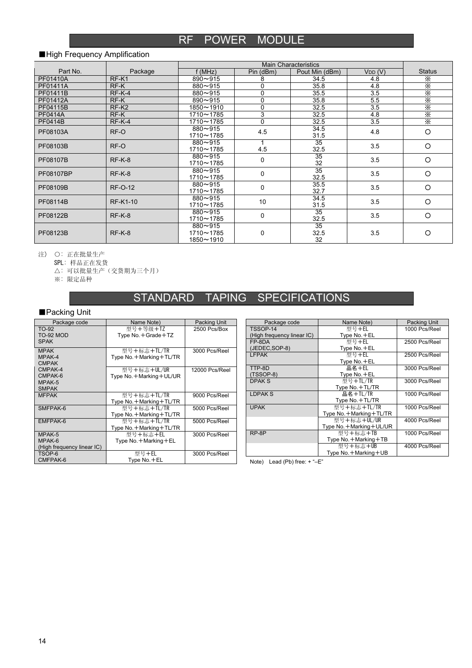### RF POWER MODULE

#### ■High Frequency Amplification

| Part No.       | Package           | f (MHz)                               | Pin (dBm)   | Pout Min (dBm)          | VDD(V) | <b>Status</b> |
|----------------|-------------------|---------------------------------------|-------------|-------------------------|--------|---------------|
| PF01410A       | RF-K1             | $890 - 915$                           | 8           | 34.5                    | 4.8    | X             |
| PF01411A       | RF-K              | $880 - 915$                           | 0           | 35.8                    | 4.8    | X             |
| PF01411B       | $RF-K-4$          | $880 - 915$                           | 0           | 35.5                    | 3.5    | X             |
| PF01412A       | RF-K              | $890 - 915$                           | $\mathbf 0$ | 35.8                    | 5.5    | $rac{1}{x}$   |
| PF04115B       | RF-K <sub>2</sub> | $1850 - 1910$                         | $\mathbf 0$ | 32.5                    | 3.5    |               |
| <b>PF0414A</b> | RF-K              | 1710~1785                             | 3           | 32.5                    | 4.8    | X             |
| <b>PF0414B</b> | $RF-K-4$          | 1710~1785                             | $\Omega$    | 32.5                    | 3.5    | X             |
| PF08103A       | RF-O              | $880 - 915$<br>1710~1785              | 4.5         | 34.5<br>31.5            | 4.8    | $\circ$       |
| PF08103B       | RF-O              | $880 - 915$<br>1710~1785              | 4.5         | 35<br>32.5              | 3.5    | $\circ$       |
| PF08107B       | $RF-K-8$          | $880 - 915$<br>1710~1785              | 0           | $\overline{35}$<br>32   | 3.5    | $\circ$       |
| PF08107BP      | $RF-K-8$          | $880 - 915$<br>1710~1785              | 0           | $\overline{35}$<br>32.5 | 3.5    | $\circ$       |
| PF08109B       | <b>RF-O-12</b>    | $880 - 915$<br>1710~1785              | 0           | 35.5<br>32.7            | 3.5    | $\circ$       |
| PF08114B       | <b>RF-K1-10</b>   | $880 - 915$<br>1710~1785              | 10          | 34.5<br>31.5            | 3.5    | $\circ$       |
| PF08122B       | $RF-K-8$          | $880 - 915$<br>1710~1785              | 0           | 35<br>32.5              | 3.5    | $\circ$       |
| PF08123B       | $RF-K-8$          | $880 - 915$<br>1710~1785<br>1850~1910 | 0           | 35<br>32.5<br>32        | 3.5    | $\circ$       |

注) ○: 正在批量生产

SPL: 样品正在发货

△: 可以批量生产(交货期为三个月)

※: 限定品种

### STANDARD TAPING SPECIFICATIONS

### ■Packing Unit

| Package code               | Name Note)                 | Packing Unit   |
|----------------------------|----------------------------|----------------|
| TO-92                      | 型号+等级+TZ                   | 2500 Pcs/Box   |
| TO-92 MOD                  | Type No. + Grade + TZ      |                |
| <b>SPAK</b>                |                            |                |
| <b>MPAK</b>                | 型号+标志+TL/TR                | 3000 Pcs/Reel  |
| MPAK-4                     | Type No. + Marking + TL/TR |                |
| <b>CMPAK</b>               |                            |                |
| CMPAK-4                    | 型号+标志+UL/UR                | 12000 Pcs/Reel |
| CMPAK-6                    | Type No. + Marking + UL/UR |                |
| MPAK-5                     |                            |                |
| <b>SMPAK</b>               |                            |                |
| <b>MFPAK</b>               | 型号+标志+TL/TR                | 9000 Pcs/Reel  |
|                            | Type No. + Marking + TL/TR |                |
| SMFPAK-6                   | 型号+标志+TL/TR                | 5000 Pcs/Reel  |
|                            | Type No. + Marking + TL/TR |                |
| EMFPAK-6                   | 型号+标志+TL/TR                | 5000 Pcs/Reel  |
|                            | Type No. + Marking + TL/TR |                |
| MPAK-5                     | 型号+标志+EL                   | 3000 Pcs/Reel  |
| MPAK-6                     | Type No. + Marking + EL    |                |
| (High frequency linear IC) |                            |                |
| TSOP-6                     | 型号+EL                      | 3000 Pcs/Reel  |
| CMFPAK-6                   | Type No.+EL                |                |

| Package code               | Name Note)                 | Packing Unit  |
|----------------------------|----------------------------|---------------|
| TSSOP-14                   | 型号+EL                      | 1000 Pcs/Reel |
| (High frequency linear IC) | Type No. + EL              |               |
| FP-8DA                     | 型号+EL                      | 2500 Pcs/Reel |
| (JEDEC, SOP-8)             | Type No. + EL              |               |
| <b>LFPAK</b>               | 型号+EL                      | 2500 Pcs/Reel |
|                            | Type No. +EL               |               |
| TTP-8D                     | 品名+EL                      | 3000 Pcs/Reel |
| (TSSOP-8)                  | Type No. +EL               |               |
| DPAK <sub>S</sub>          | 型号+TL/TR                   | 3000 Pcs/Reel |
|                            | Type No. + TL/TR           |               |
| <b>LDPAKS</b>              | 品名+TL/TR                   | 1000 Pcs/Reel |
|                            | Type No. + TL/TR           |               |
| <b>UPAK</b>                | 型号+标志+TL/TR                | 1000 Pcs/Reel |
|                            | Type No. + Marking + TL/TR |               |
|                            | 型号+标志+UL/UR                | 4000 Pcs/Reel |
|                            | Type No. + Marking + UL/UR |               |
| RP-8P                      | 型号+标志+TB                   | 1000 Pcs/Reel |
|                            | Type No. + Marking + TB    |               |
|                            | 型号+标志+UB                   | 4000 Pcs/Reel |
|                            | Type No. + Marking + UB    |               |

Note) Lead (Pb) free: + "–E"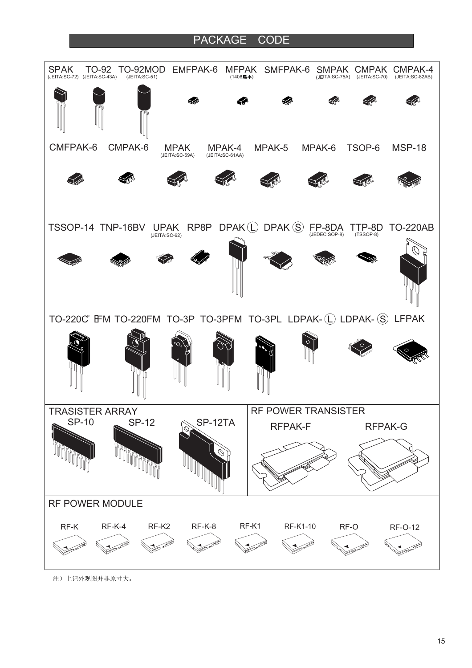### PACKAGE CODE



注)上记外观图并非原寸大。